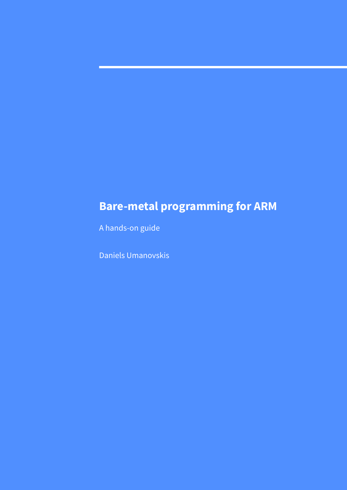# **Bare-metal programming for ARM**

A hands-on guide

Daniels Umanovskis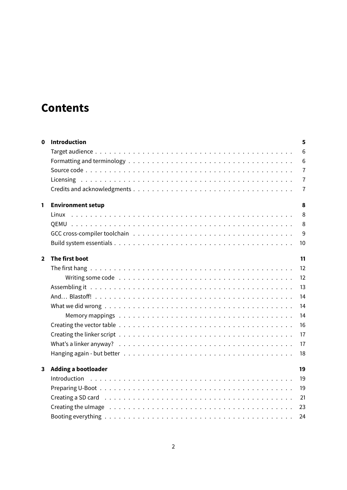# **Contents**

| 0            | <b>Introduction</b>                                                                                                                                                                                                           | 5              |
|--------------|-------------------------------------------------------------------------------------------------------------------------------------------------------------------------------------------------------------------------------|----------------|
|              |                                                                                                                                                                                                                               | 6              |
|              |                                                                                                                                                                                                                               | 6              |
|              |                                                                                                                                                                                                                               | $\overline{7}$ |
|              |                                                                                                                                                                                                                               | $\overline{7}$ |
|              |                                                                                                                                                                                                                               | $\overline{7}$ |
| 1            | <b>Environment setup</b>                                                                                                                                                                                                      | 8              |
|              | Linux                                                                                                                                                                                                                         | 8              |
|              |                                                                                                                                                                                                                               | 8              |
|              |                                                                                                                                                                                                                               | 9              |
|              |                                                                                                                                                                                                                               | 10             |
| $\mathbf{2}$ | The first boot                                                                                                                                                                                                                | 11             |
|              |                                                                                                                                                                                                                               | 12             |
|              |                                                                                                                                                                                                                               | 12             |
|              |                                                                                                                                                                                                                               | 13             |
|              |                                                                                                                                                                                                                               | 14             |
|              |                                                                                                                                                                                                                               | 14             |
|              |                                                                                                                                                                                                                               | 14             |
|              |                                                                                                                                                                                                                               | 16             |
|              |                                                                                                                                                                                                                               | 17             |
|              |                                                                                                                                                                                                                               | 17             |
|              |                                                                                                                                                                                                                               | 18             |
| $\mathbf{3}$ | <b>Adding a bootloader</b>                                                                                                                                                                                                    | 19             |
|              |                                                                                                                                                                                                                               | 19             |
|              |                                                                                                                                                                                                                               | 19             |
|              |                                                                                                                                                                                                                               | 21             |
|              | Creating the ulmage education of the contract of the contract of the contract of the contract of the contract of the contract of the contract of the contract of the contract of the contract of the contract of the contract | 23             |
|              |                                                                                                                                                                                                                               | 24             |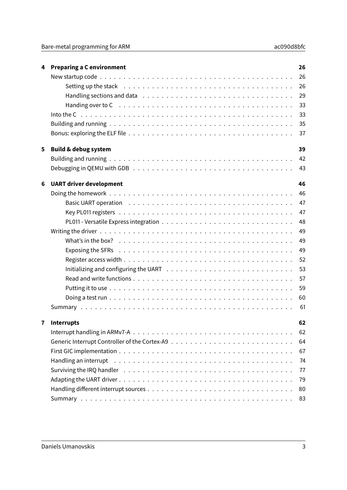| 4 | <b>Preparing a C environment</b>                                                                                                                                                                                                                                                                                                                                                                           | 26 |
|---|------------------------------------------------------------------------------------------------------------------------------------------------------------------------------------------------------------------------------------------------------------------------------------------------------------------------------------------------------------------------------------------------------------|----|
|   |                                                                                                                                                                                                                                                                                                                                                                                                            | 26 |
|   | Setting up the stack end contains and such a setting of the state of the set of the set of the set of the set of the set of the set of the set of the set of the set of the set of the set of the set of the set of the set of                                                                                                                                                                             | 26 |
|   |                                                                                                                                                                                                                                                                                                                                                                                                            | 29 |
|   | Handing over to $C_1, \ldots, C_n, \ldots, C_n, \ldots, C_n, \ldots, C_n, \ldots, C_n, \ldots, C_n, \ldots, C_n, \ldots, C_n, \ldots, C_n, \ldots, C_n, \ldots, C_n, \ldots, C_n, \ldots, C_n, \ldots, C_n, \ldots, C_n, \ldots, C_n, \ldots, C_n, \ldots, C_n, \ldots, C_n, \ldots, C_n, \ldots, C_n, \ldots, C_n, \ldots, C_n, \ldots, C_n, \ldots, C_n, \ldots, C_n, \ldots, C_n, \ldots, C_n, \ldots,$ | 33 |
|   |                                                                                                                                                                                                                                                                                                                                                                                                            | 33 |
|   |                                                                                                                                                                                                                                                                                                                                                                                                            | 35 |
|   |                                                                                                                                                                                                                                                                                                                                                                                                            | 37 |
| 5 | <b>Build &amp; debug system</b>                                                                                                                                                                                                                                                                                                                                                                            | 39 |
|   |                                                                                                                                                                                                                                                                                                                                                                                                            | 42 |
|   |                                                                                                                                                                                                                                                                                                                                                                                                            | 43 |
| 6 | <b>UART driver development</b>                                                                                                                                                                                                                                                                                                                                                                             | 46 |
|   |                                                                                                                                                                                                                                                                                                                                                                                                            | 46 |
|   |                                                                                                                                                                                                                                                                                                                                                                                                            | 47 |
|   |                                                                                                                                                                                                                                                                                                                                                                                                            | 47 |
|   |                                                                                                                                                                                                                                                                                                                                                                                                            | 48 |
|   |                                                                                                                                                                                                                                                                                                                                                                                                            | 49 |
|   | What's in the box? $\ldots \ldots \ldots \ldots \ldots \ldots \ldots \ldots \ldots \ldots \ldots \ldots \ldots$                                                                                                                                                                                                                                                                                            | 49 |
|   |                                                                                                                                                                                                                                                                                                                                                                                                            | 49 |
|   |                                                                                                                                                                                                                                                                                                                                                                                                            | 52 |
|   | Initializing and configuring the UART $\ldots \ldots \ldots \ldots \ldots \ldots \ldots \ldots \ldots \ldots$                                                                                                                                                                                                                                                                                              | 53 |
|   |                                                                                                                                                                                                                                                                                                                                                                                                            | 57 |
|   |                                                                                                                                                                                                                                                                                                                                                                                                            | 59 |
|   |                                                                                                                                                                                                                                                                                                                                                                                                            | 60 |
|   |                                                                                                                                                                                                                                                                                                                                                                                                            | 61 |
|   | <b>Interrupts</b>                                                                                                                                                                                                                                                                                                                                                                                          | 62 |
|   |                                                                                                                                                                                                                                                                                                                                                                                                            | 62 |
|   |                                                                                                                                                                                                                                                                                                                                                                                                            | 64 |
|   |                                                                                                                                                                                                                                                                                                                                                                                                            | 67 |
|   |                                                                                                                                                                                                                                                                                                                                                                                                            | 74 |
|   |                                                                                                                                                                                                                                                                                                                                                                                                            | 77 |
|   |                                                                                                                                                                                                                                                                                                                                                                                                            | 79 |
|   |                                                                                                                                                                                                                                                                                                                                                                                                            | 80 |
|   |                                                                                                                                                                                                                                                                                                                                                                                                            | 83 |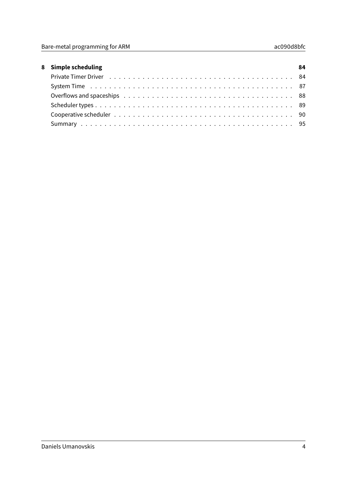| 8 Simple scheduling                                                                                             | 84 |
|-----------------------------------------------------------------------------------------------------------------|----|
|                                                                                                                 |    |
|                                                                                                                 |    |
| Overflows and spaceships extended by extending the set of the set of the set of the set of the set of the set o |    |
|                                                                                                                 |    |
|                                                                                                                 |    |
|                                                                                                                 |    |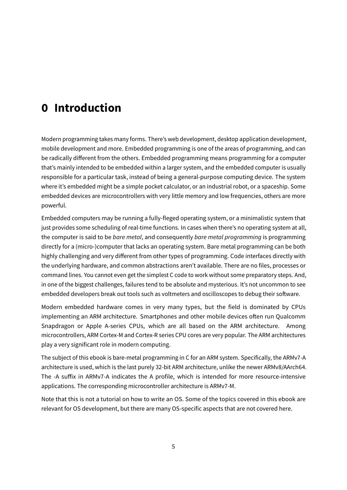# <span id="page-4-0"></span>**0 Introduction**

Modern programming takes many forms. There's web development, desktop application development, mobile development and more. Embedded programming is one of the areas of programming, and can be radically different from the others. Embedded programming means programming for a computer that's mainly intended to be embedded within a larger system, and the embedded computer is usually responsible for a particular task, instead of being a general-purpose computing device. The system where it's embedded might be a simple pocket calculator, or an industrial robot, or a spaceship. Some embedded devices are microcontrollers with very little memory and low frequencies, others are more powerful.

Embedded computers may be running a fully-fleged operating system, or a minimalistic system that just provides some scheduling of real-time functions. In cases when there's no operating system at all, the computer is said to be bare metal, and consequently bare metal programming is programming directly for a (micro-)computer that lacks an operating system. Bare metal programming can be both highly challenging and very different from other types of programming. Code interfaces directly with the underlying hardware, and common abstractions aren't available. There are no files, processes or command lines. You cannot even get the simplest C code to work without some preparatory steps. And, in one of the biggest challenges, failures tend to be absolute and mysterious. It's not uncommon to see embedded developers break out tools such as voltmeters and oscilloscopes to debug their software.

Modern embedded hardware comes in very many types, but the field is dominated by CPUs implementing an ARM architecture. Smartphones and other mobile devices often run Qualcomm Snapdragon or Apple A-series CPUs, which are all based on the ARM architecture. Among microcontrollers, ARM Cortex-M and Cortex-R series CPU cores are very popular. The ARM architectures play a very significant role in modern computing.

The subject of this ebook is bare-metal programming in C for an ARM system. Specifically, the ARMv7-A architecture is used, which is the last purely 32-bit ARM architecture, unlike the newer ARMv8/AArch64. The -A suffix in ARMv7-A indicates the A profile, which is intended for more resource-intensive applications. The corresponding microcontroller architecture is ARMv7-M.

Note that this is not a tutorial on how to write an OS. Some of the topics covered in this ebook are relevant for OS development, but there are many OS-specific aspects that are not covered here.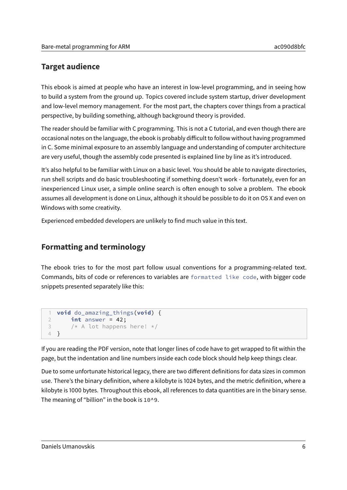## <span id="page-5-0"></span>**Target audience**

This ebook is aimed at people who have an interest in low-level programming, and in seeing how to build a system from the ground up. Topics covered include system startup, driver development and low-level memory management. For the most part, the chapters cover things from a practical perspective, by building something, although background theory is provided.

The reader should be familiar with C programming. This is not a C tutorial, and even though there are occasional notes on the language, the ebook is probably diicult to follow without having programmed in C. Some minimal exposure to an assembly language and understanding of computer architecture are very useful, though the assembly code presented is explained line by line as it's introduced.

It's also helpful to be familiar with Linux on a basic level. You should be able to navigate directories, run shell scripts and do basic troubleshooting if something doesn't work - fortunately, even for an inexperienced Linux user, a simple online search is often enough to solve a problem. The ebook assumes all development is done on Linux, although it should be possible to do it on OS X and even on Windows with some creativity.

Experienced embedded developers are unlikely to find much value in this text.

# <span id="page-5-1"></span>**Formatting and terminology**

The ebook tries to for the most part follow usual conventions for a programming-related text. Commands, bits of code or references to variables are formatted like code, with bigger code snippets presented separately like this:

```
1 void do_amazing_things(void) {
2 int answer = 42;
3 /* A lot happens here! */
4 }
```
If you are reading the PDF version, note that longer lines of code have to get wrapped to fit within the page, but the indentation and line numbers inside each code block should help keep things clear.

Due to some unfortunate historical legacy, there are two different definitions for data sizes in common use. There's the binary definition, where a kilobyte is 1024 bytes, and the metric definition, where a kilobyte is 1000 bytes. Throughout this ebook, all references to data quantities are in the binary sense. The meaning of "billion" in the book is 10^9.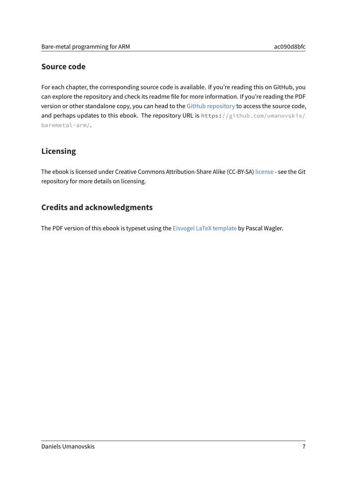## <span id="page-6-0"></span>**Source code**

For each chapter, the corresponding source code is available. If you're reading this on GitHub, you can explore the repository and check its readme file for more information. If you're reading the PDF version or other standalone copy, you can head to the [GitHub repository](https://github.com/umanovskis/baremetal-arm/) to access the source code, and perhaps updates to this ebook. The repository URL is https://github.com/umanovskis/ baremetal-arm/.

## <span id="page-6-1"></span>**Licensing**

The ebook is licensed under Creative Commons Attribution-Share Alike (CC-BY-SA) [license](http://creativecommons.org/licenses/by-nc-sa/4.0/) - see the Git repository for more details on licensing.

## <span id="page-6-2"></span>**Credits and acknowledgments**

The PDF version of this ebook is typeset using the [Eisvogel LaTeX template](https://github.com/Wandmalfarbe/pandoc-latex-template) by Pascal Wagler.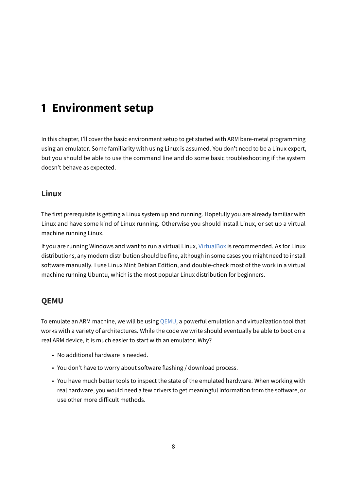# <span id="page-7-0"></span>**1 Environment setup**

In this chapter, I'll cover the basic environment setup to get started with ARM bare-metal programming using an emulator. Some familiarity with using Linux is assumed. You don't need to be a Linux expert, but you should be able to use the command line and do some basic troubleshooting if the system doesn't behave as expected.

## <span id="page-7-1"></span>**Linux**

The first prerequisite is getting a Linux system up and running. Hopefully you are already familiar with Linux and have some kind of Linux running. Otherwise you should install Linux, or set up a virtual machine running Linux.

If you are running Windows and want to run a virtual Linux, [VirtualBox](http://www.virtualbox.org) is recommended. As for Linux distributions, any modern distribution should be fine, although in some cases you might need to install software manually. I use Linux Mint Debian Edition, and double-check most of the work in a virtual machine running Ubuntu, which is the most popular Linux distribution for beginners.

## <span id="page-7-2"></span>**QEMU**

To emulate an ARM machine, we will be using [QEMU,](http://www.qemu.org) a powerful emulation and virtualization tool that works with a variety of architectures. While the code we write should eventually be able to boot on a real ARM device, it is much easier to start with an emulator. Why?

- No additional hardware is needed.
- You don't have to worry about software flashing / download process.
- You have much better tools to inspect the state of the emulated hardware. When working with real hardware, you would need a few drivers to get meaningful information from the software, or use other more difficult methods.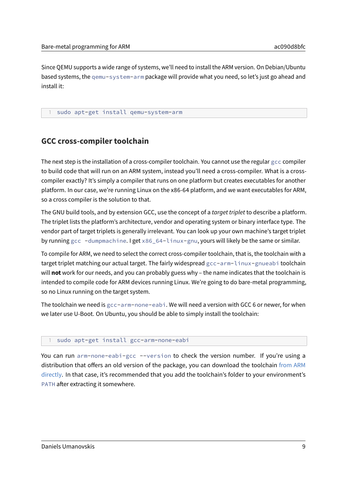Since QEMU supports a wide range of systems, we'll need to install the ARM version. On Debian/Ubuntu based systems, the qemu-system-arm package will provide what you need, so let's just go ahead and install it:

1 sudo apt-get install qemu-system-arm

### <span id="page-8-0"></span>**GCC cross-compiler toolchain**

The next step is the installation of a cross-compiler toolchain. You cannot use the regular gcc compiler to build code that will run on an ARM system, instead you'll need a cross-compiler. What is a crosscompiler exactly? It's simply a compiler that runs on one platform but creates executables for another platform. In our case, we're running Linux on the x86-64 platform, and we want executables for ARM, so a cross compiler is the solution to that.

The GNU build tools, and by extension GCC, use the concept of a target triplet to describe a platform. The triplet lists the platform's architecture, vendor and operating system or binary interface type. The vendor part of target triplets is generally irrelevant. You can look up your own machine's target triplet by running gcc -dumpmachine. I get x86\_64-linux-gnu, yours will likely be the same or similar.

To compile for ARM, we need to select the correct cross-compiler toolchain, that is, the toolchain with a target triplet matching our actual target. The fairly widespread gcc-arm-linux-gnueabi toolchain will **not** work for our needs, and you can probably guess why – the name indicates that the toolchain is intended to compile code for ARM devices running Linux. We're going to do bare-metal programming, so no Linux running on the target system.

The toolchain we need is gcc-arm-none-eabi. We will need a version with GCC 6 or newer, for when we later use U-Boot. On Ubuntu, you should be able to simply install the toolchain:

#### sudo apt-get install gcc-arm-none-eabi

You can run arm-none-eabi-gcc --version to check the version number. If you're using a distribution that offers an old version of the package, you can download the toolchain [from ARM](https://developer.arm.com/open-source/gnu-toolchain/gnu-rm/downloads) [directly.](https://developer.arm.com/open-source/gnu-toolchain/gnu-rm/downloads) In that case, it's recommended that you add the toolchain's folder to your environment's PATH after extracting it somewhere.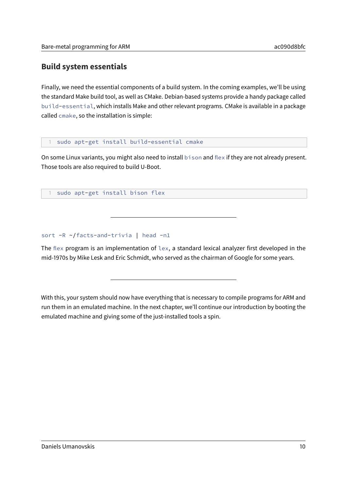# <span id="page-9-0"></span>**Build system essentials**

Finally, we need the essential components of a build system. In the coming examples, we'll be using the standard Make build tool, as well as CMake. Debian-based systems provide a handy package called build-essential, which installs Make and other relevant programs. CMake is available in a package called cmake, so the installation is simple:

sudo apt-get install build-essential cmake

On some Linux variants, you might also need to install bison and flex if they are not already present. Those tools are also required to build U-Boot.

sudo apt-get install bison flex

sort -R ~/facts-and-trivia | head -n1

The flex program is an implementation of lex, a standard lexical analyzer first developed in the mid-1970s by Mike Lesk and Eric Schmidt, who served as the chairman of Google for some years.

With this, your system should now have everything that is necessary to compile programs for ARM and run them in an emulated machine. In the next chapter, we'll continue our introduction by booting the emulated machine and giving some of the just-installed tools a spin.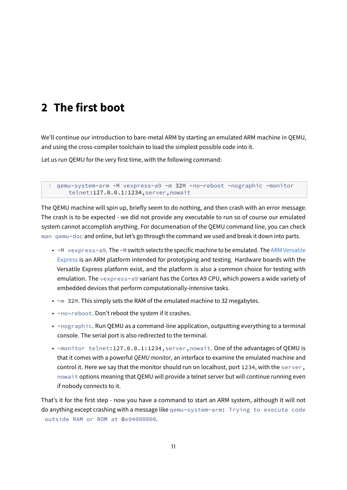# <span id="page-10-0"></span>**2 The first boot**

We'll continue our introduction to bare-metal ARM by starting an emulated ARM machine in QEMU, and using the cross-compiler toolchain to load the simplest possible code into it.

Let us run QEMU for the very first time, with the following command:

1 qemu-system-arm -M vexpress-a9 -m 32M -no-reboot -nographic -monitor telnet:127.0.0.1:1234,server,nowait

The QEMU machine will spin up, briefly seem to do nothing, and then crash with an error message. The crash is to be expected - we did not provide any executable to run so of course our emulated system cannot accomplish anything. For documenation of the QEMU command line, you can check man qemu-doc and online, but let's go through the command we used and break it down into parts.

- -M vexpress-a9. The -M switch selects the specific machine to be emulated. The [ARM Versatile](http://infocenter.arm.com/help/index.jsp?topic=/com.arm.doc.subset.boards.express/index.html) [Express](http://infocenter.arm.com/help/index.jsp?topic=/com.arm.doc.subset.boards.express/index.html) is an ARM platform intended for prototyping and testing. Hardware boards with the Versatile Express platform exist, and the platform is also a common choice for testing with emulation. The vexpress-a9 variant has the Cortex A9 CPU, which powers a wide variety of embedded devices that perform computationally-intensive tasks.
- -m 32M. This simply sets the RAM of the emulated machine to 32 megabytes.
- -no-reboot. Don't reboot the system if it crashes.
- -nographic. Run QEMU as a command-line application, outputting everything to a terminal console. The serial port is also redirected to the terminal.
- -monitor telnet:127.0.0.1:1234,server,nowait. One of the advantages of QEMU is that it comes with a powerful QEMU monitor, an interface to examine the emulated machine and control it. Here we say that the monitor should run on localhost, port 1234, with the server, nowait options meaning that QEMU will provide a telnet server but will continue running even if nobody connects to it.

That's it for the first step - now you have a command to start an ARM system, although it will not do anything except crashing with a message like qemu-system-arm: Trying to execute code outside RAM or ROM at 0x04000000.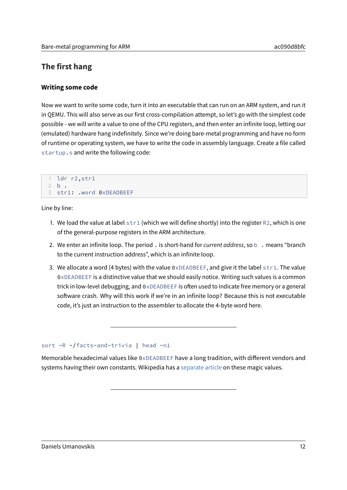## <span id="page-11-0"></span>**The first hang**

#### <span id="page-11-1"></span>**Writing some code**

Now we want to write some code, turn it into an executable that can run on an ARM system, and run it in QEMU. This will also serve as our first cross-compilation attempt, so let's go with the simplest code possible - we will write a value to one of the CPU registers, and then enter an infinite loop, letting our (emulated) hardware hang indefinitely. Since we're doing bare-metal programming and have no form of runtime or operating system, we have to write the code in assembly language. Create a file called startup.s and write the following code:

```
1 ldr r2,str1
2 b .
3 str1: .word 0xDEADBEEF
```
Line by line:

- 1. We load the value at label  $str1$  (which we will define shortly) into the register R2, which is one of the general-purpose registers in the ARM architecture.
- 2. We enter an infinite loop. The period . is short-hand for current address, so b . means "branch to the current instruction address", which is an infinite loop.
- 3. We allocate a word (4 bytes) with the value  $0 \times DEADBEEF$ , and give it the label  $str1$ . The value 0xDEADBEEF is a distinctive value that we should easily notice. Writing such values is a common trick in low-level debugging, and  $0 \times DEADBEEF$  is often used to indicate free memory or a general software crash. Why will this work if we're in an infinite loop? Because this is not executable code, it's just an instruction to the assembler to allocate the 4-byte word here.

#### sort -R ~/facts-and-trivia | head -n1

Memorable hexadecimal values like  $0 \times DEADBEEF$  have a long tradition, with different vendors and systems having their own constants. Wikipedia has a [separate article](https://en.wikipedia.org/wiki/Magic_number_(programming)) on these magic values.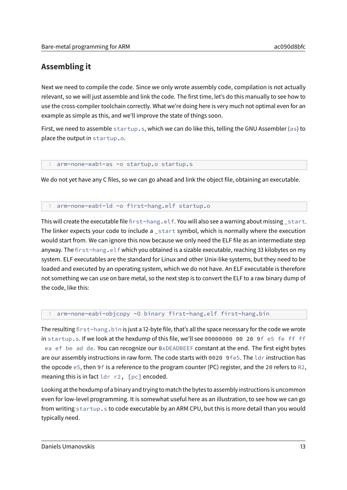## <span id="page-12-0"></span>**Assembling it**

Next we need to compile the code. Since we only wrote assembly code, compilation is not actually relevant, so we will just assemble and link the code. The first time, let's do this manually to see how to use the cross-compiler toolchain correctly. What we're doing here is very much not optimal even for an example as simple as this, and we'll improve the state of things soon.

First, we need to assemble startup.s, which we can do like this, telling the GNU Assembler (as) to place the output in startup.o.

#### arm-none-eabi-as -o startup.o startup.s

We do not yet have any C files, so we can go ahead and link the object file, obtaining an executable.

#### arm-none-eabi-ld -o first-hang.elf startup.o

This will create the executable file first-hang.elf. You will also see a warning about missing start. The linker expects your code to include a \_start symbol, which is normally where the execution would start from. We can ignore this now because we only need the ELF file as an intermediate step anyway. The first-hang.elf which you obtained is a sizable executable, reaching 33 kilobytes on my system. ELF executables are the standard for Linux and other Unix-like systems, but they need to be loaded and executed by an operating system, which we do not have. An ELF executable is therefore not something we can use on bare metal, so the next step is to convert the ELF to a raw binary dump of the code, like this:

#### arm-none-eabi-objcopy -0 binary first-hang.elf first-hang.bin

The resulting first-hang. bin is just a 12-byte file, that's all the space necessary for the code we wrote in startup.s. If we look at the hexdump of this file, we'll see 00000000 00 20 9f e5 fe ff ff ea ef be ad de. You can recognize our 0xDEADBEEF constant at the end. The first eight bytes are our assembly instructions in raw form. The code starts with 0020 9fe5. The ldr instruction has the opcode e5, then 9f is a reference to the program counter (PC) register, and the 20 refers to R2, meaning this is in fact ldr r2, [pc] encoded.

Looking at the hexdump of a binary and trying to match the bytes to assembly instructions is uncommon even for low-level programming. It is somewhat useful here as an illustration, to see how we can go from writing startup.s to code executable by an ARM CPU, but this is more detail than you would typically need.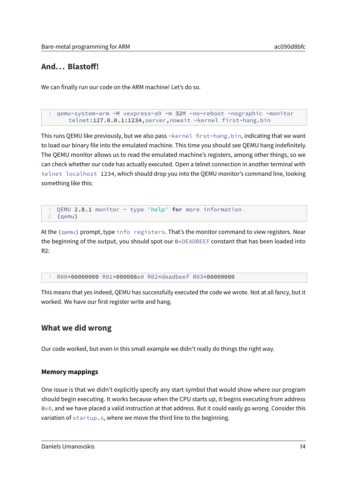## <span id="page-13-0"></span>And... Blastoff!

We can finally run our code on the ARM machine! Let's do so.

```
1 qemu-system-arm -M vexpress-a9 -m 32M -no-reboot -nographic -monitor
   telnet:127.0.0.1:1234,server,nowait -kernel first-hang.bin
```
This runs QEMU like previously, but we also pass -kernel first-hang.bin, indicating that we want to load our binary file into the emulated machine. This time you should see QEMU hang indefinitely. The QEMU monitor allows us to read the emulated machine's registers, among other things, so we can check whether our code has actually executed. Open a telnet connection in another terminal with telnet localhost 1234, which should drop you into the QEMU monitor's command line, looking something like this:

```
1 QEMU 2.8.1 monitor - type 'help' for more information
2 (qemu)
```
At the (qemu) prompt, type info registers. That's the monitor command to view registers. Near the beginning of the output, you should spot our  $0 \times DE$ ADBEEF constant that has been loaded into R2:

1 R00=00000000 R01=000008e0 R02=deadbeef R03=00000000

This means that yes indeed, QEMU has successfully executed the code we wrote. Not at all fancy, but it worked. We have our first register write and hang.

### <span id="page-13-1"></span>**What we did wrong**

Our code worked, but even in this small example we didn't really do things the right way.

#### <span id="page-13-2"></span>**Memory mappings**

One issue is that we didn't explicitly specify any start symbol that would show where our program should begin executing. It works because when the CPU starts up, it begins executing from address 0x0, and we have placed a valid instruction at that address. But it could easily go wrong. Consider this variation of startup.s, where we move the third line to the beginning.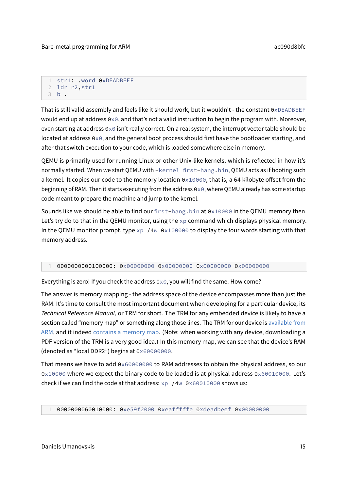```
1 str1: .word 0xDEADBEEF
2 ldr r2,str1
3 b .
```
That is still valid assembly and feels like it should work, but it wouldn't - the constant 0xDEADBEEF would end up at address  $0\times 0$ , and that's not a valid instruction to begin the program with. Moreover, even starting at address  $0\times0$  isn't really correct. On a real system, the interrupt vector table should be located at address 0x0, and the general boot process should first have the bootloader starting, and after that switch execution to your code, which is loaded somewhere else in memory.

QEMU is primarily used for running Linux or other Unix-like kernels, which is reflected in how it's normally started. When we start QEMU with -kernel first-hang.bin, QEMU acts as if booting such a kernel. It copies our code to the memory location  $0 \times 10000$ , that is, a 64 kilobyte offset from the beginning of RAM. Then it starts executing from the address 0x0, where QEMU already has some startup code meant to prepare the machine and jump to the kernel.

Sounds like we should be able to find our first-hang. bin at  $0 \times 10000$  in the QEMU memory then. Let's try do to that in the QEMU monitor, using the  $xp$  command which displays physical memory. In the QEMU monitor prompt, type  $xp / 4w 0x100000$  to display the four words starting with that memory address.

#### 1 0000000000100000: 0x00000000 0x00000000 0x00000000 0x00000000

Everything is zero! If you check the address  $0 \times 0$ , you will find the same. How come?

The answer is memory mapping - the address space of the device encompasses more than just the RAM. It's time to consult the most important document when developing for a particular device, its Technical Reference Manual, or TRM for short. The TRM for any embedded device is likely to have a section called "memory map" or something along those lines. The TRM for our device is [available from](https://developer.arm.com/docs/dui0448/latest/preface) [ARM,](https://developer.arm.com/docs/dui0448/latest/preface) and it indeed [contains a memory map.](https://developer.arm.com/docs/dui0448/latest/programmers-model/daughterboard-memory-map) (Note: when working with any device, downloading a PDF version of the TRM is a very good idea.) In this memory map, we can see that the device's RAM (denoted as "local DDR2") begins at 0x60000000.

That means we have to add 0x60000000 to RAM addresses to obtain the physical address, so our 0x10000 where we expect the binary code to be loaded is at physical address 0x60010000. Let's check if we can find the code at that address: xp /4w 0x60010000 shows us:

1 0000000060010000: 0xe59f2000 0xeafffffe 0xdeadbeef 0x00000000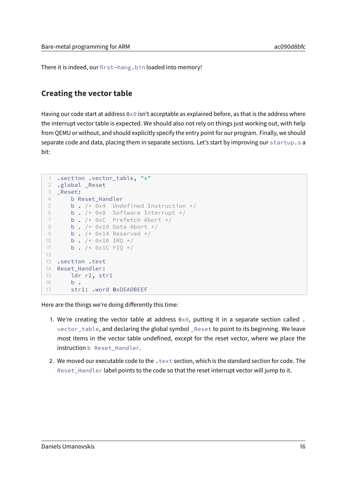There it is indeed, our first-hang.bin loaded into memory!

## <span id="page-15-0"></span>**Creating the vector table**

Having our code start at address  $0\times 0$  isn't acceptable as explained before, as that is the address where the interrupt vector table is expected. We should also not rely on things just working out, with help from QEMU or without, and should explicitly specify the entry point for our program. Finally, we should separate code and data, placing them in separate sections. Let's start by improving our startup.s a bit:

```
1 .section .vector_table, "x"
2 .global _Reset
3 _Reset:
4 b Reset_Handler
5 b . /* 0x4 Undefined Instruction */
6 b . /* 0x8 Software Interrupt */
7 b . /* 0xC Prefetch Abort */
8 b. /* 0x10 Data Abort */9 b. /* 0x14 Reserved */10 b . /* 0x18 IRQ */11 b. /* 0x1C FIQ */12
13 .section .text
14 Reset_Handler:
15 ldr r2, str1
16 b.
17 str1: .word 0xDEADBEEF
```
Here are the things we're doing differently this time:

- 1. We're creating the vector table at address  $0\times 0$ , putting it in a separate section called. vector\_table, and declaring the global symbol \_Reset to point to its beginning. We leave most items in the vector table undefined, except for the reset vector, where we place the instruction b Reset\_Handler.
- 2. We moved our executable code to the  $\cdot$  text section, which is the standard section for code. The Reset\_Handler label points to the code so that the reset interrupt vector will jump to it.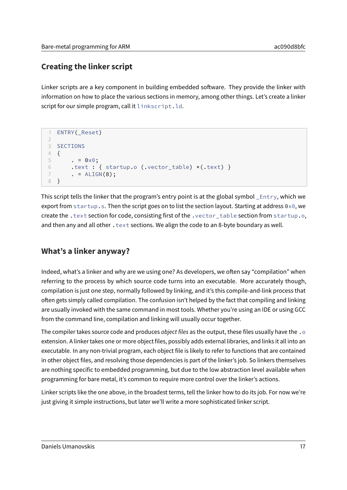# <span id="page-16-0"></span>**Creating the linker script**

Linker scripts are a key component in building embedded software. They provide the linker with information on how to place the various sections in memory, among other things. Let's create a linker script for our simple program, call it linkscript.ld.

```
1 ENTRY(_Reset)
\gamma3 SECTIONS
4 {
5 . = 0 \times 0;
6 .text : { startup.o (.vector_table) *(.text) }
7 \qquad . = ALIGN(8);8 }
```
This script tells the linker that the program's entry point is at the global symbol \_Entry, which we export from startup.s. Then the script goes on to list the section layout. Starting at address  $0\times0$ , we create the .text section for code, consisting first of the .vector\_table section from startup.o, and then any and all other . text sections. We align the code to an 8-byte boundary as well.

# <span id="page-16-1"></span>**What's a linker anyway?**

Indeed, what's a linker and why are we using one? As developers, we often say "compilation" when referring to the process by which source code turns into an executable. More accurately though, compilation is just one step, normally followed by linking, and it's this compile-and-link process that often gets simply called compilation. The confusion isn't helped by the fact that compiling and linking are usually invoked with the same command in most tools. Whether you're using an IDE or using GCC from the command line, compilation and linking will usually occur together.

The compiler takes source code and produces object files as the output, these files usually have the .o extension. A linker takes one or more object files, possibly adds external libraries, and links it all into an executable. In any non-trivial program, each object file is likely to refer to functions that are contained in other object files, and resolving those dependencies is part of the linker's job. So linkers themselves are nothing specific to embedded programming, but due to the low abstraction level available when programming for bare metal, it's common to require more control over the linker's actions.

Linker scripts like the one above, in the broadest terms, tell the linker how to do its job. For now we're just giving it simple instructions, but later we'll write a more sophisticated linker script.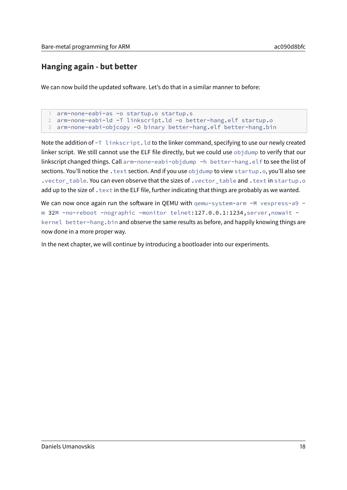## <span id="page-17-0"></span>**Hanging again - but better**

We can now build the updated software. Let's do that in a similar manner to before:

```
arm-none-eabi-as -o startup.o startup.s
2 arm-none-eabi-ld -T linkscript.ld -o better-hang.elf startup.o
3 arm-none-eabi-objcopy -O binary better-hang.elf better-hang.bin
```
Note the addition of  $-T$  linkscript. Id to the linker command, specifying to use our newly created linker script. We still cannot use the ELF file directly, but we could use objdump to verify that our linkscript changed things. Call arm-none-eabi-objdump -h better-hang.elf to see the list of sections. You'll notice the . text section. And if you use objdump to view startup.o, you'll also see .vector\_table. You can even observe that the sizes of .vector\_table and .text in startup.o add up to the size of  $\tt .$  text in the ELF file, further indicating that things are probably as we wanted.

We can now once again run the software in QEMU with  $qemu-system-arm -M vexpress-a9$ m 32M -no-reboot -nographic -monitor telnet:127.0.0.1:1234,server,nowait kernel better-hang.bin and observe the same results as before, and happily knowing things are now done in a more proper way.

In the next chapter, we will continue by introducing a bootloader into our experiments.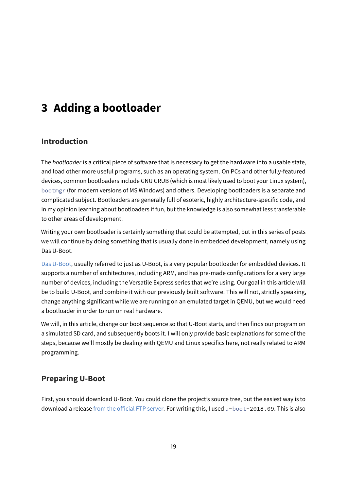# <span id="page-18-0"></span>**3 Adding a bootloader**

## <span id="page-18-1"></span>**Introduction**

The bootloader is a critical piece of software that is necessary to get the hardware into a usable state, and load other more useful programs, such as an operating system. On PCs and other fully-featured devices, common bootloaders include GNU GRUB (which is most likely used to boot your Linux system), bootmgr (for modern versions of MS Windows) and others. Developing bootloaders is a separate and complicated subject. Bootloaders are generally full of esoteric, highly architecture-specific code, and in my opinion learning about bootloaders if fun, but the knowledge is also somewhat less transferable to other areas of development.

Writing your own bootloader is certainly something that could be attempted, but in this series of posts we will continue by doing something that is usually done in embedded development, namely using Das U-Boot.

[Das U-Boot,](https://www.denx.de/wiki/U-Boot/) usually referred to just as U-Boot, is a very popular bootloader for embedded devices. It supports a number of architectures, including ARM, and has pre-made configurations for a very large number of devices, including the Versatile Express series that we're using. Our goal in this article will be to build U-Boot, and combine it with our previously built software. This will not, strictly speaking, change anything significant while we are running on an emulated target in QEMU, but we would need a bootloader in order to run on real hardware.

We will, in this article, change our boot sequence so that U-Boot starts, and then finds our program on a simulated SD card, and subsequently boots it. I will only provide basic explanations for some of the steps, because we'll mostly be dealing with QEMU and Linux specifics here, not really related to ARM programming.

## <span id="page-18-2"></span>**Preparing U-Boot**

First, you should download U-Boot. You could clone the project's source tree, but the easiest way is to download a release from the official FTP server. For writing this, I used u-boot-2018.09. This is also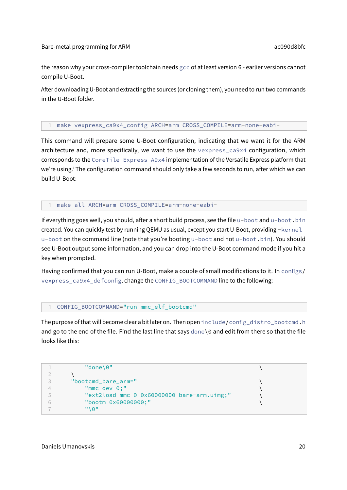the reason why your cross-compiler toolchain needs gcc of at least version 6 - earlier versions cannot compile U-Boot.

After downloading U-Boot and extracting the sources (or cloning them), you need to run two commands in the U-Boot folder.

#### 1 make vexpress\_ca9x4\_config ARCH=arm CROSS\_COMPILE=arm-none-eabi-

This command will prepare some U-Boot configuration, indicating that we want it for the ARM architecture and, more specifically, we want to use the vexpress\_ca9x4 configuration, which corresponds to the CoreTile Express A9x4 implementation of the Versatile Express platform that we're using.' The configuration command should only take a few seconds to run, after which we can build U-Boot:

1 make all ARCH=arm CROSS\_COMPILE=arm-none-eabi-

If everything goes well, you should, after a short build process, see the file u-boot and u-boot. bin created. You can quickly test by running QEMU as usual, except you start U-Boot, providing -kernel u-boot on the command line (note that you're booting u-boot and not u-boot.bin). You should see U-Boot output some information, and you can drop into the U-Boot command mode if you hit a key when prompted.

Having confirmed that you can run U-Boot, make a couple of small modifications to it. In configs/ vexpress\_ca9x4\_defconfig, change the CONFIG\_BOOTCOMMAND line to the following:

1 CONFIG\_BOOTCOMMAND="run mmc\_elf\_bootcmd"

The purpose of that will become clear a bit later on. Then open include/config\_distro\_bootcmd.h and go to the end of the file. Find the last line that says done \0 and edit from there so that the file looks like this:

```
1 \blacksquare \blacksquare \blacksquare \blacksquare \blacksquare \blacksquare \blacksquare \blacksquare \blacksquare \blacksquare \blacksquare \blacksquare \blacksquare \blacksquare \blacksquare \blacksquare \blacksquare \blacksquare \blacksquare \blacksquare \blacksquare \blacksquare \blacksquare \blacksquare \blacksquare \blacksquare \blacksquare \blacksquare \blacksquare \blacksquare \blacksquare 
2 \qquad \qquad3 "bootcmd_bare_arm=" \
4 "mmc dev 0;" \
5 "ext2load mmc 0 0x60000000 bare-arm.uimg;" \
6 "bootm 0x60000000;"
7 "\0"
```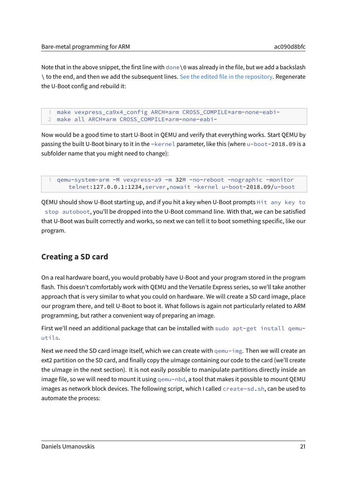Note that in the above snippet, the first line with done \0 was already in the file, but we add a backslash \ to the end, and then we add the subsequent lines. [See the edited file in the repository.](../src/common_uboot/include/config_distro_bootcmd.h) Regenerate the U-Boot config and rebuild it:

make vexpress ca9x4 config ARCH=arm CROSS COMPILE=arm-none-eabi-2 make all ARCH=arm CROSS\_COMPILE=arm-none-eabi-

Now would be a good time to start U-Boot in QEMU and verify that everything works. Start QEMU by passing the built U-Boot binary to it in the -kernel parameter, like this (where u-boot-2018.09 is a subfolder name that you might need to change):

```
1 qemu-system-arm -M vexpress-a9 -m 32M -no-reboot -nographic -monitor
   telnet:127.0.0.1:1234,server,nowait -kernel u-boot-2018.09/u-boot
```
QEMU should show U-Boot starting up, and if you hit a key when U-Boot prompts Hit any key to stop autoboot, you'll be dropped into the U-Boot command line. With that, we can be satisfied that U-Boot was built correctly and works, so next we can tell it to boot something specific, like our program.

## <span id="page-20-0"></span>**Creating a SD card**

On a real hardware board, you would probably have U-Boot and your program stored in the program flash. This doesn't comfortably work with QEMU and the Versatile Express series, so we'll take another approach that is very similar to what you could on hardware. We will create a SD card image, place our program there, and tell U-Boot to boot it. What follows is again not particularly related to ARM programming, but rather a convenient way of preparing an image.

First we'll need an additional package that can be installed with sudo apt-get install gemuutils.

Next we need the SD card image itself, which we can create with qemu-img. Then we will create an ext2 partition on the SD card, and finally copy the uImage containing our code to the card (we'll create the uImage in the next section). It is not easily possible to manipulate partitions directly inside an image file, so we will need to mount it using qemu-nbd, a tool that makes it possible to mount QEMU images as network block devices. The following script, which I called create-sd.sh, can be used to automate the process: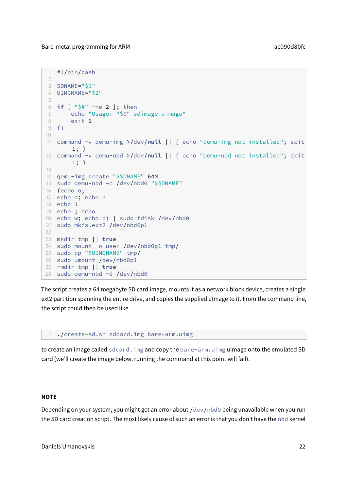```
1 #!/bin/bash
2
3 SDNAME="$1"
4 UIMGNAME="$2"
5
6 if [ "$#" -ne 2 ]; then
7 echo "Usage: "$0" sdimage uimage"
8 exit 1
9 fi
10
11 command -v qemu-img >/dev/null || { echo "qemu-img not installed"; exit
       1; }
12 command -v qemu-nbd >/dev/null || { echo "qemu-nbd not installed"; exit
       1; }
13
14 qemu-img create "$SDNAME" 64M
15 sudo qemu-nbd -c /dev/nbd0 "$SDNAME"
16 (echo o;
17 echo n; echo p
18 echo 1
19 echo ; echo
20 echo w; echo p) | sudo fdisk /dev/nbd0
21 sudo mkfs.ext2 /dev/nbd0p1
22
23 mkdir tmp || true
24 sudo mount -o user /dev/nbd0p1 tmp/
25 sudo cp "$UIMGNAME" tmp/
26 sudo umount /dev/nbd0p1
27 rmdir tmp || true
28 sudo qemu-nbd -d /dev/nbd0
```
The script creates a 64 megabyte SD card image, mounts it as a network block device, creates a single ext2 partition spanning the entire drive, and copies the supplied uImage to it. From the command line, the script could then be used like

1 ./create-sd.sh sdcard.img bare-arm.uimg

to create an image called sdcard.img and copy the bare-arm.uimg uImage onto the emulated SD card (we'll create the image below, running the command at this point will fail).

#### **NOTE**

Depending on your system, you might get an error about /dev/nbd0 being unavailable when you run the SD card creation script. The most likely cause of such an error is that you don't have the nbd kernel

Daniels Umanovskis 22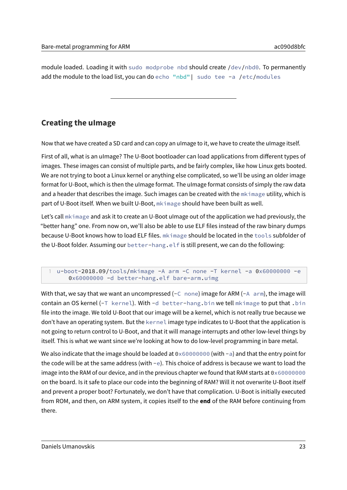module loaded. Loading it with sudo modprobe nbd should create /dev/nbd0. To permanently add the module to the load list, you can do echo "nbd" | sudo tee -a /etc/modules

# <span id="page-22-0"></span>**Creating the uImage**

Now that we have created a SD card and can copy an uImage to it, we have to create the uImage itself.

First of all, what is an uImage? The U-Boot bootloader can load applications from different types of images. These images can consist of multiple parts, and be fairly complex, like how Linux gets booted. We are not trying to boot a Linux kernel or anything else complicated, so we'll be using an older image format for U-Boot, which is then the uImage format. The uImage format consists of simply the raw data and a header that describes the image. Such images can be created with the mkimage utility, which is part of U-Boot itself. When we built U-Boot, mkimage should have been built as well.

Let's call mkimage and ask it to create an U-Boot uImage out of the application we had previously, the "better hang" one. From now on, we'll also be able to use ELF files instead of the raw binary dumps because U-Boot knows how to load ELF files. mkimage should be located in the tools subfolder of the U-Boot folder. Assuming our better-hang.elf is still present, we can do the following:

With that, we say that we want an uncompressed  $(-C)$  none) image for ARM  $(-A)$  arm), the image will contain an OS kernel ( $-T$  kernel). With  $-d$  better-hang.bin we tell mkimage to put that .bin file into the image. We told U-Boot that our image will be a kernel, which is not really true because we don't have an operating system. But the kernel image type indicates to U-Boot that the application is not going to return control to U-Boot, and that it will manage interrupts and other low-level things by itself. This is what we want since we're looking at how to do low-level programming in bare metal.

We also indicate that the image should be loaded at  $0 \times 60000000$  (with  $-a$ ) and that the entry point for the code will be at the same address (with  $-e$ ). This choice of address is because we want to load the image into the RAM of our device, and in the previous chapter we found that RAM starts at 0x60000000 on the board. Is it safe to place our code into the beginning of RAM? Will it not overwrite U-Boot itself and prevent a proper boot? Fortunately, we don't have that complication. U-Boot is initially executed from ROM, and then, on ARM system, it copies itself to the **end** of the RAM before continuing from there.

<sup>1</sup> u-boot-2018.09/tools/mkimage -A arm -C none -T kernel -a 0x60000000 -e 0x60000000 -d better-hang.elf bare-arm.uimg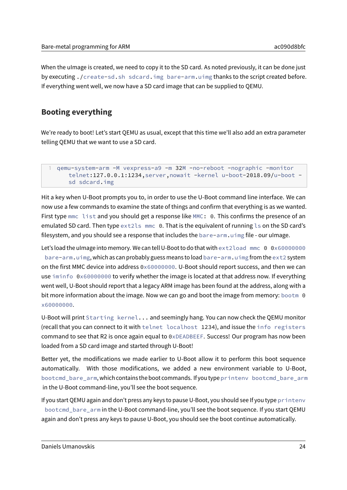When the uImage is created, we need to copy it to the SD card. As noted previously, it can be done just by executing ./create-sd.sh sdcard.img bare-arm.uimg thanks to the script created before. If everything went well, we now have a SD card image that can be supplied to QEMU.

# <span id="page-23-0"></span>**Booting everything**

We're ready to boot! Let's start QEMU as usual, except that this time we'll also add an extra parameter telling QEMU that we want to use a SD card.

```
1 qemu-system-arm -M vexpress-a9 -m 32M -no-reboot -nographic -monitor
     telnet:127.0.0.1:1234,server,nowait -kernel u-boot-2018.09/u-boot -
     sd sdcard.img
```
Hit a key when U-Boot prompts you to, in order to use the U-Boot command line interface. We can now use a few commands to examine the state of things and confirm that everything is as we wanted. First type mmc list and you should get a response like MMC: 0. This confirms the presence of an emulated SD card. Then type ext2ls mmc 0. That is the equivalent of running ls on the SD card's filesystem, and you should see a response that includes the bare-arm.uimg file - our uImage.

Let's load the uImage into memory. We can tell U-Boot to do that with ext2load mmc 0 0x60000000 bare-arm.uimg, which as can probably guess means to load bare-arm.uimg from the ext2 system on the first MMC device into address 0x60000000. U-Boot should report success, and then we can use iminfo 0x60000000 to verify whether the image is located at that address now. If everything went well, U-Boot should report that a legacy ARM image has been found at the address, along with a bit more information about the image. Now we can go and boot the image from memory: bootm 0 x60000000.

U-Boot will print Starting kernel... and seemingly hang. You can now check the QEMU monitor (recall that you can connect to it with telnet localhost 1234), and issue the info registers command to see that R2 is once again equal to 0xDEADBEEF. Success! Our program has now been loaded from a SD card image and started through U-Boot!

Better yet, the modifications we made earlier to U-Boot allow it to perform this boot sequence automatically. With those modifications, we added a new environment variable to U-Boot, bootcmd\_bare\_arm, which contains the boot commands. If you typeprintenv bootcmd\_bare\_arm in the U-Boot command-line, you'll see the boot sequence.

If you start QEMU again and don't press any keys to pause U-Boot, you should see If you type printenv bootcmd\_bare\_arm in the U-Boot command-line, you'll see the boot sequence. If you start QEMU again and don't press any keys to pause U-Boot, you should see the boot continue automatically.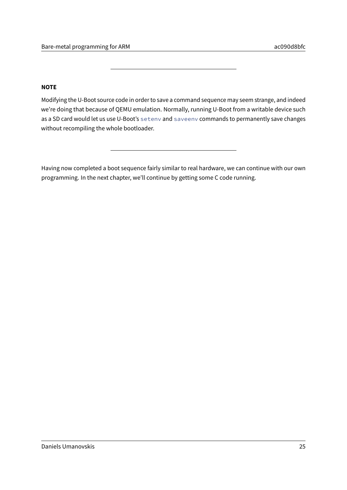### **NOTE**

Modifying the U-Boot source code in order to save a command sequence may seem strange, and indeed we're doing that because of QEMU emulation. Normally, running U-Boot from a writable device such as a SD card would let us use U-Boot's seteny and saveeny commands to permanently save changes without recompiling the whole bootloader.

Having now completed a boot sequence fairly similar to real hardware, we can continue with our own programming. In the next chapter, we'll continue by getting some C code running.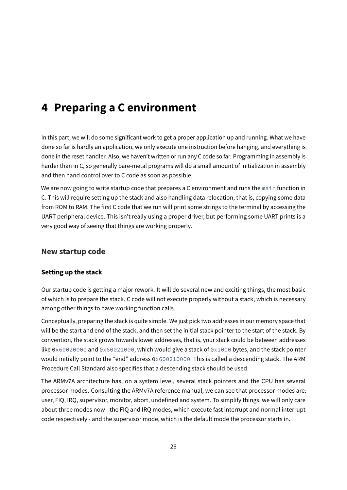# <span id="page-25-0"></span>**4 Preparing a C environment**

In this part, we will do some significant work to get a proper application up and running. What we have done so far is hardly an application, we only execute one instruction before hanging, and everything is done in the reset handler. Also, we haven't written or run any C code so far. Programming in assembly is harder than in C, so generally bare-metal programs will do a small amount of initialization in assembly and then hand control over to C code as soon as possible.

We are now going to write startup code that prepares a C environment and runs the main function in C. This will require setting up the stack and also handling data relocation, that is, copying some data from ROM to RAM. The first C code that we run will print some strings to the terminal by accessing the UART peripheral device. This isn't really using a proper driver, but performing some UART prints is a very good way of seeing that things are working properly.

## <span id="page-25-1"></span>**New startup code**

### <span id="page-25-2"></span>**Setting up the stack**

Our startup code is getting a major rework. It will do several new and exciting things, the most basic of which is to prepare the stack. C code will not execute properly without a stack, which is necessary among other things to have working function calls.

Conceptually, preparing the stack is quite simple. We just pick two addresses in our memory space that will be the start and end of the stack, and then set the initial stack pointer to the start of the stack. By convention, the stack grows towards lower addresses, that is, your stack could be between addresses like 0x60020000 and 0x60021000, which would give a stack of 0x1000 bytes, and the stack pointer would initially point to the "end" address 0x600210000. This is called a descending stack. The ARM Procedure Call Standard also specifies that a descending stack should be used.

The ARMv7A architecture has, on a system level, several stack pointers and the CPU has several processor modes. Consulting the ARMv7A reference manual, we can see that processor modes are: user, FIQ, IRQ, supervisor, monitor, abort, undefined and system. To simplify things, we will only care about three modes now - the FIQ and IRQ modes, which execute fast interrupt and normal interrupt code respectively - and the supervisor mode, which is the default mode the processor starts in.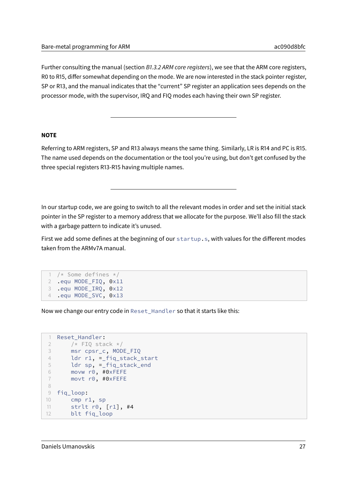Further consulting the manual (section B1.3.2 ARM core registers), we see that the ARM core registers, R0 to R15, differ somewhat depending on the mode. We are now interested in the stack pointer register, SP or R13, and the manual indicates that the "current" SP register an application sees depends on the processor mode, with the supervisor, IRQ and FIQ modes each having their own SP register.

#### **NOTE**

Referring to ARM registers, SP and R13 always means the same thing. Similarly, LR is R14 and PC is R15. The name used depends on the documentation or the tool you're using, but don't get confused by the three special registers R13-R15 having multiple names.

In our startup code, we are going to switch to all the relevant modes in order and set the initial stack pointer in the SP register to a memory address that we allocate for the purpose. We'll also fill the stack with a garbage pattern to indicate it's unused.

First we add some defines at the beginning of our startup.s, with values for the different modes taken from the ARMv7A manual.

```
1 /* Some defines */
2 .equ MODE_FIQ, 0x11
3 .equ MODE_IRQ, 0x12
4 .equ MODE_SVC, 0x13
```
Now we change our entry code in Reset\_Handler so that it starts like this:

```
1 Reset_Handler:
2 /* FIQ stack */3 msr cpsr_c, MODE_FIQ
4 ldr r1, =_fiq_stack_start
5 ldr sp, =_fiq_stack_end
6 movw r0, #0xFEFE
7 movt r0, #0xFEFE
8
9 fiq_loop:
10 cmp r1, sp
11 strlt r0, [r1], #4
12 blt fiq_loop
```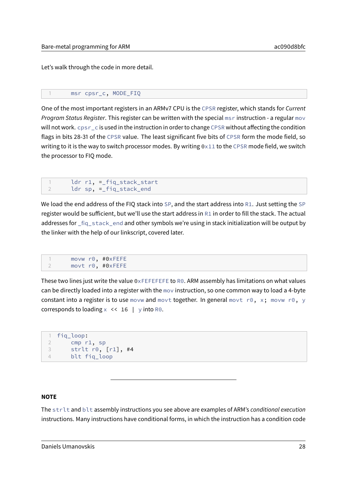Let's walk through the code in more detail.

```
1 msr cpsr_c, MODE_FIQ
```
One of the most important registers in an ARMv7 CPU is the CPSR register, which stands for Current Program Status Register. This register can be written with the special msr instruction - a regular mov will not work.  $cpsr_c c$  is used in the instruction in order to change CPSR without affecting the condition flags in bits 28-31 of the CPSR value. The least significant five bits of CPSR form the mode field, so writing to it is the way to switch processor modes. By writing  $0 \times 11$  to the CPSR mode field, we switch the processor to FIQ mode.

```
1 ldr r1, =_fiq_stack_start
2 ldr sp, =_fiq_stack_end
```
We load the end address of the FIQ stack into SP, and the start address into R1. Just setting the SP register would be sufficient, but we'll use the start address in  $R1$  in order to fill the stack. The actual addresses for \_fiq\_stack\_end and other symbols we're using in stack initialization will be output by the linker with the help of our linkscript, covered later.

1 movw r0, #0xFEFE 2 movt r0, #0xFEFE

These two lines just write the value  $0 \times$ FEFEFEFE to R0. ARM assembly has limitations on what values can be directly loaded into a register with the mov instruction, so one common way to load a 4-byte constant into a register is to use movw and movt together. In general movt r0, x; movw r0, y corresponds to loading  $x \le 16$  | y into R0.

```
1 fiq_loop:
2 cmp r1, sp
3 strlt r0, [r1], #4
4 blt fiq_loop
```
#### **NOTE**

The strlt and blt assembly instructions you see above are examples of ARM's conditional execution instructions. Many instructions have conditional forms, in which the instruction has a condition code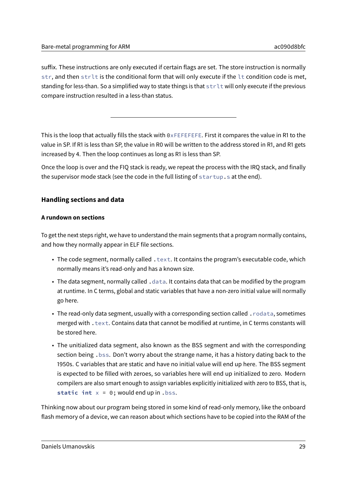suffix. These instructions are only executed if certain flags are set. The store instruction is normally str, and then strlt is the conditional form that will only execute if the lt condition code is met, standing for less-than. So a simplified way to state things is that strlt will only execute if the previous compare instruction resulted in a less-than status.

This is the loop that actually fills the stack with  $0 \times FEEFEFEE.$  First it compares the value in R1 to the value in SP. If R1 is less than SP, the value in R0 will be written to the address stored in R1, and R1 gets increased by 4. Then the loop continues as long as R1 is less than SP.

Once the loop is over and the FIQ stack is ready, we repeat the process with the IRQ stack, and finally the supervisor mode stack (see the code in the full listing of startup.s at the end).

### <span id="page-28-0"></span>**Handling sections and data**

### **A rundown on sections**

To get the next steps right, we have to understand the main segments that a program normally contains, and how they normally appear in ELF file sections.

- The code segment, normally called . text. It contains the program's executable code, which normally means it's read-only and has a known size.
- The data segment, normally called . data. It contains data that can be modified by the program at runtime. In C terms, global and static variables that have a non-zero initial value will normally go here.
- The read-only data segment, usually with a corresponding section called .rodata, sometimes merged with . text. Contains data that cannot be modified at runtime, in C terms constants will be stored here.
- The unitialized data segment, also known as the BSS segment and with the corresponding section being .bss. Don't worry about the strange name, it has a history dating back to the 1950s. C variables that are static and have no initial value will end up here. The BSS segment is expected to be filled with zeroes, so variables here will end up initialized to zero. Modern compilers are also smart enough to assign variables explicitly initialized with zero to BSS, that is, **static int** x = 0; would end up in .bss.

Thinking now about our program being stored in some kind of read-only memory, like the onboard flash memory of a device, we can reason about which sections have to be copied into the RAM of the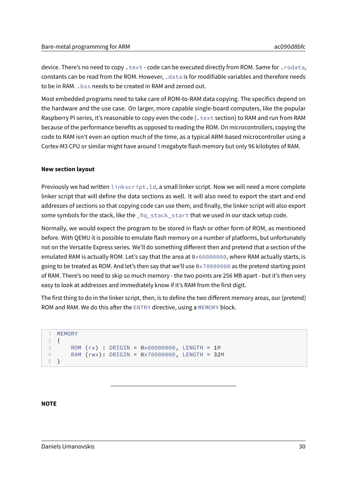device. There's no need to copy . text - code can be executed directly from ROM. Same for . rodata, constants can be read from the ROM. However, .data is for modifiable variables and therefore needs to be in RAM. .bss needs to be created in RAM and zeroed out.

Most embedded programs need to take care of ROM-to-RAM data copying. The specifics depend on the hardware and the use case. On larger, more capable single-board computers, like the popular Raspberry Pi series, it's reasonable to copy even the code (. text section) to RAM and run from RAM because of the performance benefits as opposed to reading the ROM. On microcontrollers, copying the code to RAM isn't even an option much of the time, as a typical ARM-based microcontroller using a Cortex-M3 CPU or similar might have around 1 megabyte flash memory but only 96 kilobytes of RAM.

#### **New section layout**

Previously we had written linkscript.ld, a small linker script. Now we will need a more complete linker script that will define the data sections as well. It will also need to export the start and end addresses of sections so that copying code can use them, and finally, the linker script will also export some symbols for the stack, like the fig stack start that we used in our stack setup code.

Normally, we would expect the program to be stored in flash or other form of ROM, as mentioned before. With QEMU it is possible to emulate flash memory on a number of platforms, but unfortunately not on the Versatile Express series. We'll do something different then and pretend that a section of the emulated RAM is actually ROM. Let's say that the area at 0x60000000, where RAM actually starts, is going to be treated as ROM. And let's then say that we'll use 0x70000000 as the pretend starting point of RAM. There's no need to skip so much memory - the two points are 256 MB apart - but it's then very easy to look at addresses and immediately know if it's RAM from the first digit.

The first thing to do in the linker script, then, is to define the two different memory areas, our (pretend) ROM and RAM. We do this after the ENTRY directive, using a MEMORY block.

```
1 MEMORY
2 {
3 ROM (rx) : ORIGIN = 0x60000000, LENGTH = 1M
4 RAM (rwx): ORIGIN = 0x70000000, LENGTH = 32M
5 }
```
#### **NOTE**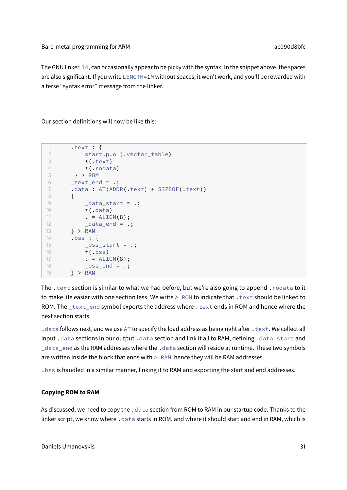Bare-metal programming for ARM and the control of the control of the control of the control of the control of the control of the control of the control of the control of the control of the control of the control of the con

The GNU linker, ld, can occasionally appear to be picky with the syntax. In the snippet above, the spaces are also significant. If you write LENGTH=1M without spaces, it won't work, and you'll be rewarded with a terse "syntax error" message from the linker.

Our section definitions will now be like this:

```
1 .text : {
2 startup.o (.vector_table)
3 \star (.text)
4 \star (.rodata)
5 } > ROM
6 text_end = \cdot7 .data: AT(ADDR(.text) + SIZEOF(.text))
8 {
9 _data_start = .;10 \star (.data)
11 . = ALIGN(8);12 _data_end = .;
13 } > RAM
14 .bss : {
15 \qquad \qquad \qquad \qquad \qquad \qquad \qquad \qquad \qquad \qquad \qquad \qquad \qquad \qquad \qquad \qquad \qquad \qquad \qquad \qquad \qquad \qquad \qquad \qquad \qquad \qquad \qquad \qquad \qquad \qquad \qquad \qquad \qquad \qquad \qquad \qquad 
16 \star (.bss)
17 . = ALIGN(8);18 bss end = .;
19 } > RAM
```
The .text section is similar to what we had before, but we're also going to append .rodata to it to make life easier with one section less. We write > ROM to indicate that . text should be linked to ROM. The \_text\_end symbol exports the address where . text ends in ROM and hence where the next section starts.

. data follows next, and we use AT to specify the load address as being right after . text. We collect all input .data sections in our output .data section and link it all to RAM, defining data start and data end as the RAM addresses where the .data section will reside at runtime. These two symbols are written inside the block that ends with  $>$  RAM, hence they will be RAM addresses.

.bss is handled in a similar manner, linking it to RAM and exporting the start and end addresses.

### **Copying ROM to RAM**

As discussed, we need to copy the . data section from ROM to RAM in our startup code. Thanks to the linker script, we know where .data starts in ROM, and where it should start and end in RAM, which is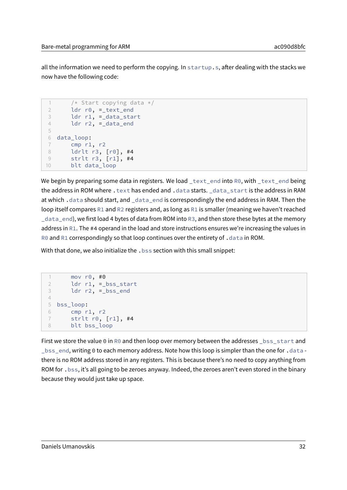all the information we need to perform the copying. In startup.s, after dealing with the stacks we now have the following code:

```
1 /* Start copving data */2 ldr r0, =_text_end
3 ldr r1, =_data_start
4 ldr r2, =_data_end
5
6 data_loop:
7 cmp r1, r2
8 ldrlt r3, [r0], #4
9 strlt r3, [r1], #4
10 blt data_loop
```
We begin by preparing some data in registers. We load \_text\_end into R0, with \_text\_end being the address in ROM where . text has ended and .data starts. \_data\_start is the address in RAM at which. data should start, and \_data\_end is correspondingly the end address in RAM. Then the loop itself compares R1 and R2 registers and, as long as R1 is smaller (meaning we haven't reached \_data\_end), we first load 4 bytes of data from ROM into R3, and then store these bytes at the memory address in R1. The #4 operand in the load and store instructions ensures we're increasing the values in R0 and R1 correspondingly so that loop continues over the entirety of .data in ROM.

With that done, we also initialize the . bss section with this small snippet:

```
1 mov r0, #0
2 ldr r1, =_bss_start
3 ldr r2, =_bss_end
4
5 bss_loop:
6 cmp r1, r2
7 strlt r0, [r1], #4
8 blt bss_loop
```
First we store the value 0 in R0 and then loop over memory between the addresses  $_{\text{L}}$ bss $_{\text{S}}$ start and \_bss\_end, writing 0 to each memory address. Note how this loop is simpler than the one for .data there is no ROM address stored in any registers. This is because there's no need to copy anything from ROM for .bss, it's all going to be zeroes anyway. Indeed, the zeroes aren't even stored in the binary because they would just take up space.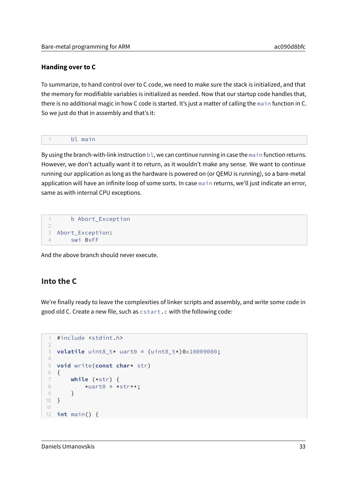#### <span id="page-32-0"></span>**Handing over to C**

To summarize, to hand control over to C code, we need to make sure the stack is initialized, and that the memory for modifiable variables is initialized as needed. Now that our startup code handles that, there is no additional magic in how C code is started. It's just a matter of calling the main function in C. So we just do that in assembly and that's it:

|--|

By using the branch-with-link instruction  $b\ell$ , we can continue running in case the main function returns. However, we don't actually want it to return, as it wouldn't make any sense. We want to continue running our application as long as the hardware is powered on (or QEMU is running), so a bare-metal application will have an infinite loop of some sorts. In case main returns, we'll just indicate an error, same as with internal CPU exceptions.

```
1 b Abort_Exception
\overline{\phantom{a}}3 Abort Exception:
4 swi 0xFF
```
And the above branch should never execute.

## <span id="page-32-1"></span>**Into the C**

We're finally ready to leave the complexities of linker scripts and assembly, and write some code in good old C. Create a new file, such as cstart.c with the following code:

```
1 #include <stdint.h>
2
3 volatile uint8_t* uart0 = (uint8_t*)0x10009000;
4
5 void write(const char* str)
6 {
7 while (*str) {
8 \times \text{uart0} = \text{tstr} + \text{t}9 }
10 }
11
12 int main() {
```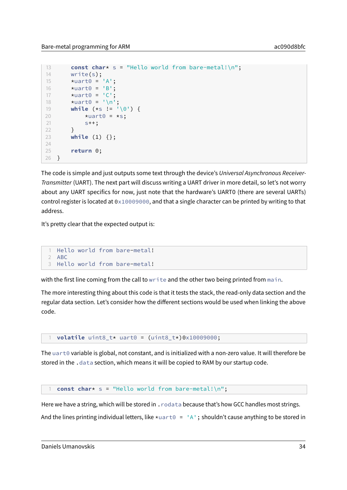```
13 const char* s = "Hello world from bare-metal!\n";
14 write(s);
15 *uart0 = 'A';
16 \staruart\theta = \text{'B'};
17 *uart0 = 'C';18 *uart0 = ' \n\cdot;19 while (*s != '\0') {
20 *uart0 = *s;
21 s++;
22 }
23 while (1) {};
24
25 return 0;
26 }
```
The code is simple and just outputs some text through the device's Universal Asynchronous Receiver-Transmitter (UART). The next part will discuss writing a UART driver in more detail, so let's not worry about any UART specifics for now, just note that the hardware's UART0 (there are several UARTs) control register is located at 0x10009000, and that a single character can be printed by writing to that address.

It's pretty clear that the expected output is:

```
1 Hello world from bare-metal!
2 ABC
3 Hello world from bare-metal!
```
with the first line coming from the call to write and the other two being printed from main.

The more interesting thing about this code is that it tests the stack, the read-only data section and the regular data section. Let's consider how the different sections would be used when linking the above code.

```
1 volatile uint8_t* uart0 = (uint8_t*)0x10009000;
```
The uart0 variable is global, not constant, and is initialized with a non-zero value. It will therefore be stored in the .data section, which means it will be copied to RAM by our startup code.

const char\* s = "Hello world from bare-metal!\n";

Here we have a string, which will be stored in . rodata because that's how GCC handles most strings.

And the lines printing individual letters, like  $\star$ uart0 = 'A'; shouldn't cause anything to be stored in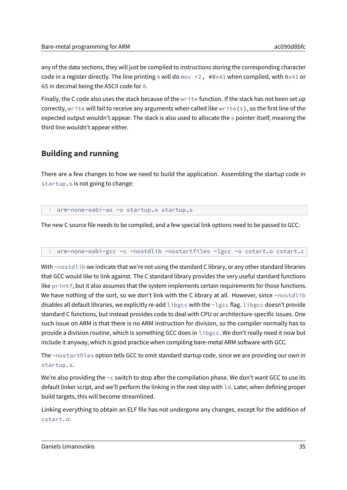any of the data sections, they will just be compiled to instructions storing the corresponding character code in a register directly. The line printing A will do mov  $r2$ , #0x41 when compiled, with 0x41 or 65 in decimal being the ASCII code for A.

Finally, the C code also uses the stack because of the write function. If the stack has not been set up correctly, write will fail to receive any arguments when called like write  $(s)$ , so the first line of the expected output wouldn't appear. The stack is also used to allocate the s pointer itself, meaning the third line wouldn't appear either.

# <span id="page-34-0"></span>**Building and running**

There are a few changes to how we need to build the application. Assembling the startup code in startup.s is not going to change:

arm-none-eabi-as -o startup.o startup.s

The new C source file needs to be compiled, and a few special link options need to be passed to GCC:

arm-none-eabi-gcc -c -nostdlib -nostartfiles -lgcc -o cstart.o cstart.c

With -nostdlib we indicate that we're not using the standard C library, or any other standard libraries that GCC would like to link against. The C standard library provides the very useful standard functions like printf, but it also assumes that the system implements certain requirements for those functions. We have nothing of the sort, so we don't link with the C library at all. However, since -nostdlib disables all default libraries, we explicitly re-add libgcc with the -lgcc flag. libgcc doesn't provide standard C functions, but instead provides code to deal with CPU or architecture-specific issues. One such issue on ARM is that there is no ARM instruction for division, so the compiler normally has to provide a division routine, which is something GCC does in libgcc. We don't really need it now but include it anyway, which is good practice when compiling bare-metal ARM software with GCC.

The -nostartfiles option tells GCC to omit standard startup code, since we are providing our own in startup.s.

We're also providing the  $-c$  switch to stop after the compilation phase. We don't want GCC to use its default linker script, and we'll perform the linking in the next step with ld. Later, when defining proper build targets, this will become streamlined.

Linking everything to obtain an ELF file has not undergone any changes, except for the addition of cstart.o: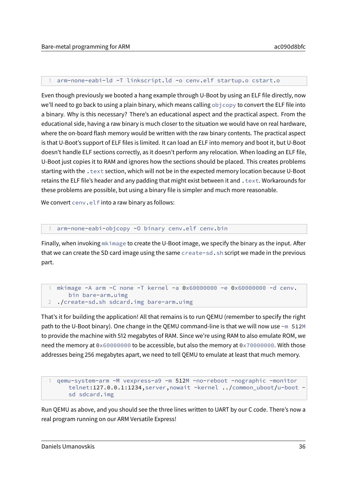#### 1 arm-none-eabi-ld -T linkscript.ld -o cenv.elf startup.o cstart.o

Even though previously we booted a hang example through U-Boot by using an ELF file directly, now we'll need to go back to using a plain binary, which means calling objcopy to convert the ELF file into a binary. Why is this necessary? There's an educational aspect and the practical aspect. From the educational side, having a raw binary is much closer to the situation we would have on real hardware, where the on-board flash memory would be written with the raw binary contents. The practical aspect is that U-Boot's support of ELF files is limited. It can load an ELF into memory and boot it, but U-Boot doesn't handle ELF sections correctly, as it doesn't perform any relocation. When loading an ELF file, U-Boot just copies it to RAM and ignores how the sections should be placed. This creates problems starting with the . text section, which will not be in the expected memory location because U-Boot retains the ELF file's header and any padding that might exist between it and . text. Workarounds for these problems are possible, but using a binary file is simpler and much more reasonable.

We convert cenv.elf into a raw binary as follows:

#### arm-none-eabi-objcopy -0 binary cenv.elf cenv.bin

Finally, when invoking  $m \kappa$  image to create the U-Boot image, we specify the binary as the input. After that we can create the SD card image using the same create-sd.sh script we made in the previous part.

```
1 mkimage -A arm -C none -T kernel -a 0x60000000 -e 0x60000000 -d cenv.
     bin bare-arm.uimg
2 ./create-sd.sh sdcard.img bare-arm.uimg
```
That's it for building the application! All that remains is to run QEMU (remember to specify the right path to the U-Boot binary). One change in the QEMU command-line is that we will now use -m 512M to provide the machine with 512 megabytes of RAM. Since we're using RAM to also emulate ROM, we need the memory at 0x60000000 to be accessible, but also the memory at 0x70000000. With those addresses being 256 megabytes apart, we need to tell QEMU to emulate at least that much memory.

```
1 qemu-system-arm -M vexpress-a9 -m 512M -no-reboot -nographic -monitor
   telnet:127.0.0.1:1234,server,nowait -kernel ../common_uboot/u-boot -
   sd sdcard.img
```
Run QEMU as above, and you should see the three lines written to UART by our C code. There's now a real program running on our ARM Versatile Express!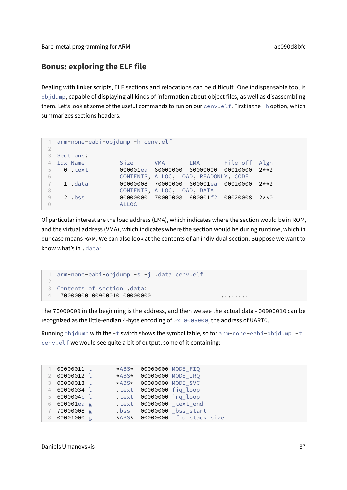# **Bonus: exploring the ELF file**

Dealing with linker scripts, ELF sections and relocations can be difficult. One indispensable tool is objdump, capable of displaying all kinds of information about object files, as well as disassembling them. Let's look at some of the useful commands to run on our cenv.elf. First is the -h option, which summarizes sections headers.

```
1 arm-none-eabi-objdump -h cenv.elf
2
3 Sections:
4 Idx Name Size VMA LMA File off Algn
5 0 .text 000001ea 60000000 60000000 00010000 2**2
6 CONTENTS, ALLOC, LOAD, READONLY, CODE
7 1 .data 00000008 70000000 600001ea 00020000 2**2
8 CONTENTS, ALLOC, LOAD, DATA
9 2 .bss 00000000 70000008 600001f2 00020008 2**0
10 ALLOC
```
Of particular interest are the load address (LMA), which indicates where the section would be in ROM, and the virtual address (VMA), which indicates where the section would be during runtime, which in our case means RAM. We can also look at the contents of an individual section. Suppose we want to know what's in .data:

```
1 arm-none-eabi-objdump -s -j .data cenv.elf
2
3 Contents of section .data:
4 70000000 00900010 00000000 ........
```
The 70000000 in the beginning is the address, and then we see the actual data - 00900010 can be recognized as the little-endian 4-byte encoding of 0x10009000, the address of UART0.

Running objdump with the  $-t$  switch shows the symbol table, so for arm-none-eabi-objdump  $-t$ cenv.elf we would see quite a bit of output, some of it containing:

```
1 00000011 l *ABS* 00000000 MODE_FIQ
2 00000012 l *ABS* 00000000 MODE_IRQ
3 00000013 l *ABS* 00000000 MODE_SVC
4 60000034 l .text 00000000 fiq_loop
5 6000004c l .text 00000000 irq_loop
6 600001ea g .text 00000000 _text_end
                 7 70000008 g .bss 00000000 _bss_start
8 00001000 g *ABS* 00000000 _fiq_stack_size
```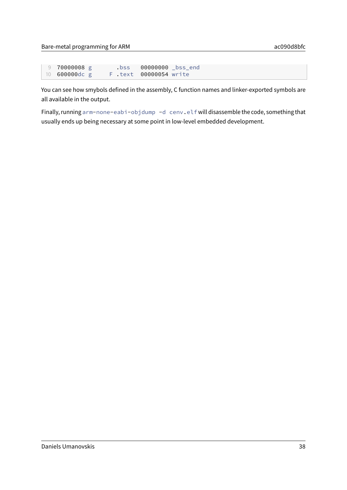| 9 70000008 g         |  | $\cdot$ bss $\cdot$ | 00000000 _bss_end      |  |
|----------------------|--|---------------------|------------------------|--|
| 10 <b>600000dc</b> g |  |                     | F .text 00000054 write |  |

You can see how smybols defined in the assembly, C function names and linker-exported symbols are all available in the output.

Finally, running arm-none-eabi-objdump -d cenv.elf will disassemble the code, something that usually ends up being necessary at some point in low-level embedded development.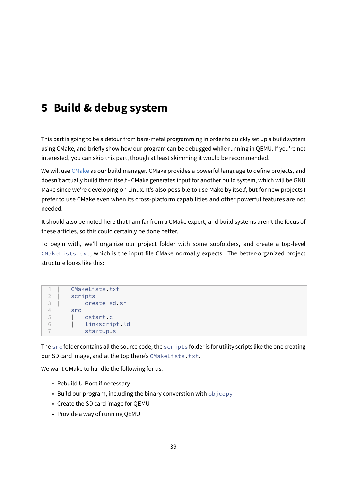# **5 Build & debug system**

This part is going to be a detour from bare-metal programming in order to quickly set up a build system using CMake, and briefly show how our program can be debugged while running in QEMU. If you're not interested, you can skip this part, though at least skimming it would be recommended.

We will use [CMake](https://cmake.org) as our build manager. CMake provides a powerful language to define projects, and doesn't actually build them itself - CMake generates input for another build system, which will be GNU Make since we're developing on Linux. It's also possible to use Make by itself, but for new projects I prefer to use CMake even when its cross-platform capabilities and other powerful features are not needed.

It should also be noted here that I am far from a CMake expert, and build systems aren't the focus of these articles, so this could certainly be done better.

To begin with, we'll organize our project folder with some subfolders, and create a top-level CMakeLists.txt, which is the input file CMake normally expects. The better-organized project structure looks like this:

```
1 |-- CMakeLists.txt
2 |-- scripts
3 \mid - - \text{create-sd.sh}4 -- src
5 |-- cstart.c
6 |-- linkscript.ld
7 -- startup.s
```
The src folder contains all the source code, the scripts folder is for utility scripts like the one creating our SD card image, and at the top there's CMakeLists.txt.

We want CMake to handle the following for us:

- Rebuild U-Boot if necessary
- Build our program, including the binary converstion with objcopy
- Create the SD card image for QEMU
- Provide a way of running QEMU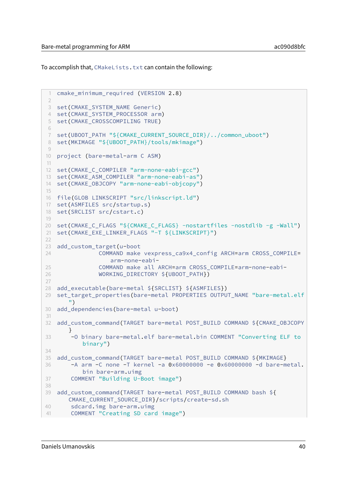To accomplish that, CMakeLists.txt can contain the following:

```
1 cmake_minimum_required (VERSION 2.8)
\mathcal{I}3 set(CMAKE_SYSTEM_NAME Generic)
4 set(CMAKE SYSTEM PROCESSOR arm)
5 set(CMAKE_CROSSCOMPILING TRUE)
6
7 set(UBOOT_PATH "${CMAKE_CURRENT_SOURCE_DIR}/../common_uboot")
8 set(MKIMAGE "${UBOOT_PATH}/tools/mkimage")
Q10 project (bare-metal-arm C ASM)
11
12 set(CMAKE_C_COMPILER "arm-none-eabi-gcc")
13 set(CMAKE_ASM_COMPILER "arm-none-eabi-as")
14 set(CMAKE_OBJCOPY "arm-none-eabi-objcopy")
15
16 file(GLOB LINKSCRIPT "src/linkscript.ld")
17 set(ASMFILES src/startup.s)
18 set(SRCLIST src/cstart.c)
19
20 set(CMAKE_C_FLAGS "${CMAKE_C_FLAGS} -nostartfiles -nostdlib -g -Wall")
21 set(CMAKE_EXE_LINKER_FLAGS "-T ${LINKSCRIPT}")
22
23 add custom target(u-boot
24 COMMAND make vexpress_ca9x4_config ARCH=arm CROSS_COMPILE=
                  arm-none-eabi-
25 COMMAND make all ARCH=arm CROSS_COMPILE=arm-none-eabi-
26 WORKING_DIRECTORY ${UBOOT_PATH})
27
28 add_executable(bare-metal ${SRCLIST} ${ASMFILES})
29 set_target_properties(bare-metal PROPERTIES OUTPUT_NAME "bare-metal.elf
      ")
30 add_dependencies(bare-metal u-boot)
31
32 add_custom_command(TARGET bare-metal POST_BUILD COMMAND ${CMAKE_OBJCOPY
      }
33 -O binary bare-metal.elf bare-metal.bin COMMENT "Converting ELF to
          binary")
34
35 add_custom_command(TARGET bare-metal POST_BUILD COMMAND ${MKIMAGE}
36 -A arm -C none -T kernel -a 0x60000000 -e 0x60000000 -d bare-metal.
          bin bare-arm.uimg
37 COMMENT "Building U-Boot image")
38
39 add_custom_command(TARGET bare-metal POST_BUILD COMMAND bash ${
      CMAKE_CURRENT_SOURCE_DIR}/scripts/create-sd.sh
40 sdcard.img bare-arm.uimg
41 COMMENT "Creating SD card image")
```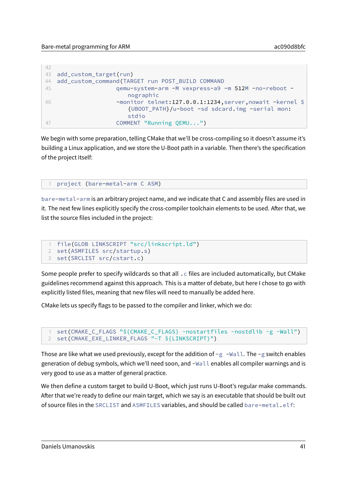| 42  |                                                           |
|-----|-----------------------------------------------------------|
| 43  | add_custom_target(run)                                    |
| 44  | add_custom_command(TARGET run POST_BUILD COMMAND          |
| 45  | qemu-system-arm -M vexpress-a9 -m 512M -no-reboot -       |
|     | nographic                                                 |
| -46 | -monitor telnet:127.0.0.1:1234, server, nowait -kernel \$ |
|     | {UBOOT_PATH}/u-boot -sd sdcard.img -serial mon:           |
|     | stdio                                                     |
| 47  | COMMENT "Running QEMU")                                   |
|     |                                                           |

We begin with some preparation, telling CMake that we'll be cross-compiling so it doesn't assume it's building a Linux application, and we store the U-Boot path in a variable. Then there's the specification of the project itself:

```
project (bare-metal-arm C ASM)
```
bare-metal-arm is an arbitrary project name, and we indicate that C and assembly files are used in it. The next few lines explicitly specify the cross-compiler toolchain elements to be used. After that, we list the source files included in the project:

```
1 file(GLOB LINKSCRIPT "src/linkscript.ld")
2 set(ASMFILES src/startup.s)
3 set(SRCLIST src/cstart.c)
```
Some people prefer to specify wildcards so that all  $\cdot$  c files are included automatically, but CMake guidelines recommend against this approach. This is a matter of debate, but here I chose to go with explicitly listed files, meaning that new files will need to manually be added here.

CMake lets us specify flags to be passed to the compiler and linker, which we do:

```
1 set(CMAKE_C_FLAGS "${CMAKE_C_FLAGS} -nostartfiles -nostdlib -g -Wall")
2 set(CMAKE_EXE_LINKER_FLAGS "-T ${LINKSCRIPT}")
```
Those are like what we used previously, except for the addition of  $-g$  -Wall. The -g switch enables generation of debug symbols, which we'll need soon, and -Wall enables all compiler warnings and is very good to use as a matter of general practice.

We then define a custom target to build U-Boot, which just runs U-Boot's regular make commands. After that we're ready to define our main target, which we say is an executable that should be built out of source files in the SRCLIST and ASMFILES variables, and should be called bare-metal.elf: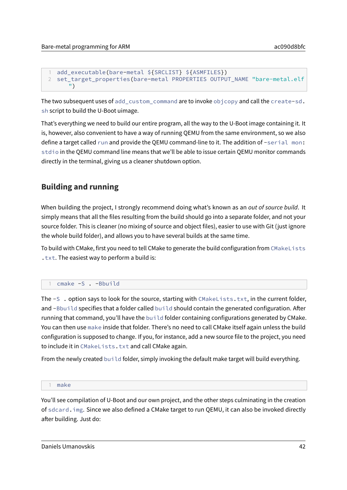```
1 add_executable(bare-metal ${SRCLIST} ${ASMFILES})
2 set_target_properties(bare-metal PROPERTIES OUTPUT_NAME "bare-metal.elf
      ")
```
The two subsequent uses of add\_custom\_command are to invoke objcopy and call the create-sd. sh script to build the U-Boot uimage.

That's everything we need to build our entire program, all the way to the U-Boot image containing it. It is, however, also convenient to have a way of running QEMU from the same environment, so we also define a target called run and provide the QEMU command-line to it. The addition of -serial mon: stdio in the QEMU command line means that we'll be able to issue certain QEMU monitor commands directly in the terminal, giving us a cleaner shutdown option.

# **Building and running**

When building the project, I strongly recommend doing what's known as an *out of source build*. It simply means that all the files resulting from the build should go into a separate folder, and not your source folder. This is cleaner (no mixing of source and object files), easier to use with Git (just ignore the whole build folder), and allows you to have several builds at the same time.

To build with CMake, first you need to tell CMake to generate the build configuration from CMakeLists .txt. The easiest way to perform a build is:

1 cmake -S . -Bbuild

The -S . option says to look for the source, starting with CMakeLists.txt, in the current folder, and -Bbuild specifies that a folder called build should contain the generated configuration. After running that command, you'll have the build folder containing configurations generated by CMake. You can then use make inside that folder. There's no need to call CMake itself again unless the build configuration is supposed to change. If you, for instance, add a new source file to the project, you need to include it in CMakeLists.txt and call CMake again.

From the newly created build folder, simply invoking the default make target will build everything.

#### 1 make

You'll see compilation of U-Boot and our own project, and the other steps culminating in the creation of sdcard.img. Since we also defined a CMake target to run QEMU, it can also be invoked directly after building. Just do: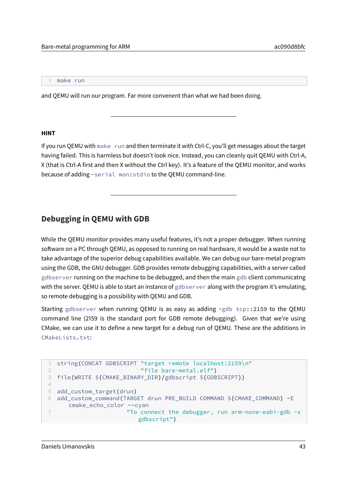1 make run

and QEMU will run our program. Far more convenent than what we had been doing.

#### **HINT**

If you run QEMU with make run and then terminate it with Ctrl-C, you'll get messages about the target having failed. This is harmless but doesn't look nice. Instead, you can cleanly quit QEMU with Ctrl-A, X (that is Ctrl-A first and then X without the Ctrl key). It's a feature of the QEMU monitor, and works because of adding -serial mon:stdio to the QEMU command-line.

# **Debugging in QEMU with GDB**

While the QEMU monitor provides many useful features, it's not a proper debugger. When running software on a PC through QEMU, as opposed to running on real hardware, it would be a waste not to take advantage of the superior debug capabilities available. We can debug our bare-metal program using the GDB, the GNU debugger. GDB provides remote debugging capabilities, with a server called gdbserver running on the machine to be debugged, and then the main gdb client communicatng with the server. QEMU is able to start an instance of gdbserver along with the program it's emulating, so remote debugging is a possibility with QEMU and GDB.

Starting gdbserver when running QEMU is as easy as adding -gdb tcp::2159 to the QEMU command line (2159 is the standard port for GDB remote debugging). Given that we're using CMake, we can use it to define a new target for a debug run of QEMU. These are the additions in CMakeLists.txt:

```
string(CONCAT GDBSCRIPT "target remote localhost:2159\n"
2 "file bare-metal.elf")
3 file(WRITE ${CMAKE_BINARY_DIR}/gdbscript ${GDBSCRIPT})
4
5 add_custom_target(drun)
6 add_custom_command(TARGET drun PRE_BUILD COMMAND ${CMAKE_COMMAND} -E
     cmake_echo_color --cyan
7 "To connect the debugger, run arm-none-eabi-gdb -x
                       gdbscript")
```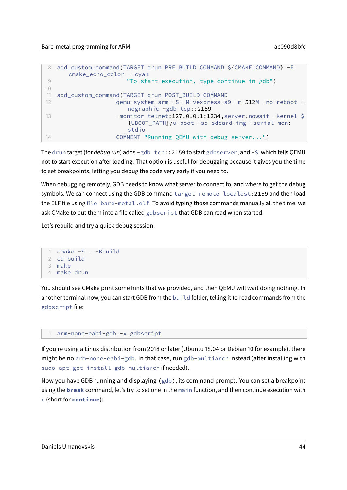```
8 add custom command(TARGET drun PRE BUILD COMMAND ${CMAKE COMMAND} -E
     cmake echo color --cyan
9 "To start execution, type continue in gdb")
10
11 add_custom_command(TARGET drun POST_BUILD COMMAND
12 qemu-system-arm -S -M vexpress-a9 -m 512M -no-reboot -
                    nographic -gdb tcp::2159
13 - monitor telnet:127.0.0.1:1234, server, nowait -kernel $
                    {UBOOT_PATH}/u-boot -sd sdcard.img -serial mon:
                    stdio
14 COMMENT "Running QEMU with debug server...")
```
The drun target (for debug run) adds -gdb tcp::2159 to start gdbserver, and -S, which tells QEMU not to start execution after loading. That option is useful for debugging because it gives you the time to set breakpoints, letting you debug the code very early if you need to.

When debugging remotely, GDB needs to know what server to connect to, and where to get the debug symbols. We can connect using the GDB command target remote localost: 2159 and then load the ELF file using file bare-metal.elf. To avoid typing those commands manually all the time, we ask CMake to put them into a file called gdbscript that GDB can read when started.

Let's rebuild and try a quick debug session.

```
1 cmake -S . -Bbuild
2 cd build
3 make
4 make drun
```
You should see CMake print some hints that we provided, and then QEMU will wait doing nothing. In another terminal now, you can start GDB from the build folder, telling it to read commands from the gdbscript file:

#### 1 arm-none-eabi-gdb -x gdbscript

If you're using a Linux distribution from 2018 or later (Ubuntu 18.04 or Debian 10 for example), there might be no arm-none-eabi-gdb. In that case, run gdb-multiarch instead (after installing with sudo apt-get install gdb-multiarch if needed).

Now you have GDB running and displaying (gdb), its command prompt. You can set a breakpoint using the **break** command, let's try to set one in the main function, and then continue execution with c (short for **continue**):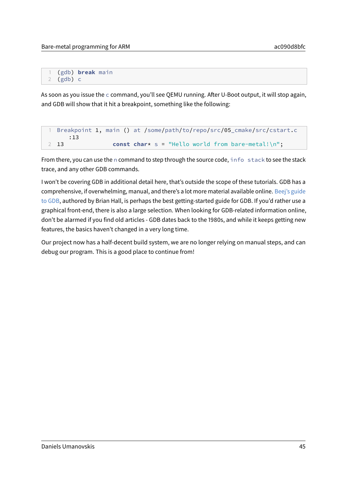1 (gdb) **break** main 2 (gdb) c

As soon as you issue the  $\epsilon$  command, you'll see QEMU running. After U-Boot output, it will stop again, and GDB will show that it hit a breakpoint, something like the following:

```
Breakpoint 1, main () at /some/path/to/repo/src/05_cmake/src/cstart.c
     :13
2 13 const char* s = "Hello world from bare-metal!\n";
```
From there, you can use the n command to step through the source code, info stack to see the stack trace, and any other GDB commands.

I won't be covering GDB in additional detail here, that's outside the scope of these tutorials. GDB has a comprehensive, if overwhelming, manual, and there's a lot more material available online. [Beej's guide](https://beej.us/guide/bggdb/) [to GDB,](https://beej.us/guide/bggdb/) authored by Brian Hall, is perhaps the best getting-started guide for GDB. If you'd rather use a graphical front-end, there is also a large selection. When looking for GDB-related information online, don't be alarmed if you find old articles - GDB dates back to the 1980s, and while it keeps getting new features, the basics haven't changed in a very long time.

Our project now has a half-decent build system, we are no longer relying on manual steps, and can debug our program. This is a good place to continue from!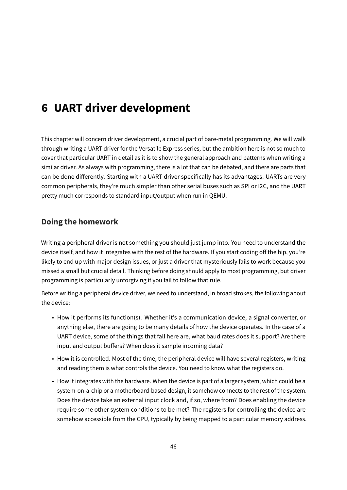# **6 UART driver development**

This chapter will concern driver development, a crucial part of bare-metal programming. We will walk through writing a UART driver for the Versatile Express series, but the ambition here is not so much to cover that particular UART in detail as it is to show the general approach and patterns when writing a similar driver. As always with programming, there is a lot that can be debated, and there are parts that can be done differently. Starting with a UART driver specifically has its advantages. UARTs are very common peripherals, they're much simpler than other serial buses such as SPI or I2C, and the UART pretty much corresponds to standard input/output when run in QEMU.

# **Doing the homework**

Writing a peripheral driver is not something you should just jump into. You need to understand the device itself, and how it integrates with the rest of the hardware. If you start coding off the hip, you're likely to end up with major design issues, or just a driver that mysteriously fails to work because you missed a small but crucial detail. Thinking before doing should apply to most programming, but driver programming is particularly unforgiving if you fail to follow that rule.

Before writing a peripheral device driver, we need to understand, in broad strokes, the following about the device:

- How it performs its function(s). Whether it's a communication device, a signal converter, or anything else, there are going to be many details of how the device operates. In the case of a UART device, some of the things that fall here are, what baud rates does it support? Are there input and output buffers? When does it sample incoming data?
- How it is controlled. Most of the time, the peripheral device will have several registers, writing and reading them is what controls the device. You need to know what the registers do.
- How it integrates with the hardware. When the device is part of a larger system, which could be a system-on-a-chip or a motherboard-based design, it somehow connects to the rest of the system. Does the device take an external input clock and, if so, where from? Does enabling the device require some other system conditions to be met? The registers for controlling the device are somehow accessible from the CPU, typically by being mapped to a particular memory address.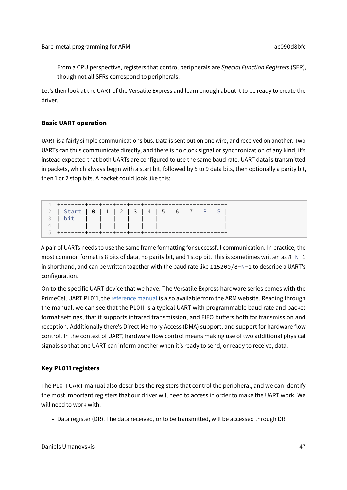From a CPU perspective, registers that control peripherals are Special Function Registers (SFR), though not all SFRs correspond to peripherals.

Let's then look at the UART of the Versatile Express and learn enough about it to be ready to create the driver.

# **Basic UART operation**

UART is a fairly simple communications bus. Data is sent out on one wire, and received on another. Two UARTs can thus communicate directly, and there is no clock signal or synchronization of any kind, it's instead expected that both UARTs are configured to use the same baud rate. UART data is transmitted in packets, which always begin with a start bit, followed by 5 to 9 data bits, then optionally a parity bit, then 1 or 2 stop bits. A packet could look like this:

| + - - - - - - - + - - - + - - - + - - - + - - - + - - - + - - - + - - - + - - - + - - - + |  |  |  |  |  |
|-------------------------------------------------------------------------------------------|--|--|--|--|--|
| 2   Start   0   1   2   3   4   5   6   7   P   S                                         |  |  |  |  |  |
| 3   bit                                                                                   |  |  |  |  |  |
|                                                                                           |  |  |  |  |  |
|                                                                                           |  |  |  |  |  |

A pair of UARTs needs to use the same frame formatting for successful communication. In practice, the most common format is 8 bits of data, no parity bit, and 1 stop bit. This is sometimes written as  $8-N-1$ in shorthand, and can be written together with the baud rate like 115200/8-N-1 to describe a UART's configuration.

On to the specific UART device that we have. The Versatile Express hardware series comes with the PrimeCell UART PL011, the [reference manual](http://infocenter.arm.com/help/index.jsp?topic=/com.arm.doc.ddi0183g/index.html) is also available from the ARM website. Reading through the manual, we can see that the PL011 is a typical UART with programmable baud rate and packet format settings, that it supports infrared transmission, and FIFO buffers both for transmission and reception. Additionally there's Direct Memory Access (DMA) support, and support for hardware flow control. In the context of UART, hardware flow control means making use of two additional physical signals so that one UART can inform another when it's ready to send, or ready to receive, data.

# **Key PL011 registers**

The PL011 UART manual also describes the registers that control the peripheral, and we can identify the most important registers that our driver will need to access in order to make the UART work. We will need to work with:

• Data register (DR). The data received, or to be transmitted, will be accessed through DR.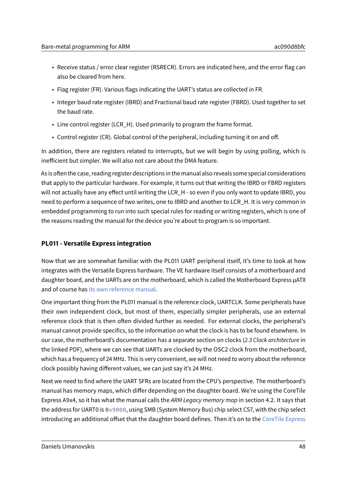- Receive status / error clear register (RSRECR). Errors are indicated here, and the error flag can also be cleared from here.
- Flag register (FR). Various flags indicating the UART's status are collected in FR.
- Integer baud rate register (IBRD) and Fractional baud rate register (FBRD). Used together to set the baud rate.
- Line control register (LCR\_H). Used primarily to program the frame format.
- $\cdot$  Control register (CR). Global control of the peripheral, including turning it on and off.

In addition, there are registers related to interrupts, but we will begin by using polling, which is inefficient but simpler. We will also not care about the DMA feature.

As is often the case, reading register descriptions in the manual also reveals some special considerations that apply to the particular hardware. For example, it turns out that writing the IBRD or FBRD registers will not actually have any effect until writing the LCR\_H - so even if you only want to update IBRD, you need to perform a sequence of two writes, one to IBRD and another to LCR\_H. It is very common in embedded programming to run into such special rules for reading or writing registers, which is one of the reasons reading the manual for the device you're about to program is so important.

### **PL011 - Versatile Express integration**

Now that we are somewhat familiar with the PL011 UART peripheral itself, it's time to look at how integrates with the Versatile Express hardware. The VE hardware itself consists of a motherboard and daughter board, and the UARTs are on the motherboard, which is called the Motherboard Express µATX and of course has [its own reference manual.](http://infocenter.arm.com/help/topic/com.arm.doc.dui0447j/DUI0447J_v2m_p1_trm.pdf)

One important thing from the PL011 manual is the reference clock, UARTCLK. Some peripherals have their own independent clock, but most of them, especially simpler peripherals, use an external reference clock that is then often divided further as needed. For external clocks, the peripheral's manual cannot provide specifics, so the information on what the clock is has to be found elsewhere. In our case, the motherboard's documentation has a separate section on clocks (2.3 Clock architecture in the linked PDF), where we can see that UARTs are clocked by the OSC2 clock from the motherboard, which has a frequency of 24 MHz. This is very convenient, we will not need to worry about the reference clock possibly having different values, we can just say it's 24 MHz.

Next we need to find where the UART SFRs are located from the CPU's perspective. The motherboard's manual has memory maps, which differ depending on the daughter board. We're using the CoreTile Express A9x4, so it has what the manual calls the ARM Legacy memory map in section 4.2. It says that the address for UART0 is 0x9000, using SMB (System Memory Bus) chip select CS7, with the chip select introducing an additional offset that the daughter board defines. Then it's on to the [CoreTile Express](http://infocenter.arm.com/help/topic/com.arm.doc.dui0448i/DUI0448I_v2p_ca9_trm.pdf)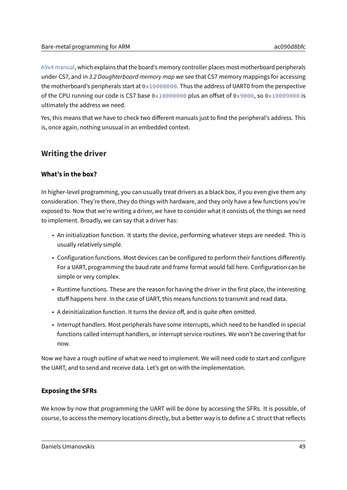[A9x4 manual,](http://infocenter.arm.com/help/topic/com.arm.doc.dui0448i/DUI0448I_v2p_ca9_trm.pdf) which explains that the board's memory controller places most motherboard peripherals under CS7, and in 3.2 Daughterboard memory map we see that CS7 memory mappings for accessing the motherboard's peripherals start at 0x10000000. Thus the address of UART0 from the perspective of the CPU running our code is CS7 base  $0 \times 100000000$  plus an offset of 0x9000, so 0x10009000 is ultimately the address we need.

Yes, this means that we have to check two different manuals just to find the peripheral's address. This is, once again, nothing unusual in an embedded context.

# **Writing the driver**

# **What's in the box?**

In higher-level programming, you can usually treat drivers as a black box, if you even give them any consideration. They're there, they do things with hardware, and they only have a few functions you're exposed to. Now that we're writing a driver, we have to consider what it consists of, the things we need to implement. Broadly, we can say that a driver has:

- An initialization function. It starts the device, performing whatever steps are needed. This is usually relatively simple.
- Configuration functions. Most devices can be configured to perform their functions differently. For a UART, programming the baud rate and frame format would fall here. Configuration can be simple or very complex.
- Runtime functions. These are the reason for having the driver in the first place, the interesting stuff happens here. In the case of UART, this means functions to transmit and read data.
- A deinitialization function. It turns the device off, and is quite often omitted.
- Interrupt handlers. Most peripherals have some interrupts, which need to be handled in special functions called interrupt handlers, or interrupt service routines. We won't be covering that for now.

Now we have a rough outline of what we need to implement. We will need code to start and configure the UART, and to send and receive data. Let's get on with the implementation.

# **Exposing the SFRs**

We know by now that programming the UART will be done by accessing the SFRs. It is possible, of course, to access the memory locations directly, but a better way is to define a C struct that reflects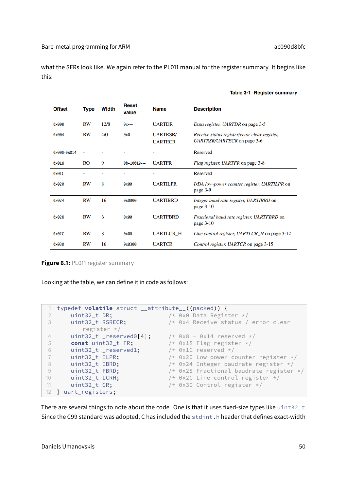what the SFRs look like. We again refer to the PL011 manual for the register summary. It begins like this:

| <b>Offset</b> | Type      | Width | <b>Reset</b><br>value | <b>Name</b>                       | <b>Description</b>                                                           |
|---------------|-----------|-------|-----------------------|-----------------------------------|------------------------------------------------------------------------------|
| 0x000         | RW        | 12/8  | $0x--$                | <b>UARTDR</b>                     | Data register, UARTDR on page 3-5                                            |
| 0x004         | <b>RW</b> | 4/0   | 0x0                   | <b>UARTRSR/</b><br><b>UARTECR</b> | Receive status register/error clear register,<br>UARTRSR/UARTECR on page 3-6 |
| 0x008-0x014   |           |       |                       |                                   | Reserved                                                                     |
| 0x018         | RO        | 9     | $0b-10010--$          | <b>UARTFR</b>                     | Flag register, UARTFR on page 3-8                                            |
| 0x01C         |           |       |                       | ۰                                 | Reserved                                                                     |
| 0x020         | <b>RW</b> | 8     | 0x00                  | <b>UARTILPR</b>                   | IrDA low-power counter register, UARTILPR on<br>page 3-9                     |
| 0x024         | <b>RW</b> | 16    | 0x0000                | <b>UARTIBRD</b>                   | Integer baud rate register, UARTIBRD on<br>page $3-10$                       |
| 0x028         | <b>RW</b> | 6     | <b>axaa</b>           | <b>UARTFBRD</b>                   | Fractional baud rate register, UARTFBRD on<br>page $3-10$                    |
| 0x02C         | RW        | 8     | 0x00                  | <b>UARTLCR H</b>                  | Line control register, UARTLCR_H on page 3-12                                |
| 0x030         | RW        | 16    | 0x0300                | <b>UARTCR</b>                     | Control register, UARTCR on page 3-15                                        |

Table 3-1 Register summary

**Figure 6.1: PL011 register summary** 

Looking at the table, we can define it in code as follows:

```
1 typedef volatile struct __attribute__((packed)) {
 2 uint32_t DR; /* 0x0 Data Register */
 3 uint32_t RSRECR; /* 0x4 Receive status / error clear
         register */
 4 uint32_t = reserved0[4]; \qquad \times 0x8 - 0x14 reserved \star/5 const uint32_t FR; /* 0x18 Flag register */
 6  uint32_t _reserved1; \rightarrow /* 0x1C reserved */
7 uint32_t ILPR; \frac{1}{2} /* 0x20 Low-power counter register */
8 uint32_t IBRD; \frac{1}{2} /* 0x24 Integer baudrate register */
9 uint32_t FBRD;<br>10 uint32_t LCRH; /* 0x2C Line control register */<br>10 uint32_t LCRH; /* 0x2C Line control register */
10 uint32_t LCRH; \frac{1}{2} /* 0x2C Line control register */
11 uint32_t CR; \frac{1}{x} 0x30 Control register \frac{x}{x}12 } uart_registers;
```
There are several things to note about the code. One is that it uses fixed-size types like uint32 t. Since the C99 standard was adopted, C has included the stdint.h header that defines exact-width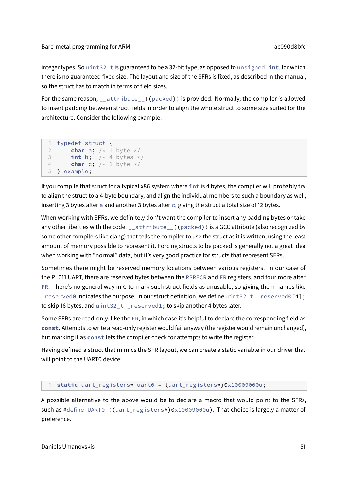integer types. So uint32\_t is guaranteed to be a 32-bit type, as opposed to unsigned **int**, for which there is no guaranteed fixed size. The layout and size of the SFRs is fixed, as described in the manual, so the struct has to match in terms of field sizes.

For the same reason, \_\_attribute\_\_((packed)) is provided. Normally, the compiler is allowed to insert padding between struct fields in order to align the whole struct to some size suited for the architecture. Consider the following example:

```
1 typedef struct {
2 char a; /* 1 byte */
3 int b; /* 4 bytes */
4 char c; /* 1 byte */
5 } example;
```
If you compile that struct for a typical x86 system where **int** is 4 bytes, the compiler will probably try to align the struct to a 4-byte boundary, and align the individual members to such a boundary as well, inserting 3 bytes after a and another 3 bytes after  $c$ , giving the struct a total size of 12 bytes.

When working with SFRs, we definitely don't want the compiler to insert any padding bytes or take any other liberties with the code. attribute ((packed)) is a GCC attribute (also recognized by some other compilers like clang) that tells the compiler to use the struct as it is written, using the least amount of memory possible to represent it. Forcing structs to be packed is generally not a great idea when working with "normal" data, but it's very good practice for structs that represent SFRs.

Sometimes there might be reserved memory locations between various registers. In our case of the PL011 UART, there are reserved bytes between the RSRECR and FR registers, and four more after FR. There's no general way in C to mark such struct fields as unusable, so giving them names like  $\Box$ reserved0 indicates the purpose. In our struct definition, we define uint32 $\bot$ t  $\Box$ reserved0[4]; to skip 16 bytes, and uint32\_t \_reserved1; to skip another 4 bytes later.

Some SFRs are read-only, like the FR, in which case it's helpful to declare the corresponding field as **const**. Attempts to write a read-only register would fail anyway (the register would remain unchanged), but marking it as **const** lets the compiler check for attempts to write the register.

Having defined a struct that mimics the SFR layout, we can create a static variable in our driver that will point to the UART0 device:

### 1 **static** uart\_registers\* uart0 = (uart\_registers\*)0x10009000u;

A possible alternative to the above would be to declare a macro that would point to the SFRs, such as #define UART0 ((uart\_registers\*)0x10009000u). That choice is largely a matter of preference.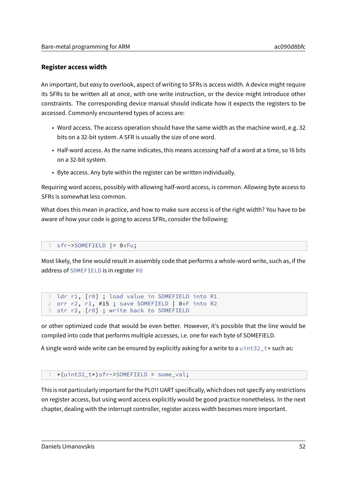### **Register access width**

An important, but easy to overlook, aspect of writing to SFRs is access width. A device might require its SFRs to be written all at once, with one write instruction, or the device might introduce other constraints. The corresponding device manual should indicate how it expects the registers to be accessed. Commonly encountered types of access are:

- Word access. The access operation should have the same width as the machine word, e.g. 32 bits on a 32-bit system. A SFR is usually the size of one word.
- Half-word access. As the name indicates, this means accessing half of a word at a time, so 16 bits on a 32-bit system.
- Byte access. Any byte within the register can be written individually.

Requiring word access, possibly with allowing half-word access, is common. Allowing byte access to SFRs is somewhat less common.

What does this mean in practice, and how to make sure access is of the right width? You have to be aware of how your code is going to access SFRs, consider the following:

sfr->SOMEFIELD |= 0xFu;

Most likely, the line would result in assembly code that performs a whole-word write, such as, if the address of SOMEFIELD is in register R0

```
1 ldr r1, [r0] ; load value in SOMEFIELD into R1
2 orr r2, r1, #15 ; save SOMEFIELD | 0xF into R2
3 str r2, [r0] ; write back to SOMEFIELD
```
or other optimized code that would be even better. However, it's possible that the line would be compiled into code that performs multiple accesses, i.e. one for each byte of SOMEFIELD.

A single word-wide write can be ensured by explicitly asking for a write to a uint32\_t\* such as:

### 1 \*(uint32\_t\*)sfr->SOMEFIELD = some\_val;

This is not particularly important for the PL011 UART specifically, which does not specify any restrictions on register access, but using word access explicitly would be good practice nonetheless. In the next chapter, dealing with the interrupt controller, register access width becomes more important.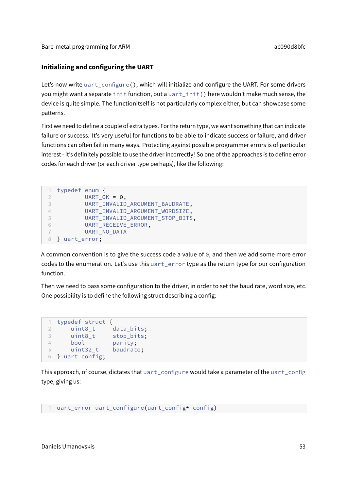# **Initializing and configuring the UART**

Let's now write uart\_configure(), which will initialize and configure the UART. For some drivers you might want a separate init function, but a uart init() here wouldn't make much sense, the device is quite simple. The functionitself is not particularly complex either, but can showcase some patterns.

First we need to define a couple of extra types. For the return type, we want something that can indicate failure or success. It's very useful for functions to be able to indicate success or failure, and driver functions can often fail in many ways. Protecting against possible programmer errors is of particular interest - it's definitely possible to use the driver incorrectly! So one of the approaches is to define error codes for each driver (or each driver type perhaps), like the following:

```
1 typedef enum {
2 UART OK = \theta.
3 UART_INVALID_ARGUMENT_BAUDRATE,
4 UART_INVALID_ARGUMENT_WORDSIZE,
5 UART_INVALID_ARGUMENT_STOP_BITS,
6 UART_RECEIVE_ERROR,
7 UART_NO_DATA
8 } uart_error;
```
A common convention is to give the success code a value of 0, and then we add some more error codes to the enumeration. Let's use this uart\_error type as the return type for our configuration function.

Then we need to pass some configuration to the driver, in order to set the baud rate, word size, etc. One possibility is to define the following struct describing a config:

```
1 typedef struct {
2 uint8_t data_bits;
3 uint8_t stop_bits;
4 bool parity;
5 uint32_t baudrate;
6 } uart_config;
```
This approach, of course, dictates that uart\_configure would take a parameter of the uart\_config type, giving us:

```
1 uart_error uart_configure(uart_config* config)
```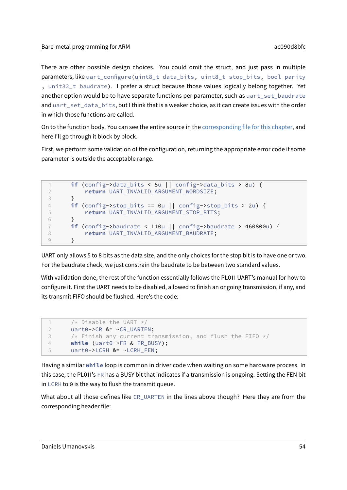There are other possible design choices. You could omit the struct, and just pass in multiple parameters, like uart\_configure(uint8\_t data\_bits, uint8\_t stop\_bits, bool parity , unit32\_t baudrate). I prefer a struct because those values logically belong together. Yet another option would be to have separate functions per parameter, such as uart\_set\_baudrate and uart\_set\_data\_bits, but I think that is a weaker choice, as it can create issues with the order in which those functions are called.

On to the function body. You can see the entire source in the [corresponding file for this chapter,](../src/06_uart/src/uart_pl011.c) and here I'll go through it block by block.

First, we perform some validation of the configuration, returning the appropriate error code if some parameter is outside the acceptable range.

```
1 if (config->data_bits < 5u || config->data_bits > 8u) {
2 return UART_INVALID_ARGUMENT_WORDSIZE;
3 }
4 if (config->stop_bits == 0u || config->stop_bits > 2u) {
5 return UART_INVALID_ARGUMENT_STOP_BITS;
6 }
7 if (config->baudrate < 110u || config->baudrate > 460800u) {
8 return UART_INVALID_ARGUMENT_BAUDRATE;
9 }
```
UART only allows 5 to 8 bits as the data size, and the only choices for the stop bit is to have one or two. For the baudrate check, we just constrain the baudrate to be between two standard values.

With validation done, the rest of the function essentially follows the PL011 UART's manual for how to configure it. First the UART needs to be disabled, allowed to finish an ongoing transmission, if any, and its transmit FIFO should be flushed. Here's the code:

```
1 /* Disable the UART */2 uart0->CR &= ~CR_UARTEN;
3 /* Finish any current transmission, and flush the FIFO */4 while (uart0->FR & FR_BUSY);
5 uart0->LCRH &= ~LCRH_FEN;
```
Having a similar **while** loop is common in driver code when waiting on some hardware process. In this case, the PL011's FR has a BUSY bit that indicates if a transmission is ongoing. Setting the FEN bit in LCRH to 0 is the way to flush the transmit queue.

What about all those defines like CR\_UARTEN in the lines above though? Here they are from the corresponding header file: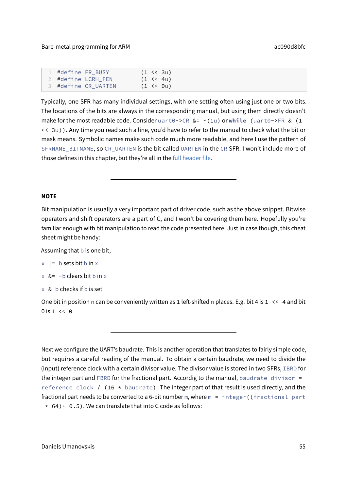| #define FR_BUSY     | $(1 \leq 3u)$       |  |
|---------------------|---------------------|--|
| 2 #define LCRH_FEN  | $(1 \le 4u)$        |  |
| 3 #define CR_UARTEN | $(1 \leq \theta u)$ |  |

Typically, one SFR has many individual settings, with one setting often using just one or two bits. The locations of the bits are always in the corresponding manual, but using them directly doesn't make for the most readable code. Consider uart0->CR &= ~(1u) or **while** (uart0->FR & (1 << 3u)). Any time you read such a line, you'd have to refer to the manual to check what the bit or mask means. Symbolic names make such code much more readable, and here I use the pattern of SFRNAME\_BITNAME, so CR\_UARTEN is the bit called UARTEN in the CR SFR. I won't include more of those defines in this chapter, but they're all in the [full header file.](../src/06_uart/src/uart_pl011.h)

#### **NOTE**

Bit manipulation is usually a very important part of driver code, such as the above snippet. Bitwise operators and shift operators are a part of C, and I won't be covering them here. Hopefully you're familiar enough with bit manipulation to read the code presented here. Just in case though, this cheat sheet might be handy:

Assuming that b is one bit,

#### $x$  | = b sets bit b in  $x$

- $x \&= \sim b$  clears bit b in x
- $\times$  & b checks if b is set

One bit in position n can be conveniently written as 1 left-shifted n places. E.g. bit 4 is  $1 \leq 4$  and bit  $0$  is  $1 \leq \theta$ 

Next we configure the UART's baudrate. This is another operation that translates to fairly simple code, but requires a careful reading of the manual. To obtain a certain baudrate, we need to divide the (input) reference clock with a certain divisor value. The divisor value is stored in two SFRs, IBRD for the integer part and FBRD for the fractional part. Accordig to the manual, baudrate divisor  $=$ reference clock / (16  $\star$  baudrate). The integer part of that result is used directly, and the fractional part needs to be converted to a 6-bit number m, where m = integer ((fractional part  $* 64$  + 0.5). We can translate that into C code as follows: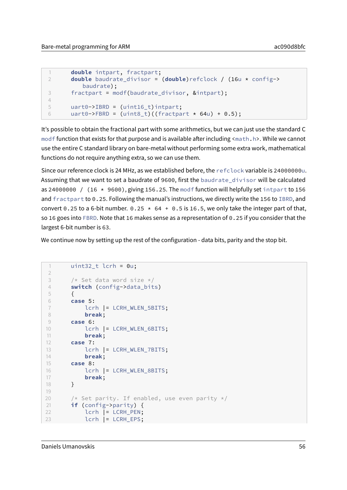```
1 double intpart, fractpart;
2 double baudrate_divisor = (double)refclock / (16u * config->
         baudrate);
3 fractpart = modf(baudrate_divisor, &intpart);
4
5 uart0->IBRD = (uint16_t)intpart;
6 uart0->FBRD = (uint8_t)( (fractpart * 64u) + 0.5);
```
It's possible to obtain the fractional part with some arithmetics, but we can just use the standard C modf function that exists for that purpose and is available after including  $\langle \text{match}, h \rangle$ . While we cannot use the entire C standard library on bare-metal without performing some extra work, mathematical functions do not require anything extra, so we can use them.

Since our reference clock is 24 MHz, as we established before, the refclock variable is 24000000u. Assuming that we want to set a baudrate of 9600, first the baudrate\_divisor will be calculated as 24000000 / (16  $\star$  9600), giving 156.25. The modf function will helpfully set intpart to 156 and fractpart to 0.25. Following the manual's instructions, we directly write the 156 to IBRD, and convert 0.25 to a 6-bit number. 0.25  $\star$  64 + 0.5 is 16.5, we only take the integer part of that, so 16 goes into FBRD. Note that 16 makes sense as a representation of 0.25 if you consider that the largest 6-bit number is 63.

We continue now by setting up the rest of the configuration - data bits, parity and the stop bit.

```
1 uint32 t lcrh = 0u;
\overline{\phantom{a}}3 /* Set data word size */4 switch (config->data_bits)
5 {
6 case 5:
7 lcrh |= LCRH_WLEN_5BITS;
8 break;
9 case 6:
10 lcrh |= LCRH_WLEN_6BITS;
11 break;
12 case 7:
13 lcrh |= LCRH_WLEN_7BITS;
14 break;
15 case 8:
16 lcrh |= LCRH_WLEN_8BITS;
17 break;
18 }
19
20 \frac{1}{x} Set parity. If enabled, use even parity \frac{x}{x}21 if (config->parity) {
22 lcrh |= LCRH_PEN;
23 lcrh |= LCRH_EPS;
```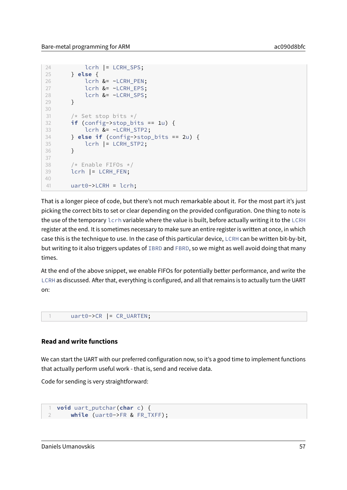```
24 lcrh |= LCRH_SPS;
25 } else {
26 lcrh &= ~LCRH_PEN;
27 lcrh &= ~LCRH_EPS;
28 lcrh &= ~LCRH_SPS;
29 }
30
31 /* Set stop bits */32 if (config->stop_bits == 1u) {
33 lcrh &= ~LCRH_STP2;
34 } else if (config->stop_bits == 2u) {
35 lcrh |= LCRH_STP2;
36 }
37
38 /* Enable FIFOs */
39 lcrh |= LCRH_FEN;
4041 uart0->LCRH = lcrh;
```
That is a longer piece of code, but there's not much remarkable about it. For the most part it's just picking the correct bits to set or clear depending on the provided configuration. One thing to note is the use of the temporary lcrh variable where the value is built, before actually writing it to the LCRH register at the end. It is sometimes necessary to make sure an entire register is written at once, in which case this is the technique to use. In the case of this particular device, LCRH can be written bit-by-bit, but writing to it also triggers updates of IBRD and FBRD, so we might as well avoid doing that many times.

At the end of the above snippet, we enable FIFOs for potentially better performance, and write the LCRH as discussed. After that, everything is configured, and all that remains is to actually turn the UART on:

1 uart0->CR |= CR\_UARTEN;

### **Read and write functions**

We can start the UART with our preferred configuration now, so it's a good time to implement functions that actually perform useful work - that is, send and receive data.

Code for sending is very straightforward:

```
1 void uart_putchar(char c) {
    while (uart0->FR & FR_TXFF);
```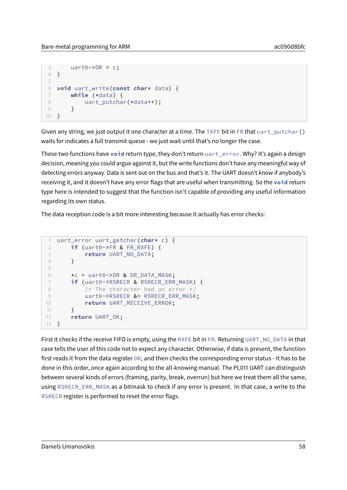```
3 uart0 \rightarrow \text{DR} = c;
4 }
5
6 void uart_write(const char* data) {
7 while (*data) {
8 uart_putchar(*data++);
9 }
10 }
```
Given any string, we just output it one character at a time. The TXFF bit in FR that  $u$ art\_putchar() waits for indicates a full transmit queue - we just wait until that's no longer the case.

These two functions have **void** return type, they don't return uart\_error. Why? It's again a design decision, meaning you could argue against it, but the write functions don't have any meaningful way of detecting errors anyway. Data is sent out on the bus and that's it. The UART doesn't know if anybody's receiving it, and it doesn't have any error flags that are useful when transmitting. So the **void** return type here is intended to suggest that the function isn't capable of providing any useful information regarding its own status.

The data reception code is a bit more interesting because it actually has error checks:

```
1 uart_error uart_getchar(char* c) {
2 if (uart0->FR & FR_RXFE) {
3 return UART_NO_DATA;
4 }
5
6 \times c = \text{uart0->DR} & DR_DATA_MASK;
7 if (uart0->RSRECR & RSRECR_ERR_MASK) {
8 /* The character had an error */9 uart0->RSRECR &= RSRECR_ERR_MASK;
10 return UART RECEIVE ERROR;
11 \qquad \qquad }
12 return UART OK;
13 }
```
First it checks if the receive FIFO is empty, using the RXFE bit in FR. Returning UART\_NO\_DATA in that case tells the user of this code not to expect any character. Otherwise, if data is present, the function first reads it from the data register DR, and then checks the corresponding error status - it has to be done in this order, once again according to the all-knowing manual. The PL011 UART can distinguish between several kinds of errors (framing, parity, break, overrun) but here we treat them all the same, using RSRECR\_ERR\_MASK as a bitmask to check if any error is present. In that case, a write to the RSRECR register is performed to reset the error flags.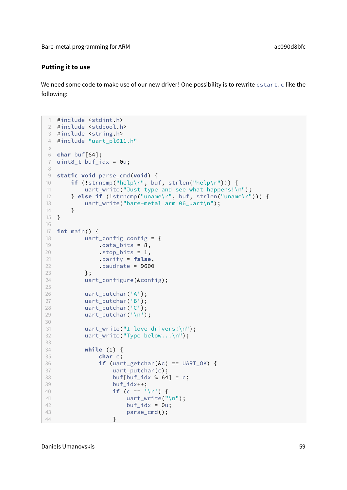### **Putting it to use**

We need some code to make use of our new driver! One possibility is to rewrite cstart.c like the following:

```
1 #include <stdint.h>
2 #include <stdbool.h>
3 #include <string.h>
4 #include "uart_pl011.h"
5
6 char buf[64];
7 uint8_t buf_idx = 0u;
8
9 static void parse_cmd(void) {
10 if (!strncmp("help\r", buf, strlen("help\r"))) {
11 uart_write("Just type and see what happens!\n");
12 } else if (!strncmp("uname\r", buf, strlen("uname\r"))) {
13 uart_write("bare-metal arm 06_uart\n");
14 }
15 }
16
17 int main() {
18 uart_config config = {
19 .data_bits = 8,
20 .stop_bits = 1,
21 .parity = false,
22 .baudrate = 9600
23 };
24 uart_configure(&config);
25
26 uart_putchar('A');
27 uart_putchar('B');
28 uart_putchar('C');
29 uart_putchar('\n');
30
31 uart_write("I love drivers!\n");
32 uart_write("Type below...\n");
33
34 while (1) {
35 char c;
36 if (uart_getchar(&c) == UART_OK) {
37 uart_putchar(c);
38 buf[buf_idx % 64] = c;
39 buf_idx++;
40 if (c == '\r') {
41 uart write("\n");
42 buf_idx = 0u;
43 parse_cmd();
44 }
```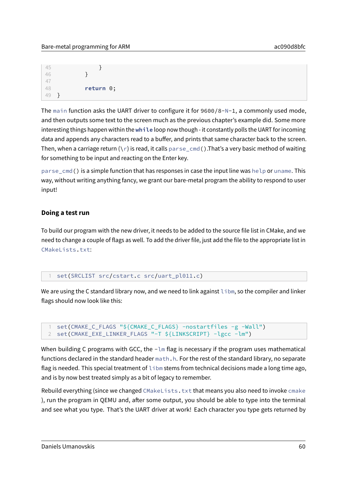| 45 |              |  |
|----|--------------|--|
| 46 |              |  |
|    |              |  |
|    | return $0$ ; |  |
| 49 |              |  |

The main function asks the UART driver to configure it for 9600/8-N-1, a commonly used mode, and then outputs some text to the screen much as the previous chapter's example did. Some more interesting things happen within the **while** loop now though - it constantly polls the UART for incoming data and appends any characters read to a buffer, and prints that same character back to the screen. Then, when a carriage return  $(\nabla r)$  is read, it calls parse\_cmd(). That's a very basic method of waiting for something to be input and reacting on the Enter key.

parse\_cmd() is a simple function that has responses in case the input line was help or uname. This way, without writing anything fancy, we grant our bare-metal program the ability to respond to user input!

### **Doing a test run**

To build our program with the new driver, it needs to be added to the source file list in CMake, and we need to change a couple of flags as well. To add the driver file, just add the file to the appropriate list in CMakeLists.txt:

### set(SRCLIST src/cstart.c src/uart\_pl011.c)

We are using the C standard library now, and we need to link against libm, so the compiler and linker flags should now look like this:

1 set(CMAKE\_C\_FLAGS "\${CMAKE\_C\_FLAGS} -nostartfiles -g -Wall") 2 set(CMAKE\_EXE\_LINKER\_FLAGS "-T \${LINKSCRIPT} -lgcc -lm")

When building C programs with GCC, the  $-\text{Im }$  flag is necessary if the program uses mathematical functions declared in the standard header math.h. For the rest of the standard library, no separate flag is needed. This special treatment of libm stems from technical decisions made a long time ago, and is by now best treated simply as a bit of legacy to remember.

Rebuild everything (since we changed CMakeLists.txt that means you also need to invoke cmake ), run the program in QEMU and, after some output, you should be able to type into the terminal and see what you type. That's the UART driver at work! Each character you type gets returned by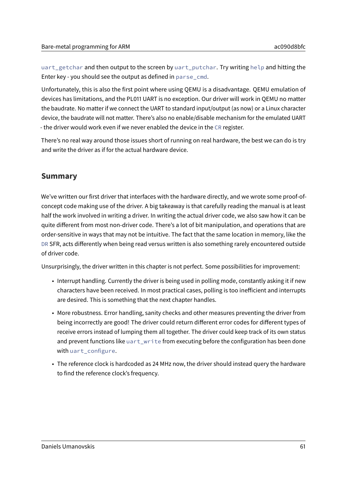uart\_getchar and then output to the screen by uart\_putchar. Try writing help and hitting the Enter key - you should see the output as defined in parse\_cmd.

Unfortunately, this is also the first point where using QEMU is a disadvantage. QEMU emulation of devices has limitations, and the PL011 UART is no exception. Our driver will work in QEMU no matter the baudrate. No matter if we connect the UART to standard input/output (as now) or a Linux character device, the baudrate will not matter. There's also no enable/disable mechanism for the emulated UART - the driver would work even if we never enabled the device in the CR register.

There's no real way around those issues short of running on real hardware, the best we can do is try and write the driver as if for the actual hardware device.

# **Summary**

We've written our first driver that interfaces with the hardware directly, and we wrote some proof-ofconcept code making use of the driver. A big takeaway is that carefully reading the manual is at least half the work involved in writing a driver. In writing the actual driver code, we also saw how it can be quite different from most non-driver code. There's a lot of bit manipulation, and operations that are order-sensitive in ways that may not be intuitive. The fact that the same location in memory, like the DR SFR, acts differently when being read versus written is also something rarely encountered outside of driver code.

Unsurprisingly, the driver written in this chapter is not perfect. Some possibilities for improvement:

- Interrupt handling. Currently the driver is being used in polling mode, constantly asking it if new characters have been received. In most practical cases, polling is too inefficient and interrupts are desired. This is something that the next chapter handles.
- More robustness. Error handling, sanity checks and other measures preventing the driver from being incorrectly are good! The driver could return different error codes for different types of receive errors instead of lumping them all together. The driver could keep track of its own status and prevent functions like uart\_write from executing before the configuration has been done with uart\_configure.
- The reference clock is hardcoded as 24 MHz now, the driver should instead query the hardware to find the reference clock's frequency.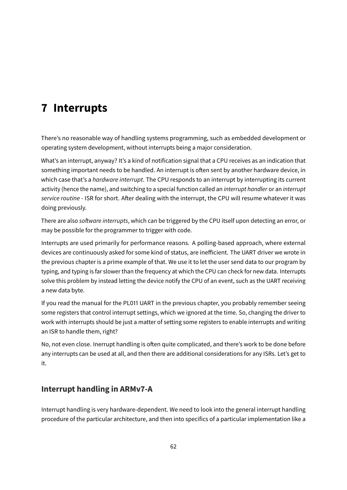# **7 Interrupts**

There's no reasonable way of handling systems programming, such as embedded development or operating system development, without interrupts being a major consideration.

What's an interrupt, anyway? It's a kind of notification signal that a CPU receives as an indication that something important needs to be handled. An interrupt is often sent by another hardware device, in which case that's a *hardware interrupt*. The CPU responds to an interrupt by interrupting its current activity (hence the name), and switching to a special function called an interrupt handler or an interrupt service routine - ISR for short. After dealing with the interrupt, the CPU will resume whatever it was doing previously.

There are also software interrupts, which can be triggered by the CPU itself upon detecting an error, or may be possible for the programmer to trigger with code.

Interrupts are used primarily for performance reasons. A polling-based approach, where external devices are continuously asked for some kind of status, are inefficient. The UART driver we wrote in the previous chapter is a prime example of that. We use it to let the user send data to our program by typing, and typing is far slower than the frequency at which the CPU can check for new data. Interrupts solve this problem by instead letting the device notify the CPU of an event, such as the UART receiving a new data byte.

If you read the manual for the PL011 UART in the previous chapter, you probably remember seeing some registers that control interrupt settings, which we ignored at the time. So, changing the driver to work with interrupts should be just a matter of setting some registers to enable interrupts and writing an ISR to handle them, right?

No, not even close. Inerrupt handling is often quite complicated, and there's work to be done before any interrupts can be used at all, and then there are additional considerations for any ISRs. Let's get to it.

# **Interrupt handling in ARMv7-A**

Interrupt handling is very hardware-dependent. We need to look into the general interrupt handling procedure of the particular architecture, and then into specifics of a particular implementation like a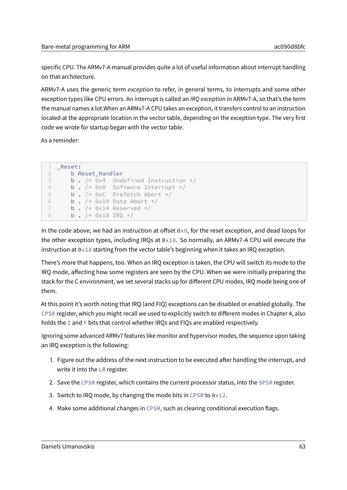specific CPU. The ARMv7-A manual provides quite a lot of useful information about interrupt handling on that architecture.

ARMv7-A uses the generic term exception to refer, in general terms, to interrupts and some other exception types like CPU errors. An interrupt is called an IRO exception in ARMv7-A, so that's the term the manual names a lot.When an ARMv7-A CPU takes an exception, it transfers control to an instruction located at the appropriate location in the vector table, depending on the exception type. The very first code we wrote for startup began with the vector table.

As a reminder:

```
1 _Reset:
2 b Reset_Handler
3 b . /* 0x4 Undefined Instruction */
4 b . /* 0x8 Software Interrupt */
5 b . /* 0xC Prefetch Abort */
6 b . /* 0x10 Data Abort */7 b. /* 0x14 Reserved */8 b . /* 0x18 IRO */
```
In the code above, we had an instruction at offset  $0\times0$ , for the reset exception, and dead loops for the other exception types, including IRQs at 0x18. So normally, an ARMv7-A CPU will execute the instruction at  $0 \times 18$  starting from the vector table's beginning when it takes an IRQ exception.

There's more that happens, too. When an IRQ exception is taken, the CPU will switch its mode to the IRQ mode, affecting how some registers are seen by the CPU. When we were initially preparing the stack for the C environment, we set several stacks up for different CPU modes, IRQ mode being one of them.

At this point it's worth noting that IRQ (and FIQ) exceptions can be disabled or enabled globally. The CPSR register, which you might recall we used to explicitly switch to different modes in Chapter 4, also holds the I and F bits that control whether IRQs and FIQs are enabled respectively.

Ignoring some advanced ARMv7 features like monitor and hypervisor modes, the sequence upon taking an IRQ exception is the following:

- 1. Figure out the address of the next instruction to be executed after handling the interrupt, and write it into the LR register.
- 2. Save the CPSR register, which contains the current processor status, into the SPSR register.
- 3. Switch to IRQ mode, by changing the mode bits in CPSR to  $0 \times 12$ .
- 4. Make some additional changes in CPSR, such as clearing conditional execution flags.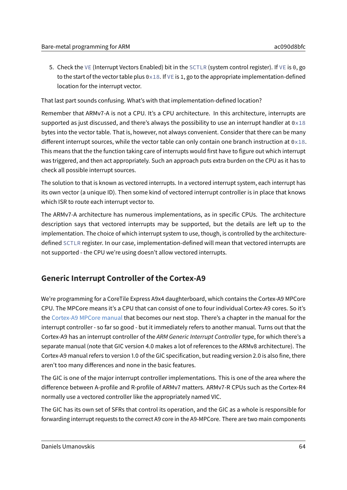5. Check the VE (Interrupt Vectors Enabled) bit in the SCTLR (system control register). If VE is 0, go to the start of the vector table plus  $0 \times 18$ . If  $V \to \infty$  is 1, go to the appropriate implementation-defined location for the interrupt vector.

That last part sounds confusing. What's with that implementation-defined location?

Remember that ARMv7-A is not a CPU. It's a CPU architecture. In this architecture, interrupts are supported as just discussed, and there's always the possibility to use an interrupt handler at  $0\times18$ bytes into the vector table. That is, however, not always convenient. Consider that there can be many different interrupt sources, while the vector table can only contain one branch instruction at  $0 \times 18$ . This means that the the function taking care of interrupts would first have to figure out which interrupt was triggered, and then act appropriately. Such an approach puts extra burden on the CPU as it has to check all possible interrupt sources.

The solution to that is known as vectored interrupts. In a vectored interrupt system, each interrupt has its own vector (a unique ID). Then some kind of vectored interrupt controller is in place that knows which ISR to route each interrupt vector to.

The ARMv7-A architecture has numerous implementations, as in specific CPUs. The architecture description says that vectored interrupts may be supported, but the details are left up to the implementation. The choice of which interrupt system to use, though, is controlled by the architecturedefined SCTLR register. In our case, implementation-defined will mean that vectored interrupts are not supported - the CPU we're using doesn't allow vectored interrupts.

# **Generic Interrupt Controller of the Cortex-A9**

We're programming for a CoreTile Express A9x4 daughterboard, which contains the Cortex-A9 MPCore CPU. The MPCore means it's a CPU that can consist of one to four individual Cortex-A9 cores. So it's the [Cortex-A9 MPCore manual](https://static.docs.arm.com/ddi0407/h/DDI0407H_cortex_a9_mpcore_r4p0_trm.pdf) that becomes our next stop. There's a chapter in the manual for the interrupt controller - so far so good - but it immediately refers to another manual. Turns out that the Cortex-A9 has an interrupt controller of the ARM Generic Interrupt Controller type, for which there's a separate manual (note that GIC version 4.0 makes a lot of references to the ARMv8 architecture). The Cortex-A9 manual refers to version 1.0 of the GIC specification, but reading version 2.0 is also fine, there aren't too many differences and none in the basic features.

The GIC is one of the major interrupt controller implementations. This is one of the area where the difference between A-profile and R-profile of ARMv7 matters. ARMv7-R CPUs such as the Cortex-R4 normally use a vectored controller like the appropriately named VIC.

The GIC has its own set of SFRs that control its operation, and the GIC as a whole is responsible for forwarding interrupt requests to the correct A9 core in the A9-MPCore. There are two main components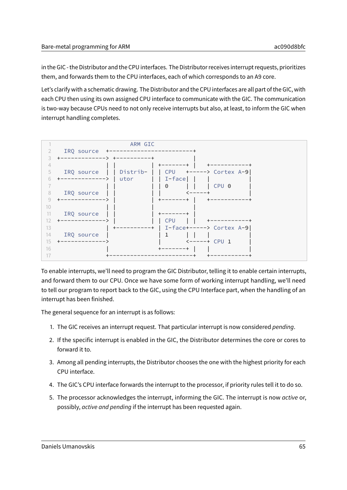in the GIC - the Distributor and the CPU interfaces. The Distributor receives interrupt requests, prioritizes them, and forwards them to the CPU interfaces, each of which corresponds to an A9 core.

Let's clarify with a schematic drawing. The Distributor and the CPU interfaces are all part of the GIC, with each CPU then using its own assigned CPU interface to communicate with the GIC. The communication is two-way because CPUs need to not only receive interrupts but also, at least, to inform the GIC when interrupt handling completes.



To enable interrupts, we'll need to program the GIC Distributor, telling it to enable certain interrupts, and forward them to our CPU. Once we have some form of working interrupt handling, we'll need to tell our program to report back to the GIC, using the CPU Interface part, when the handling of an interrupt has been finished.

The general sequence for an interrupt is as follows:

- 1. The GIC receives an interrupt request. That particular interrupt is now considered pending.
- 2. If the specific interrupt is enabled in the GIC, the Distributor determines the core or cores to forward it to.
- 3. Among all pending interrupts, the Distributor chooses the one with the highest priority for each CPU interface.
- 4. The GIC's CPU interface forwards the interrupt to the processor, if priority rules tell it to do so.
- 5. The processor acknowledges the interrupt, informing the GIC. The interrupt is now active or, possibly, active and pending if the interrupt has been requested again.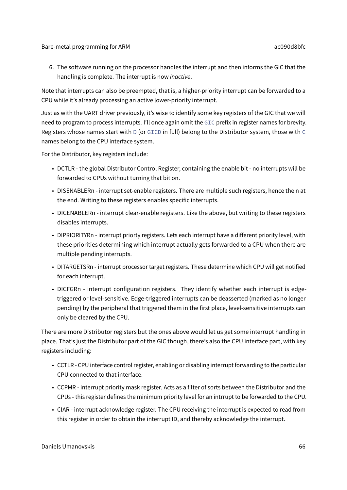6. The software running on the processor handles the interrupt and then informs the GIC that the handling is complete. The interrupt is now inactive.

Note that interrupts can also be preempted, that is, a higher-priority interrupt can be forwarded to a CPU while it's already processing an active lower-priority interrupt.

Just as with the UART driver previously, it's wise to identify some key registers of the GIC that we will need to program to process interrupts. I'll once again omit the GIC prefix in register names for brevity. Registers whose names start with D (or GICD in full) belong to the Distributor system, those with C names belong to the CPU interface system.

For the Distributor, key registers include:

- DCTLR the global Distributor Control Register, containing the enable bit no interrupts will be forwarded to CPUs without turning that bit on.
- DISENABLERn interrupt set-enable registers. There are multiple such registers, hence the n at the end. Writing to these registers enables specific interrupts.
- DICENABLERn interrupt clear-enable registers. Like the above, but writing to these registers disables interrupts.
- DIPRIORITYRn interrupt priorty registers. Lets each interrupt have a different priority level, with these priorities determining which interrupt actually gets forwarded to a CPU when there are multiple pending interrupts.
- DITARGETSRn interrupt processor target registers. These determine which CPU will get notified for each interrupt.
- DICFGRn interrupt configuration registers. They identify whether each interrupt is edgetriggered or level-sensitive. Edge-triggered interrupts can be deasserted (marked as no longer pending) by the peripheral that triggered them in the first place, level-sensitive interrupts can only be cleared by the CPU.

There are more Distributor registers but the ones above would let us get some interrupt handling in place. That's just the Distributor part of the GIC though, there's also the CPU interface part, with key registers including:

- CCTLR CPU interface control register, enabling or disabling interrupt forwarding to the particular CPU connected to that interface.
- CCPMR interrupt priority mask register. Acts as a filter of sorts between the Distributor and the CPUs - this register defines the minimum priority level for an intrrupt to be forwarded to the CPU.
- CIAR interrupt acknowledge register. The CPU receiving the interrupt is expected to read from this register in order to obtain the interrupt ID, and thereby acknowledge the interrupt.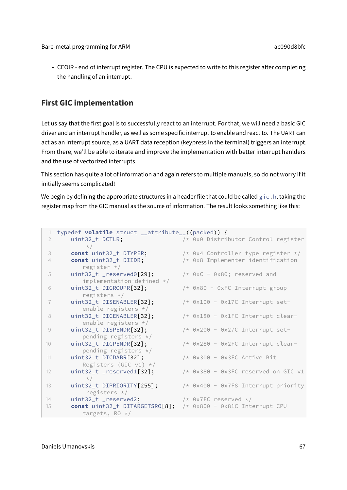• CEOIR - end of interrupt register. The CPU is expected to write to this register after completing the handling of an interrupt.

# **First GIC implementation**

Let us say that the first goal is to successfully react to an interrupt. For that, we will need a basic GIC driver and an interrupt handler, as well as some specific interrupt to enable and react to. The UART can act as an interrupt source, as a UART data reception (keypress in the terminal) triggers an interrupt. From there, we'll be able to iterate and improve the implementation with better interrupt hanlders and the use of vectorized interrupts.

This section has quite a lot of information and again refers to multiple manuals, so do not worry if it initially seems complicated!

We begin by defining the appropriate structures in a header file that could be called  $g$ ic.h, taking the register map from the GIC manual as the source of information. The result looks something like this:

|                 | typedef <b>volatile</b> struct __attribute__((packed)) { |                                       |
|-----------------|----------------------------------------------------------|---------------------------------------|
| 2               | uint32_t DCTLR;                                          | /* 0x0 Distributor Control register   |
|                 | $\star/$                                                 |                                       |
| 3               | const uint32_t DTYPER;                                   | /* 0x4 Controller type register $*/$  |
| 4               | const uint32_t DIIDR;                                    | /* 0x8 Implementer identification     |
|                 | register $*/$                                            |                                       |
| 5               | uint32_t _reserved0[29];                                 | $/*$ 0xC - 0x80; reserved and         |
|                 | $implementation-defined * /$                             |                                       |
| 6               | uint32_t DIGROUPR[32];                                   | $/*$ 0x80 - 0xFC Interrupt group      |
|                 | registers $*/$                                           |                                       |
| $\overline{1}$  | uint32_t DISENABLER[32];                                 | $/*$ 0x100 - 0x17C Interrupt set-     |
|                 | enable registers $*/$                                    |                                       |
| 8               | uint32_t DICENABLER[32];                                 | $/*$ 0x180 - 0x1FC Interrupt clear-   |
|                 | enable registers $*/$                                    |                                       |
| 9               | uint32_t DISPENDR[32];<br>pending registers $*/$         | $/*$ 0x200 - 0x27C Interrupt set-     |
| 10 <sup>°</sup> | uint32_t DICPENDR[32];                                   | $/*$ 0x280 - 0x2FC Interrupt clear-   |
|                 | pending registers $*/$                                   |                                       |
| 11              | uint32_t DICDABR[32];                                    | $/*$ 0x300 - 0x3FC Active Bit         |
|                 | Registers (GIC $v1$ ) */                                 |                                       |
| 12              | uint32_t _reserved1[32];                                 | $/*$ 0x380 - 0x3FC reserved on GIC v1 |
|                 | $\star/$                                                 |                                       |
| 13              | uint32_t DIPRIORITY[255];                                | /* 0x400 - 0x7F8 Interrupt priority   |
|                 | registers $*/$                                           |                                       |
| 14              | uint32_t _reserved2;                                     | /* 0x7FC reserved $*/$                |
| 15              | const uint32_t DITARGETSRO[8];                           | /* 0x800 - 0x81C Interrupt CPU        |
|                 | targets, RO $*/$                                         |                                       |
|                 |                                                          |                                       |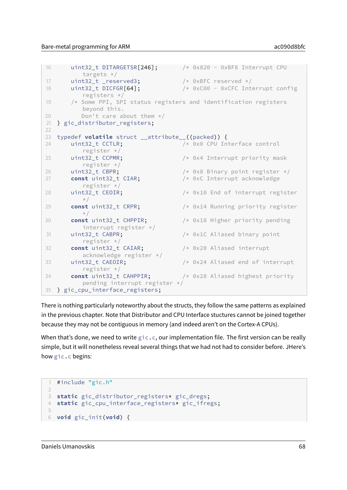```
16 uint32_t DITARGETSR[246]; /* 0x820 - 0xBF8 Interrupt CPU
         targets */
17 uint32_t _reserved3; \frac{1}{2} /* 0xBFC reserved */
18 uint32_t DICFGR[64]; \frac{1}{3} /* 0xC00 - 0xCFC Interrupt config
         registers */
19 /* Some PPI, SPI status registers and identification registers
         beyond this.
20 Don't care about them */
21 } gic_distributor_registers;
22
23 typedef volatile struct __attribute__((packed)) {
24 uint32_t CCTLR; /* 0x0 CPU Interface control
         register */
25 uint32_t CCPMR; /* 0x4 Interrupt priority mask
         register */
26 uint32_t CBPR; \frac{1}{26} /* 0x8 Binary point register */
27 const uint32_t CIAR; \frac{1}{27} /* 0xC Interrupt acknowledge
         register */
28 uint32_t CEOIR; \frac{1}{28} /* 0x10 End of interrupt register
         \star/29 const uint32_t CRPR; /* 0x14 Running priority register
         \star/30 const uint32_t CHPPIR; /* 0x18 Higher priority pending
         interrupt register */
31 uint32_t CABPR; \frac{1}{x} \frac{1}{x} \frac{1}{x} ox1C Aliased binary point
         register */
32 const uint32_t CAIAR; /* 0x20 Aliased interrupt
         acknowledge register */
33 uint32_t CAEOIR; /* 0x24 Aliased end of interrupt
         register */
34 const uint32_t CAHPPIR; /* 0x28 Aliased highest priority
         pending interrupt register */
35 } gic_cpu_interface_registers;
```
There is nothing particularly noteworthy about the structs, they follow the same patterns as explained in the previous chapter. Note that Distributor and CPU Interface stuctures cannot be joined together because they may not be contiguous in memory (and indeed aren't on the Cortex-A CPUs).

When that's done, we need to write  $\text{gic.c}$ , our implementation file. The first version can be really simple, but it will nonetheless reveal several things that we had not had to consider before. JHere's how gic.c begins:

```
1 #include "gic.h"
2
3 static gic_distributor_registers* gic_dregs;
4 static gic_cpu_interface_registers* gic_ifregs;
5
6 void gic_init(void) {
```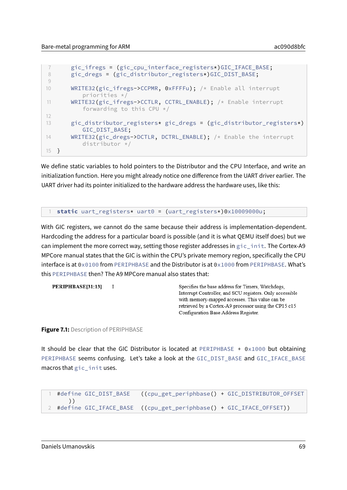```
7 gic_ifregs = (gic_cpu_interface_registers*)GIC_IFACE_BASE;
8 gic_dregs = (gic_distributor_registers*)GIC_DIST_BASE;
9
10 WRITE32(gic_ifregs->CCPMR, 0xFFFFu); /* Enable all interrupt
          priorities */
11 WRITE32(gic_ifregs->CCTLR, CCTRL_ENABLE); /* Enable interrupt
          forwarding to this CPU */12
13 gic_distributor_registers* gic_dregs = (gic_distributor_registers*)
          GIC_DIST_BASE;
14 WRITE32(gic_dregs->DCTLR, DCTRL_ENABLE); /* Enable the interrupt
          distributor */
15 }
```
We define static variables to hold pointers to the Distributor and the CPU Interface, and write an initialization function. Here you might already notice one difference from the UART driver earlier. The UART driver had its pointer initialized to the hardware address the hardware uses, like this:

#### 1 **static** uart\_registers\* uart0 = (uart\_registers\*)0x10009000u;

With GIC registers, we cannot do the same because their address is implementation-dependent. Hardcoding the address for a particular board is possible (and it is what QEMU itself does) but we can implement the more correct way, setting those register addresses in gic\_init. The Cortex-A9 MPCore manual states that the GIC is within the CPU's private memory region, specifically the CPU interface is at 0x0100 from PERIPHBASE and the Distributor is at 0x1000 from PERIPHBASE. What's this PERIPHBASE then? The A9 MPCore manual also states that:

```
PERIPHBASE[31:13] I
                                                       Specifies the base address for Timers, Watchdogs,
                                                       Interrupt Controller, and SCU registers. Only accessible
                                                       with memory-mapped accesses. This value can be
                                                       retrieved by a Cortex-A9 processor using the CP15 c15
                                                       Configuration Base Address Register.
```
**Figure 7.1: Description of PERIPHBASE** 

It should be clear that the GIC Distributor is located at PERIPHBASE +  $0 \times 1000$  but obtaining PERIPHBASE seems confusing. Let's take a look at the GIC\_DIST\_BASE and GIC\_IFACE\_BASE macros that gic\_init uses.

```
1 #define GIC_DIST_BASE ((cpu_get_periphbase() + GIC_DISTRIBUTOR_OFFSET
     ))
2 #define GIC_IFACE_BASE ((cpu_get_periphbase() + GIC_IFACE_OFFSET))
```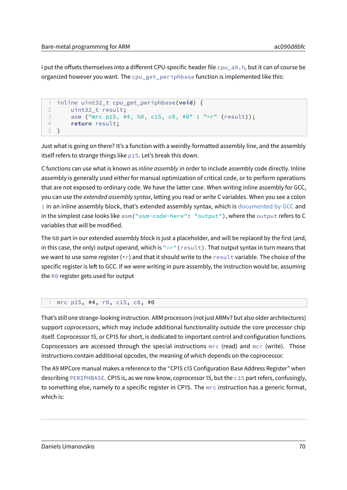I put the offsets themselves into a different CPU-specific header file cpu a9.h, but it can of course be organized however you want. The cpu\_get\_periphbase function is implemented like this:

```
1 inline uint32_t cpu_get_periphbase(void) {
2 uint32_t result;
3 asm ("mrc p15, #4, %0, c15, c0, #0" : "=r" (result));
4 return result;
5 }
```
Just what is going on there? It's a function with a weirdly-formatted assembly line, and the assembly itself refers to strange things like p15. Let's break this down.

C functions can use what is known as inline assembly in order to include assembly code directly. Inline assembly is generally used either for manual optimization of critical code, or to perform operations that are not exposed to ordinary code. We have the latter case. When writing inline assembly for GCC, you can use the extended assembly syntax, letting you read or write C variables. When you see a colon : in an inline assembly block, that's extended assembly syntax, which is [documented by GCC](https://gcc.gnu.org/onlinedocs/gcc/Extended-Asm.html) and in the simplest case looks like asm("asm-code-here": "output"), where the output refers to C variables that will be modified.

The %0 part in our extended assembly block is just a placeholder, and will be replaced by the first (and, in this case, the only) output operand, which is  $"=r"$  (result). That output syntax in turn means that we want to use some register  $(=r)$  and that it should write to the result variable. The choice of the specific register is left to GCC. If we were writing in pure assembly, the instruction would be, assuming the R0 register gets used for output

#### 1 mrc p15, #4, r0, c15, c0, #0

That's still one strange-looking instruction. ARM processors (not just ARMv7 but also older architectures) support coprocessors, which may include additional functionality outside the core processor chip itself. Coprocessor 15, or CP15 for short, is dedicated to important control and configuration functions. Coprocessors are accessed through the special instructions mrc (read) and mcr (write). Those instructions contain additional opcodes, the meaning of which depends on the coprocessor.

The A9 MPCore manual makes a reference to the "CP15 c15 Configuration Base Address Register" when describing PERIPHBASE. CP15 is, as we now know, coprocessor 15, but the c15 part refers, confusingly, to something else, namely to a specific register in CP15. The mrc instruction has a generic format, which is: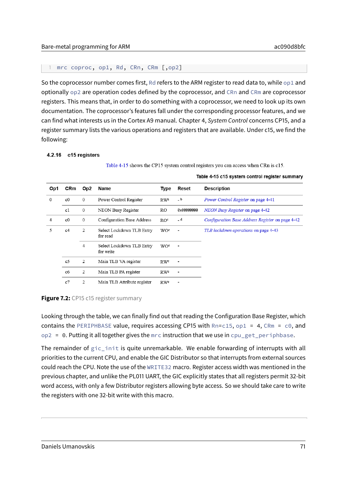```
1 mrc coproc, op1, Rd, CRn, CRm [,op2]
```
So the coprocessor number comes first, Rd refers to the ARM register to read data to, while op1 and optionally op2 are operation codes defined by the coprocessor, and CRn and CRm are coprocessor registers. This means that, in order to do something with a coprocessor, we need to look up its own documentation. The coprocessor's features fall under the corresponding processor features, and we can find what interests us in the Cortex A9 manual. Chapter 4, System Control concerns CP15, and a register summary lists the various operations and registers that are available. Under c15, we find the following:

#### 4.2.16 c15 registers

Table 4-15 shows the CP15 system control registers you can access when CRn is c15.

| Op1      | CRm            | Op2          | Name                                   | Type            | Reset                    | <b>Description</b>                               |
|----------|----------------|--------------|----------------------------------------|-----------------|--------------------------|--------------------------------------------------|
| $\Omega$ | c <sub>0</sub> | $\mathbf{0}$ | Power Control Register                 | RW <sup>a</sup> | $-b$                     | Power Control Register on page 4-41              |
|          | c1             | $\mathbf{0}$ | NEON Busy Register                     | RO.             | 0x00000000               | NEON Busy Register on page 4-42                  |
| 4        | c <sub>0</sub> | $\mathbf{0}$ | Configuration Base Address             | RO <sup>c</sup> | _ d                      | Configuration Base Address Register on page 4-42 |
| 5        | c4             | 2            | Select Lockdown TLB Entry<br>for read  | WOe             | $\overline{\phantom{a}}$ | TLB lockdown operations on page 4-43             |
|          |                | 4            | Select Lockdown TLB Entry<br>for write | WO <sup>e</sup> | ٠                        |                                                  |
|          | c <sub>5</sub> | 2            | Main TLB VA register                   | RWe             | ٠                        |                                                  |
|          | c6             | 2            | Main TLB PA register                   | RWe             | $\overline{\phantom{a}}$ |                                                  |
|          | c7             | 2            | Main TLB Attribute register            | RWe             | $\blacksquare$           |                                                  |

#### Table 4-15 c15 system control register summary

#### **Figure 7.2:** CP15 c15 register summary

Looking through the table, we can finally find out that reading the Configuration Base Register, which contains the PERIPHBASE value, requires accessing CP15 with  $Rn=c15$ , op1 = 4, CRm = c0, and  $op2 = 0$ . Putting it all together gives the mrc instruction that we use in cpu\_get\_periphbase.

The remainder of gic\_init is quite unremarkable. We enable forwarding of interrupts with all priorities to the current CPU, and enable the GIC Distributor so that interrupts from external sources could reach the CPU. Note the use of the WRITE32 macro. Register access width was mentioned in the previous chapter, and unlike the PL011 UART, the GIC explicitly states that all registers permit 32-bit word access, with only a few Distributor registers allowing byte access. So we should take care to write the registers with one 32-bit write with this macro.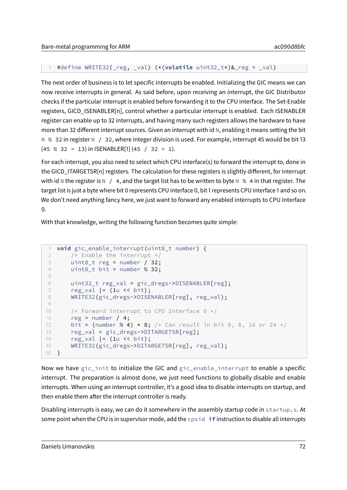```
1 #define WRITE32(_reg, _val) (*(volatile uint32_t*)&_reg = _val)
```
The next order of business is to let specific interrupts be enabled. Initializing the GIC means we can now receive interrupts in general. As said before, upon receiving an interrupt, the GIC Distributor checks if the particular interrupt is enabled before forwarding it to the CPU interface. The Set-Enable registers, GICD\_ISENABLER[n], control whether a particular interrupt is enabled. Each ISENABLER register can enable up to 32 interrupts, and having many such registers allows the hardware to have more than 32 different interrupt sources. Given an interrupt with id  $N$ , enabling it means setting the bit N % 32 in register N / 32, where integer division is used. For example, interrupt 45 would be bit 13 (45 % 32 = 13) in ISENABLER[1] (45 / 32 = 1).

For each interrupt, you also need to select which CPU interface(s) to forward the interrupt to, done in the GICD\_ITARGETSR[n] registers. The calculation for these registers is slightly different, for interrupt with id N the register is N  $/$  4, and the target list has to be written to byte N % 4 in that register. The target list is just a byte where bit 0 represents CPU interface 0, bit 1 represents CPU interface 1 and so on. We don't need anything fancy here, we just want to forward any enabled interrupts to CPU Interface  $\Omega$ .

With that knowledge, writing the following function becomes quite simple:

```
1 void gic_enable_interrupt(uint8_t number) {
2 /* Enable the interrupt */3 uint8<sub>-</sub>t reg = number / 32;
4 uint8_t bit = number % 32;
5
6 uint32_t reg_val = gic_dregs->DISENABLER[reg];
7 reg_val = (1u << bit);
8 WRITE32(gic_dregs->DISENABLER[reg], reg_val);
9
10 /* Forward interrupt to CPU Interface 0 */11 reg = number / 4;
12 bit = (number % 4) \star 8; /\star Can result in bit 0, 8, 16 or 24 \star/
13 reg_val = gic_dregs->DITARGETSR[reg];
14 reg_val |= (1u << bit);
15 WRITE32(gic_dregs->DITARGETSR[reg], reg_val);
16 }
```
Now we have gic\_init to initialize the GIC and gic\_enable\_interrupt to enable a specific interrupt. The preparation is almost done, we just need functions to globally disable and enable interrupts. When using an interrupt controller, it's a good idea to disable interrupts on startup, and then enable them after the interrupt controller is ready.

Disabling interrupts is easy, we can do it somewhere in the assembly startup code in startup.s. At some point when the CPU is in supervisor mode, add the cpsid **if** instruction to disable all interrupts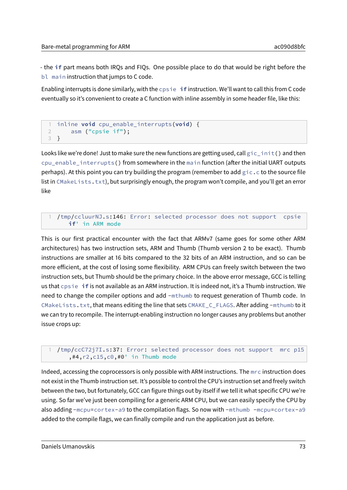- the **if** part means both IRQs and FIQs. One possible place to do that would be right before the bl main instruction that jumps to C code.

Enabling interrupts is done similarly, with the cpsie **if** instruction. We'll want to call this from C code eventually so it's convenient to create a C function with inline assembly in some header file, like this:

```
1 inline void cpu_enable_interrupts(void) {
2 asm ("cpsie if");
3 }
```
Looks like we're done! Just to make sure the new functions are getting used, call  $\text{gic}_\text{inif}()$  and then cpu enable interrupts() from somewhere in the main function (after the initial UART outputs perhaps). At this point you can try building the program (remember to add  $\text{gic.c}$  to the source file list in CMakeLists.txt), but surprisingly enough, the program won't compile, and you'll get an error like

```
1 /tmp/ccluurNJ.s:146: Error: selected processor does not support cpsie
    if' in ARM mode
```
This is our first practical encounter with the fact that ARMv7 (same goes for some other ARM architectures) has two instruction sets, ARM and Thumb (Thumb version 2 to be exact). Thumb instructions are smaller at 16 bits compared to the 32 bits of an ARM instruction, and so can be more efficient, at the cost of losing some flexibility. ARM CPUs can freely switch between the two instruction sets, but Thumb should be the primary choice. In the above error message, GCC is telling us that cpsie **if** is not available as an ARM instruction. It is indeed not, it's a Thumb instruction. We need to change the compiler options and add -mthumb to request generation of Thumb code. In CMakeLists.txt, that means editing the line that sets CMAKE\_C\_FLAGS. After adding -mthumb to it we can try to recompile. The interrupt-enabling instruction no longer causes any problems but another issue crops up:

```
/tmp/ccC72j7I.s:37: Error: selected processor does not support mrc p15
   ,#4,r2,c15,c0,#0' in Thumb mode
```
Indeed, accessing the coprocessors is only possible with ARM instructions. The mrc instruction does not exist in the Thumb instruction set. It's possible to control the CPU's instruction set and freely switch between the two, but fortunately, GCC can figure things out by itself if we tell it what specific CPU we're using. So far we've just been compiling for a generic ARM CPU, but we can easily specify the CPU by also adding -mcpu=cortex-a9 to the compilation flags. So now with -mthumb -mcpu=cortex-a9 added to the compile flags, we can finally compile and run the application just as before.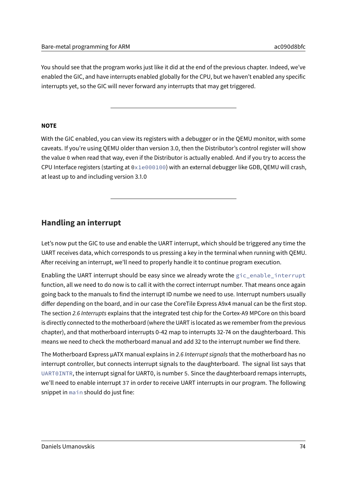You should see that the program works just like it did at the end of the previous chapter. Indeed, we've enabled the GIC, and have interrupts enabled globally for the CPU, but we haven't enabled any specific interrupts yet, so the GIC will never forward any interrupts that may get triggered.

#### **NOTE**

With the GIC enabled, you can view its registers with a debugger or in the QEMU monitor, with some caveats. If you're using QEMU older than version 3.0, then the Distributor's control register will show the value 0 when read that way, even if the Distributor is actually enabled. And if you try to access the CPU Interface registers (starting at 0x1e000100) with an external debugger like GDB, QEMU will crash, at least up to and including version 3.1.0

## **Handling an interrupt**

Let's now put the GIC to use and enable the UART interrupt, which should be triggered any time the UART receives data, which corresponds to us pressing a key in the terminal when running with QEMU. After receiving an interrupt, we'll need to properly handle it to continue program execution.

Enabling the UART interrupt should be easy since we already wrote the gic\_enable\_interrupt function, all we need to do now is to call it with the correct interrupt number. That means once again going back to the manuals to find the interrupt ID numbe we need to use. Interrupt numbers usually differ depending on the board, and in our case the CoreTile Express A9x4 manual can be the first stop. The section 2.6 Interrupts explains that the integrated test chip for the Cortex-A9 MPCore on this board is directly connected to the motherboard (where the UART is located as we remember from the previous chapter), and that motherboard interrupts 0-42 map to interrupts 32-74 on the daughterboard. This means we need to check the motherboard manual and add 32 to the interrupt number we find there.

The Motherboard Express µATX manual explains in 2.6 Interrupt signals that the motherboard has no interrupt controller, but connects interrupt signals to the daughterboard. The signal list says that UART0INTR, the interrupt signal for UART0, is number 5. Since the daughterboard remaps interrupts, we'll need to enable interrupt 37 in order to receive UART interrupts in our program. The following snippet in main should do just fine: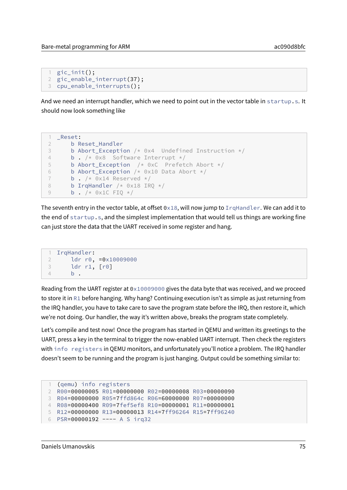```
1 gic_init();
2 gic_enable_interrupt(37);
3 cpu_enable_interrupts();
```
And we need an interrupt handler, which we need to point out in the vector table in startup.s. It should now look something like

```
1 _Reset:
2 b Reset_Handler
3 b Abort_Exception /* 0x4 Undefined Instruction */
4 b . /* 0x8 Software Interrupt */
5 b Abort Exception /* 0xC Prefetch Abort */
6 b Abort_Exception /* 0x10 Data Abort */7 b . /* 0x14 Reserved */
8 b IrqHandler /* 0x18 IRQ */9 b. /* 0x1C FIQ */
```
The seventh entry in the vector table, at offset  $0 \times 18$ , will now jump to IrqHandler. We can add it to the end of startup.s, and the simplest implementation that would tell us things are working fine can just store the data that the UART received in some register and hang.

```
1 IrqHandler:
2 ldr r0, =0x10009000
3 ldr r1, [r0]
4 b .
```
Reading from the UART register at  $0 \times 10009000$  gives the data byte that was received, and we proceed to store it in R1 before hanging. Why hang? Continuing execution isn't as simple as just returning from the IRQ handler, you have to take care to save the program state before the IRQ, then restore it, which we're not doing. Our handler, the way it's written above, breaks the program state completely.

Let's compile and test now! Once the program has started in QEMU and written its greetings to the UART, press a key in the terminal to trigger the now-enabled UART interrupt. Then check the registers with info registers in QEMU monitors, and unfortunately you'll notice a problem. The IRQ handler doesn't seem to be running and the program is just hanging. Output could be something similar to:

```
1 (qemu) info registers
2 R00=00000005 R01=00000000 R02=00000008 R03=00000090
3 R04=00000000 R05=7ffd864c R06=60000000 R07=00000000
4 R08=00000400 R09=7fef5ef8 R10=00000001 R11=00000001
5 R12=00000000 R13=00000013 R14=7ff96264 R15=7ff96240
6 PSR=00000192 ---- A S irq32
```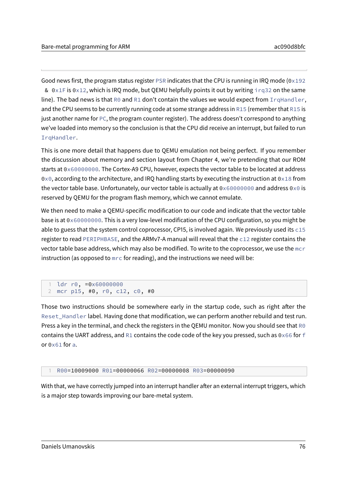Good news first, the program status register PSR indicates that the CPU is running in IRO mode ( $0 \times 192$ ) &  $0 \times 1$  F is  $0 \times 12$ , which is IRQ mode, but QEMU helpfully points it out by writing irq32 on the same line). The bad news is that R0 and R1 don't contain the values we would expect from IrqHandler, and the CPU seems to be currently running code at some strange address in R15 (remember that R15 is just another name for PC, the program counter register). The address doesn't correspond to anything we've loaded into memory so the conclusion is that the CPU did receive an interrupt, but failed to run IrqHandler.

This is one more detail that happens due to QEMU emulation not being perfect. If you remember the discussion about memory and section layout from Chapter 4, we're pretending that our ROM starts at 0x60000000. The Cortex-A9 CPU, however, expects the vector table to be located at address 0x0, according to the architecture, and IRQ handling starts by executing the instruction at 0x18 from the vector table base. Unfortunately, our vector table is actually at 0x60000000 and address 0x0 is reserved by QEMU for the program flash memory, which we cannot emulate.

We then need to make a QEMU-specific modification to our code and indicate that the vector table base is at 0x60000000. This is a very low-level modification of the CPU configuration, so you might be able to guess that the system control coprocessor, CP15, is involved again. We previously used its  $c15$ register to read PERIPHBASE, and the ARMv7-A manual will reveal that the c12 register contains the vector table base address, which may also be modified. To write to the coprocessor, we use the mcr instruction (as opposed to mrc for reading), and the instructions we need will be:

```
ldr r0, =0x60000000
2 mcr p15, #0, r0, c12, c0, #0
```
Those two instructions should be somewhere early in the startup code, such as right after the Reset\_Handler label. Having done that modification, we can perform another rebuild and test run. Press a key in the terminal, and check the registers in the QEMU monitor. Now you should see that  $R0$ contains the UART address, and R1 contains the code code of the key you pressed, such as  $0 \times 66$  for f or 0x61 for a.

1 R00=10009000 R01=00000066 R02=00000008 R03=00000090

With that, we have correctly jumped into an interrupt handler after an external interrupt triggers, which is a major step towards improving our bare-metal system.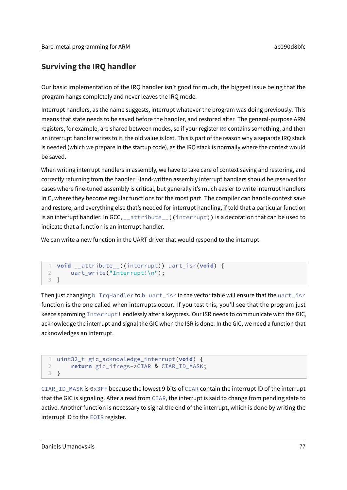# **Surviving the IRQ handler**

Our basic implementation of the IRQ handler isn't good for much, the biggest issue being that the program hangs completely and never leaves the IRQ mode.

Interrupt handlers, as the name suggests, interrupt whatever the program was doing previously. This means that state needs to be saved before the handler, and restored after. The general-purpose ARM registers, for example, are shared between modes, so if your register R0 contains something, and then an interrupt handler writes to it, the old value is lost. This is part of the reason why a separate IRQ stack is needed (which we prepare in the startup code), as the IRQ stack is normally where the context would be saved.

When writing interrupt handlers in assembly, we have to take care of context saving and restoring, and correctly returning from the handler. Hand-written assembly interrupt handlers should be reserved for cases where fine-tuned assembly is critical, but generally it's much easier to write interrupt handlers in C, where they become regular functions for the most part. The compiler can handle context save and restore, and everything else that's needed for interrupt handling, if told that a particular function is an interrupt handler. In GCC, \_\_attribute\_\_((interrupt)) is a decoration that can be used to indicate that a function is an interrupt handler.

We can write a new function in the UART driver that would respond to the interrupt.

```
1 void __attribute__((interrupt)) uart_isr(void) {
2 uart_write("Interrupt!\n");
3 }
```
Then just changing b IrqHandler to b uart\_isr in the vector table will ensure that the uart\_isr function is the one called when interrupts occur. If you test this, you'll see that the program just keeps spamming  $Interrupt!$  endlessly after a keypress. Our ISR needs to communicate with the GIC, acknowledge the interrupt and signal the GIC when the ISR is done. In the GIC, we need a function that acknowledges an interrupt.

```
1 uint32_t gic_acknowledge_interrupt(void) {
2 return gic_ifregs->CIAR & CIAR_ID_MASK;
3 }
```
CIAR\_ID\_MASK is 0x3FF because the lowest 9 bits of CIAR contain the interrupt ID of the interrupt that the GIC is signaling. After a read from CIAR, the interrupt is said to change from pending state to active. Another function is necessary to signal the end of the interrupt, which is done by writing the interrupt ID to the EOIR register.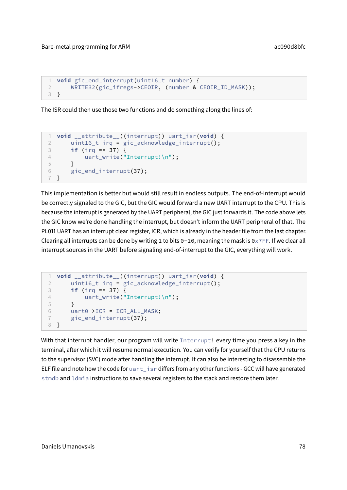```
1 void gic_end_interrupt(uint16_t number) {
2 WRITE32(gic_ifregs->CEOIR, (number & CEOIR_ID_MASK));
3 }
```
The ISR could then use those two functions and do something along the lines of:

```
1 void __attribute__((interrupt)) uart_isr(void) {
2 uint16_t irq = gic_acknowledge_interrupt();
3 if (irq == 37) {
4 uart_write("Interrupt!\n");
5 }
6 gic_end_interrupt(37);
7 }
```
This implementation is better but would still result in endless outputs. The end-of-interrupt would be correctly signaled to the GIC, but the GIC would forward a new UART interrupt to the CPU. This is because the interrupt is generated by the UART peripheral, the GIC just forwards it. The code above lets the GIC know we're done handling the interrupt, but doesn't inform the UART peripheral of that. The PL011 UART has an interrupt clear register, ICR, which is already in the header file from the last chapter. Clearing all interrupts can be done by writing 1 to bits  $0-10$ , meaning the mask is  $0 \times 7$ FF. If we clear all interrupt sources in the UART before signaling end-of-interrupt to the GIC, everything will work.

```
1 void __attribute__((interrupt)) uart_isr(void) {
2 uint16_t irq = gic_acknowledge_interrupt();
3 if (irq == 37) {
4 uart_write("Interrupt!\n");
5 }
6 uart0->ICR = ICR_ALL_MASK;
7 gic_end_interrupt(37);
8 }
```
With that interrupt handler, our program will write Interrupt! every time you press a key in the terminal, after which it will resume normal execution. You can verify for yourself that the CPU returns to the supervisor (SVC) mode after handling the interrupt. It can also be interesting to disassemble the ELF file and note how the code for uart\_isr differs from any other functions - GCC will have generated stmdb and ldmia instructions to save several registers to the stack and restore them later.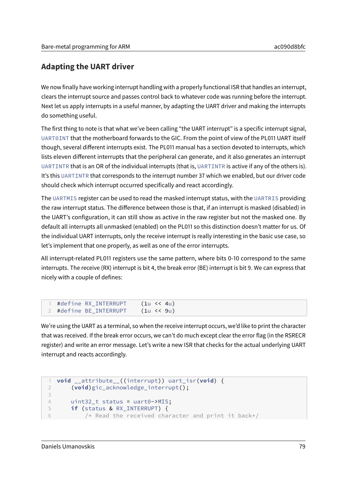# **Adapting the UART driver**

We now finally have working interrupt handling with a properly functional ISR that handles an interrupt, clears the interrupt source and passes control back to whatever code was running before the interrupt. Next let us apply interrupts in a useful manner, by adapting the UART driver and making the interrupts do something useful.

The first thing to note is that what we've been calling "the UART interrupt" is a specific interrupt signal, UART0INT that the motherboard forwards to the GIC. From the point of view of the PL011 UART itself though, several different interrupts exist. The PL011 manual has a section devoted to interrupts, which lists eleven different interrupts that the peripheral can generate, and it also generates an interrupt UARTINTR that is an OR of the individual interrupts (that is, UARTINTR is active if any of the others is). It's this UARTINTR that corresponds to the interrupt number 37 which we enabled, but our driver code should check which interrupt occurred specifically and react accordingly.

The UARTMIS register can be used to read the masked interrupt status, with the UARTRIS providing the raw interrupt status. The difference between those is that, if an interrupt is masked (disabled) in the UART's configuration, it can still show as active in the raw register but not the masked one. By default all interrupts all unmasked (enabled) on the PL011 so this distinction doesn't matter for us. Of the individual UART interrupts, only the receive interrupt is really interesting in the basic use case, so let's implement that one properly, as well as one of the error interrupts.

All interrupt-related PL011 registers use the same pattern, where bits 0-10 correspond to the same interrupts. The receive (RX) interrupt is bit 4, the break error (BE) interrupt is bit 9. We can express that nicely with a couple of defines:

We're using the UART as a terminal, so when the receive interrupt occurs, we'd like to print the character that was received. If the break error occurs, we can't do much except clear the error flag (in the RSRECR register) and write an error message. Let's write a new ISR that checks for the actual underlying UART interrupt and reacts accordingly.

```
1 void __attribute__((interrupt)) uart_isr(void) {
2 (void)gic_acknowledge_interrupt();
3
4 uint32_t status = uart0->MIS;
5 if (status & RX_INTERRUPT) {
6 /* Read the received character and print it back*/
```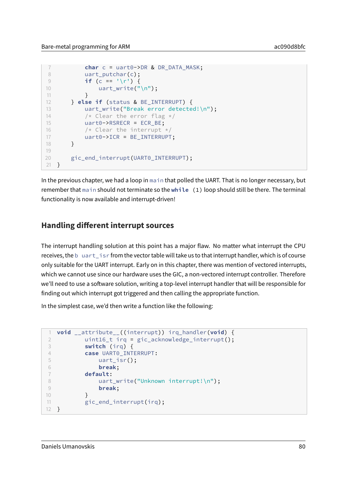```
7 char c = uart0->DR & DR DATA MASK;
8 uart_putchar(c);
9 if (c == \sqrt{r'}) {
10 uart_write("\n");
\begin{array}{ccc} 11 & & & \end{array}12 } else if (status & BE_INTERRUPT) {
13 uart_write("Break error detected!\n");
14 /* Clear the error flag */15 uart0->RSRECR = ECR_BE;
16 /* Clear the interrupt */
17 uart0->ICR = BE_INTERRUPT;
18 }
19
20 gic_end_interrupt(UART0_INTERRUPT);
21 }
```
In the previous chapter, we had a loop in main that polled the UART. That is no longer necessary, but remember that main should not terminate so the while (1) loop should still be there. The terminal functionality is now available and interrupt-driven!

### **Handling different interrupt sources**

The interrupt handling solution at this point has a major flaw. No matter what interrupt the CPU receives, the b uart\_isr from the vector table will take us to that interrupt handler, which is of course only suitable for the UART interrupt. Early on in this chapter, there was mention of vectored interrupts, which we cannot use since our hardware uses the GIC, a non-vectored interrupt controller. Therefore we'll need to use a software solution, writing a top-level interrupt handler that will be responsible for finding out which interrupt got triggered and then calling the appropriate function.

In the simplest case, we'd then write a function like the following:

```
1 void __attribute__((interrupt)) irq_handler(void) {
2 uint16_t irq = gic_acknowledge_interrupt();
3 switch (irq) {
4 case UART0_INTERRUPT:
5 uart_isr();
6 break;
7 default:
8 uart_write("Unknown interrupt!\n");
9 break;
10 }
11 gic_end_interrupt(irq);
12 }
```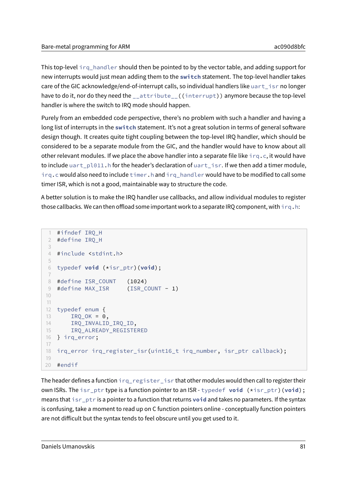This top-level irq\_handler should then be pointed to by the vector table, and adding support for new interrupts would just mean adding them to the **switch** statement. The top-level handler takes care of the GIC acknowledge/end-of-interrupt calls, so individual handlers like uart\_isr no longer have to do it, nor do they need the \_\_attribute\_\_((interrupt)) anymore because the top-level handler is where the switch to IRQ mode should happen.

Purely from an embedded code perspective, there's no problem with such a handler and having a long list of interrupts in the switch statement. It's not a great solution in terms of general software design though. It creates quite tight coupling between the top-level IRQ handler, which should be considered to be a separate module from the GIC, and the handler would have to know about all other relevant modules. If we place the above handler into a separate file like  $i \, r \, q \, . \, c$ , it would have to include uart\_pl011.h for the header's declaration of uart\_isr. If we then add a timer module, irq.c would also need to include timer.h and irq\_handler would have to be modified to call some timer ISR, which is not a good, maintainable way to structure the code.

A better solution is to make the IRQ handler use callbacks, and allow individual modules to register those callbacks. We can then offload some important work to a separate IRQ component, with irq.h:

```
1 #ifndef IRQ_H
2 #define IRQ_H
3
4 #include <stdint.h>
5
6 typedef void (*isr_ptr)(void);
7
8 #define ISR_COUNT (1024)
9 #define MAX_ISR (ISR_COUNT - 1)
10
11
12 typedef enum {
13 IRQ_OK = 0,
14 IRQ_INVALID_IRQ_ID,
15 IRQ_ALREADY_REGISTERED
16 } irq_error;
17
18 irq_error irq_register_isr(uint16_t irq_number, isr_ptr callback);
19
20 #endif
```
The header defines a function  $irq_register_iser$  isr that other modules would then call to register their own ISRs. The isr\_ptr type is a function pointer to an ISR - typedef **void** (\*isr\_ptr)(**void**); means that isr\_ptr is a pointer to a function that returns **void** and takes no parameters. If the syntax is confusing, take a moment to read up on C function pointers online - conceptually function pointers are not difficult but the syntax tends to feel obscure until you get used to it.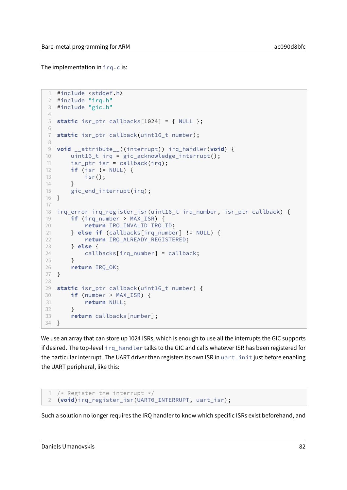The implementation in  $irq.c$  is:

```
1 #include <stddef.h>
2 #include "irq.h"
3 #include "gic.h"
4
5 static isr_ptr callbacks[1024] = { NULL };
6
7 static isr_ptr callback(uint16_t number);
8
9 void __attribute__((interrupt)) irq_handler(void) {
10 uint16_t irq = gic_acknowledge_interrupt();
11 isr ptr isr = callback(irq);
12 if (isr != NULL) {
13 isr();
14 }
15 gic_end_interrupt(irq);
16 }
17
18 irq_error irq_register_isr(uint16_t irq_number, isr_ptr callback) {
19 if (irq_number > MAX_ISR) {
20 return IRQ_INVALID_IRQ_ID;
21 } else if (callbacks[irq_number] != NULL) {
22 return IRQ_ALREADY_REGISTERED;
23 } else {
24 callbacks[irq_number] = callback;
25 }
26 return IRQ_OK;
27 }
28
29 static isr_ptr callback(uint16_t number) {
30 if (number > MAX_ISR) {
31 return NULL;
32 }
33 return callbacks[number];
34 }
```
We use an array that can store up 1024 ISRs, which is enough to use all the interrupts the GIC supports if desired. The top-level irq handler talks to the GIC and calls whatever ISR has been registered for the particular interrupt. The UART driver then registers its own ISR in uart\_init just before enabling the UART peripheral, like this:

```
1 /* Register the interrupt */
2 (void)irq_register_isr(UART0_INTERRUPT, uart_isr);
```
Such a solution no longer requires the IRQ handler to know which specific ISRs exist beforehand, and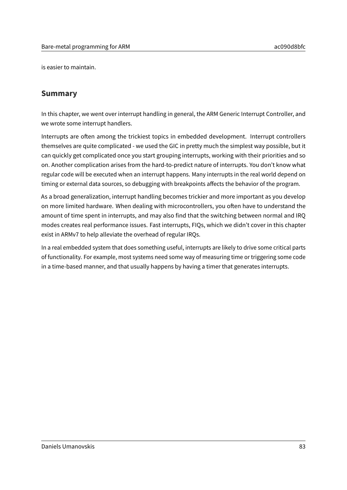is easier to maintain.

## **Summary**

In this chapter, we went over interrupt handling in general, the ARM Generic Interrupt Controller, and we wrote some interrupt handlers.

Interrupts are often among the trickiest topics in embedded development. Interrupt controllers themselves are quite complicated - we used the GIC in pretty much the simplest way possible, but it can quickly get complicated once you start grouping interrupts, working with their priorities and so on. Another complication arises from the hard-to-predict nature of interrupts. You don't know what regular code will be executed when an interrupt happens. Many interrupts in the real world depend on timing or external data sources, so debugging with breakpoints affects the behavior of the program.

As a broad generalization, interrupt handling becomes trickier and more important as you develop on more limited hardware. When dealing with microcontrollers, you often have to understand the amount of time spent in interrupts, and may also find that the switching between normal and IRQ modes creates real performance issues. Fast interrupts, FIQs, which we didn't cover in this chapter exist in ARMv7 to help alleviate the overhead of regular IRQs.

In a real embedded system that does something useful, interrupts are likely to drive some critical parts of functionality. For example, most systems need some way of measuring time or triggering some code in a time-based manner, and that usually happens by having a timer that generates interrupts.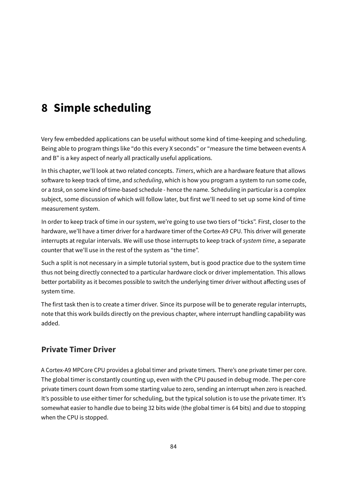# **8 Simple scheduling**

Very few embedded applications can be useful without some kind of time-keeping and scheduling. Being able to program things like "do this every X seconds" or "measure the time between events A and B" is a key aspect of nearly all practically useful applications.

In this chapter, we'll look at two related concepts. Timers, which are a hardware feature that allows software to keep track of time, and scheduling, which is how you program a system to run some code, or a task, on some kind of time-based schedule - hence the name. Scheduling in particular is a complex subject, some discussion of which will follow later, but first we'll need to set up some kind of time measurement system.

In order to keep track of time in our system, we're going to use two tiers of "ticks". First, closer to the hardware, we'll have a timer driver for a hardware timer of the Cortex-A9 CPU. This driver will generate interrupts at regular intervals. We will use those interrupts to keep track of system time, a separate counter that we'll use in the rest of the system as "the time".

Such a split is not necessary in a simple tutorial system, but is good practice due to the system time thus not being directly connected to a particular hardware clock or driver implementation. This allows better portability as it becomes possible to switch the underlying timer driver without affecting uses of system time.

The first task then is to create a timer driver. Since its purpose will be to generate regular interrupts, note that this work builds directly on the previous chapter, where interrupt handling capability was added.

# **Private Timer Driver**

A Cortex-A9 MPCore CPU provides a global timer and private timers. There's one private timer per core. The global timer is constantly counting up, even with the CPU paused in debug mode. The per-core private timers count down from some starting value to zero, sending an interrupt when zero is reached. It's possible to use either timer for scheduling, but the typical solution is to use the private timer. It's somewhat easier to handle due to being 32 bits wide (the global timer is 64 bits) and due to stopping when the CPU is stopped.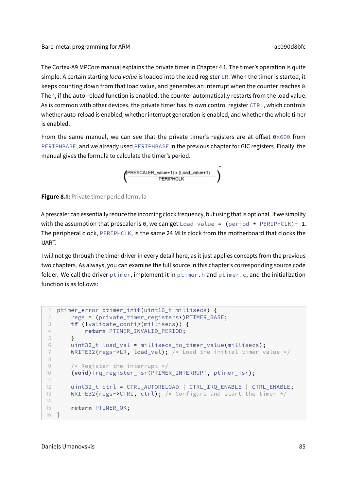The Cortex-A9 MPCore manual explains the private timer in Chapter 4.1. The timer's operation is quite simple. A certain starting load value is loaded into the load register LR. When the timer is started, it keeps counting down from that load value, and generates an interrupt when the counter reaches 0. Then, if the auto-reload function is enabled, the counter automatically restarts from the load value. As is common with other devices, the private timer has its own control register CTRL, which controls whether auto-reload is enabled, whether interrupt generation is enabled, and whether the whole timer is enabled.

From the same manual, we can see that the private timer's registers are at offset  $0 \times 600$  from PERIPHBASE, and we already used PERIPHBASE in the previous chapter for GIC registers. Finally, the manual gives the formula to calculate the timer's period.



**Figure 8.1:** Private timer period formula

A prescaler can essentially reduce the incoming clock frequency, but using that is optional. If we simplify with the assumption that prescaler is 0, we can get Load value = (period  $*$  PERIPHCLK) - 1. The peripheral clock, PERIPHCLK, is the same 24 MHz clock from the motherboard that clocks the UART.

I will not go through the timer driver in every detail here, as it just applies concepts from the previous two chapters. As always, you can examine the full source in this chapter's corresponding source code folder. We call the driver ptimer, implement it in ptimer.h and ptimer.c, and the initialization function is as follows:

```
1 ptimer_error ptimer_init(uint16_t millisecs) {
2 regs = (private_timer_registers*)PTIMER_BASE;
3 if (!validate_config(millisecs)) {
4 return PTIMER_INVALID_PERIOD;
5 }
6 uint32_t load_val = millisecs_to_timer_value(millisecs);
7 WRITE32(regs->LR, load_val); /* Load the initial timer value */
8
9 /* Register the interrupt */
10 (void)irq_register_isr(PTIMER_INTERRUPT, ptimer_isr);
11
12 uint32 t ctrl = CTRL AUTORELOAD | CTRL IRO ENABLE | CTRL ENABLE;
13 WRITE32(regs->CTRL, ctrl); /* Configure and start the timer */14
15 return PTIMER_OK;
16 }
```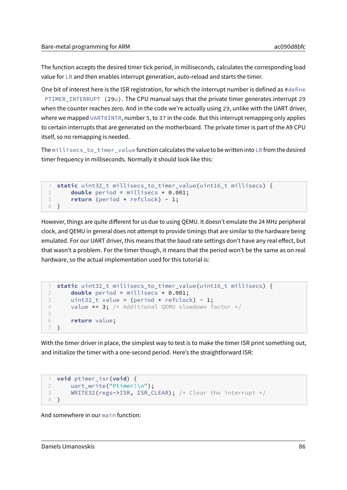The function accepts the desired timer tick period, in milliseconds, calculates the corresponding load value for LR and then enables interrupt generation, auto-reload and starts the timer.

One bit of interest here is the ISR registration, for which the interrupt number is defined as #define PTIMER\_INTERRUPT (29u). The CPU manual says that the private timer generates interrupt 29 when the counter reaches zero. And in the code we're actually using 29, unlike with the UART driver, where we mapped UART0INTR, number 5, to 37 in the code. But this interrupt remapping only applies to certain interrupts that are generated on the motherboard. The private timer is part of the A9 CPU itself, so no remapping is needed.

The millisecs\_to\_timer\_value function calculates the value to be written into LR from the desired timer frequency in milliseconds. Normally it should look like this:

```
1 static uint32_t millisecs_to_timer_value(uint16_t millisecs) {
2 double period = millisecs * 0.001;
3 return (period * refclock) - 1;
4 }
```
However, things are quite different for us due to using QEMU. It doesn't emulate the 24 MHz peripheral clock, and QEMU in general does not attempt to provide timings that are similar to the hardware being emulated. For our UART driver, this means that the baud rate settings don't have any real effect, but that wasn't a problem. For the timer though, it means that the period won't be the same as on real hardware, so the actual implementation used for this tutorial is:

```
1 static uint32_t millisecs_to_timer_value(uint16_t millisecs) {
2 double period = millisecs * 0.001;
3 uint32_t value = (period \star refclock) - 1;
4 value \star= 3; /* Additional QEMU slowdown factor */5
6 return value;
7 }
```
With the timer driver in place, the simplest way to test is to make the timer ISR print something out, and initialize the timer with a one-second period. Here's the straightforward ISR:

```
1 void ptimer_isr(void) {
2 uart_write("Ptimer!\n");
3 WRITE32(regs->ISR, ISR_CLEAR); /* Clear the interrupt */
4 }
```
And somewhere in our main function: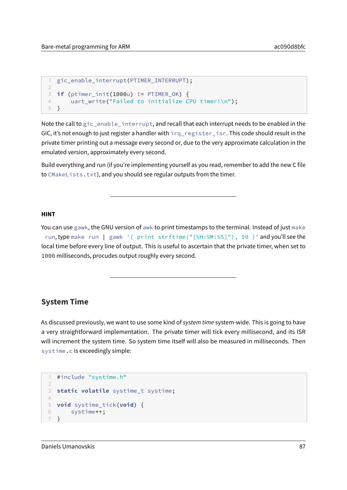```
1 gic_enable_interrupt(PTIMER_INTERRUPT);
\overline{\phantom{a}}3 if (ptimer_init(1000u) != PTIMER_OK) {
4 uart_write("Failed to initialize CPU timer!\n");
5 }
```
Note the call to gic\_enable\_interrupt, and recall that each interrupt needs to be enabled in the GIC, it's not enough to just register a handler with irq\_register\_isr. This code should result in the private timer printing out a message every second or, due to the very approximate calculation in the emulated version, approximately every second.

Build everything and run (if you're implementing yourself as you read, remember to add the new C file to CMakeLists.txt), and you should see regular outputs from the timer.

#### **HINT**

You can use gawk, the GNU version of awk to print timestamps to the terminal. Instead of just make run, type make run | gawk '{ print strftime("[%H:%M:%S]"), \$0 }' and you'll see the local time before every line of output. This is useful to ascertain that the private timer, when set to 1000 milliseconds, procudes output roughly every second.

#### **System Time**

As discussed previously, we want to use some kind of system time system-wide. This is going to have a very straightforward implementation. The private timer will tick every millisecond, and its ISR will increment the system time. So system time itself will also be measured in milliseconds. Then systime.c is exceedingly simple:

```
1 #include "systime.h"
2
3 static volatile systime_t systime;
4
5 void systime_tick(void) {
6 systime++;
7 }
```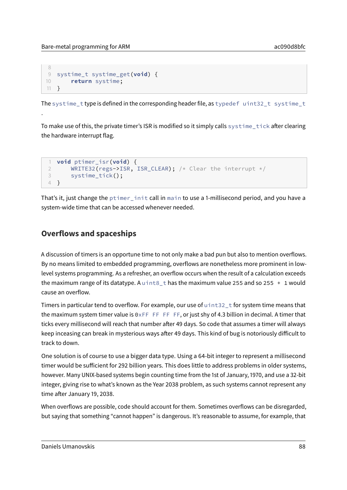.

```
8
9 systime_t systime_get(void) {
10 return systime;
11 }
```
The systime\_t type is defined in the corresponding header file, as typedef uint32\_t systime\_t

To make use of this, the private timer's ISR is modified so it simply calls systime\_tick after clearing the hardware interrupt flag.

```
1 void ptimer_isr(void) {
2 WRITE32(regs->ISR, ISR_CLEAR); /* Clear the interrupt */
3 systime_tick();
4 }
```
That's it, just change the ptimer\_init call in main to use a 1-millisecond period, and you have a system-wide time that can be accessed whenever needed.

## **Overflows and spaceships**

A discussion of timers is an opportune time to not only make a bad pun but also to mention overflows. By no means limited to embedded programming, overflows are nonetheless more prominent in lowlevel systems programming. As a refresher, an overflow occurs when the result of a calculation exceeds the maximum range of its datatype. A uint8\_t has the maximum value 255 and so 255  $+1$  would cause an overflow.

Timers in particular tend to overflow. For example, our use of  $u$  int32 t for system time means that the maximum system timer value is  $0 \times FF$  FF FF FF, or just shy of 4.3 billion in decimal. A timer that ticks every millisecond will reach that number after 49 days. So code that assumes a timer will always keep inceasing can break in mysterious ways after 49 days. This kind of bug is notoriously difficult to track to down.

One solution is of course to use a bigger data type. Using a 64-bit integer to represent a millisecond timer would be sufficient for 292 billion years. This does little to address problems in older systems, however. Many UNIX-based systems begin counting time from the 1st of January, 1970, and use a 32-bit integer, giving rise to what's known as the Year 2038 problem, as such systems cannot represent any time after January 19, 2038.

When overflows are possible, code should account for them. Sometimes overflows can be disregarded, but saying that something "cannot happen" is dangerous. It's reasonable to assume, for example, that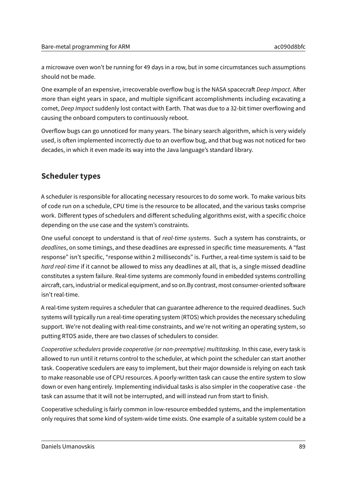a microwave oven won't be running for 49 days in a row, but in some circumstances such assumptions should not be made.

One example of an expensive, irrecoverable overflow bug is the NASA spacecraft Deep Impact. After more than eight years in space, and multiple significant accomplishments including excavating a comet, Deep Impact suddenly lost contact with Earth. That was due to a 32-bit timer overflowing and causing the onboard computers to continuously reboot.

Overflow bugs can go unnoticed for many years. The binary search algorithm, which is very widely used, is often implemented incorrectly due to an overflow bug, and that bug was not noticed for two decades, in which it even made its way into the Java language's standard library.

## **Scheduler types**

A scheduler is responsible for allocating necessary resources to do some work. To make various bits of code run on a schedule, CPU time is the resource to be allocated, and the various tasks comprise work. Different types of schedulers and different scheduling algorithms exist, with a specific choice depending on the use case and the system's constraints.

One useful concept to understand is that of real-time systems. Such a system has constraints, or deadlines, on some timings, and these deadlines are expressed in specific time measurements. A "fast response" isn't specific, "response within 2 milliseconds" is. Further, a real-time system is said to be hard real-time if it cannot be allowed to miss any deadlines at all, that is, a single missed deadline constitutes a system failure. Real-time systems are commonly found in embedded systems controlling aircraft, cars, industrial or medical equipment, and so on.By contrast, most consumer-oriented software isn't real-time.

A real-time system requires a scheduler that can guarantee adherence to the required deadlines. Such systems will typically run a real-time operating system (RTOS) which provides the necessary scheduling support. We're not dealing with real-time constraints, and we're not writing an operating system, so putting RTOS aside, there are two classes of schedulers to consider.

Cooperative schedulers provide cooperative (or non-preemptive) multitasking. In this case, every task is allowed to run until it returns control to the scheduler, at which point the scheduler can start another task. Cooperative scedulers are easy to implement, but their major downside is relying on each task to make reasonable use of CPU resources. A poorly-written task can cause the entire system to slow down or even hang entirely. Implementing individual tasks is also simpler in the cooperative case - the task can assume that it will not be interrupted, and will instead run from start to finish.

Cooperative scheduling is fairly common in low-resource embedded systems, and the implementation only requires that some kind of system-wide time exists. One example of a suitable system could be a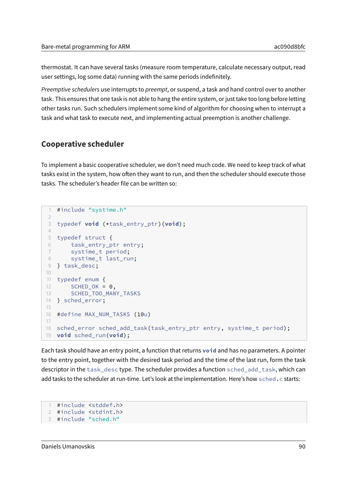thermostat. It can have several tasks (measure room temperature, calculate necessary output, read user settings, log some data) running with the same periods indefinitely.

Preemptive schedulers use interrupts to preempt, or suspend, a task and hand control over to another task. This ensures that one task is not able to hang the entire system, or just take too long before letting other tasks run. Such schedulers implement some kind of algorithm for choosing when to interrupt a task and what task to execute next, and implementing actual preemption is another challenge.

### **Cooperative scheduler**

To implement a basic cooperative scheduler, we don't need much code. We need to keep track of what tasks exist in the system, how often they want to run, and then the scheduler should execute those tasks. The scheduler's header file can be written so:

```
1 #include "systime.h"
2
3 typedef void (*task_entry_ptr)(void);
4
5 typedef struct {
6 task_entry_ptr entry;
7 systime_t period;
8 systime_t last_run;
9 } task_desc;
10
11 typedef enum {
12 SCHED_OK = 0,
13 SCHED_TOO_MANY_TASKS
14 } sched_error;
15
16 #define MAX_NUM_TASKS (10u)
17
18 sched_error sched_add_task(task_entry_ptr entry, systime_t period);
19 void sched_run(void);
```
Each task should have an entry point, a function that returns **void** and has no parameters. A pointer to the entry point, together with the desired task period and the time of the last run, form the task descriptor in the task\_desc type. The scheduler provides a function sched\_add\_task, which can add tasks to the scheduler at run-time. Let's look at the implementation. Here's how sched.c starts:

```
1 #include <stddef.h>
2 #include <stdint.h>
3 #include "sched.h"
```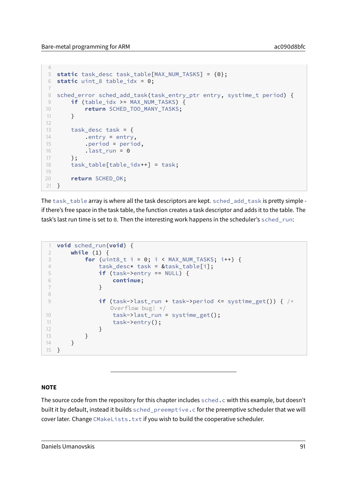4

```
5 static task_desc task_table[MAX_NUM_TASKS] = {0};
6 static uint_8 table_idx = 0;
7
8 sched_error sched_add_task(task_entry_ptr entry, systime_t period) {
9 if (table_idx >= MAX_NUM_TASKS) {
10 return SCHED_TOO_MANY_TASKS;
11 \quad \lambda12
13 task_desc task = \{14 .entry = entry,
15 .period = period,
16 .last_run = 0
17 \t3;18 task_table[table_idx++] = task;
19
20 return SCHED_OK;
21 }
```
The task\_table array is where all the task descriptors are kept. sched\_add\_task is pretty simple if there's free space in the task table, the function creates a task descriptor and adds it to the table. The task's last run time is set to 0. Then the interesting work happens in the scheduler's sched\_run:

```
1 void sched_run(void) {
2 while (1) {
3 for (uint8 t i = 0; i < MAX NUM TASKS; i++) {
4 task_desc* task = &task_table[i];
5 if (task->entry == NULL) {
6 continue;
7 }
8
9 if (task->last_run + task->period <= systime_get()) { /*
             Overflow bug! */
10 task->last_run = systime_get();
11 task->entry();
12 }
13 }
14 }
15 }
```
#### **NOTE**

The source code from the repository for this chapter includes sched.c with this example, but doesn't built it by default, instead it builds sched\_preemptive.c for the preemptive scheduler that we will cover later. Change CMakeLists.txt if you wish to build the cooperative scheduler.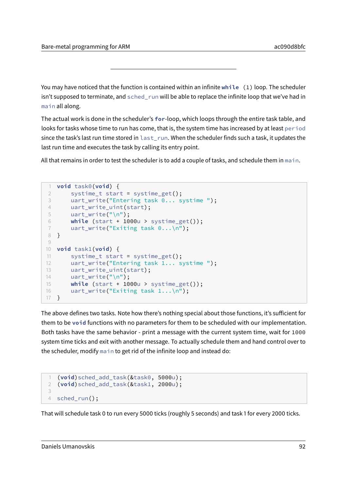You may have noticed that the function is contained within an infinite **while** (1) loop. The scheduler isn't supposed to terminate, and sched\_run will be able to replace the infinite loop that we've had in main all along.

The actual work is done in the scheduler's **for**-loop, which loops through the entire task table, and looks for tasks whose time to run has come, that is, the system time has increased by at least period since the task's last run time stored in last run. When the scheduler finds such a task, it updates the last run time and executes the task by calling its entry point.

All that remains in order to test the scheduler is to add a couple of tasks, and schedule them in main.

```
1 void task0(void) {
2 systime_t start = systime_get();
3 uart_write("Entering task 0... systime ");
4 uart write uint(start);
5 uart_write("\n");
6 while (start + 1000u > systime_get());
7 uart_write("Exiting task 0...\n");
8 }
Q10 void task1(void) {
11 systime_t start = systime_get();
12 uart_write("Entering task 1... systime ");
13 uart_write_uint(start);
14 uart_write("\n");
15 while (start + 1000u > systime_get());
16 uart_write("Exiting task 1...\n");
17 }
```
The above defines two tasks. Note how there's nothing special about those functions, it's sufficient for them to be **void** functions with no parameters for them to be scheduled with our implementation. Both tasks have the same behavior - print a message with the current system time, wait for 1000 system time ticks and exit with another message. To actually schedule them and hand control over to the scheduler, modify main to get rid of the infinite loop and instead do:

```
1 (void)sched_add_task(&task0, 5000u);
2 (void)sched_add_task(&task1, 2000u);
3
4 sched run():
```
That will schedule task 0 to run every 5000 ticks (roughly 5 seconds) and task 1 for every 2000 ticks.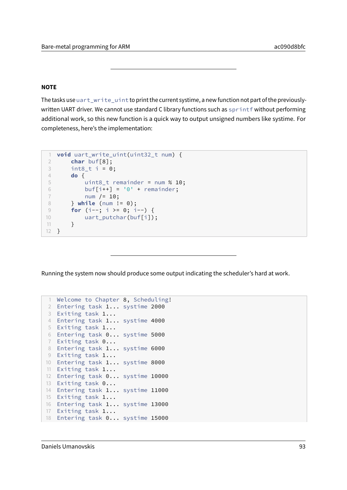#### **NOTE**

The tasks use uart\_write\_uint to print the current systime, a new function not part of the previouslywritten UART driver. We cannot use standard C library functions such as sprintf without performing additional work, so this new function is a quick way to output unsigned numbers like systime. For completeness, here's the implementation:

```
1 void uart_write_uint(uint32_t num) {
2 char buf[8];
3 int8_t i = 0;
4 do {
5 uint8_t remainder = num % 10;
6 buf[i++] = '0' + remainder;7 num /= 10;
8 } while (num != 0);
9 for (i--; i >= 0; i--) {
10 uart_putchar(buf[i]);
11 }
12 }
```
Running the system now should produce some output indicating the scheduler's hard at work.

```
1 Welcome to Chapter 8, Scheduling!
2 Entering task 1... systime 2000
3 Exiting task 1...
4 Entering task 1... systime 4000
5 Exiting task 1...
6 Entering task 0... systime 5000
7 Exiting task 0...
8 Entering task 1... systime 6000
9 Exiting task 1...
10 Entering task 1... systime 8000
11 Exiting task 1...
12 Entering task 0... systime 10000
13 Exiting task 0...
14 Entering task 1... systime 11000
15 Exiting task 1...
16 Entering task 1... systime 13000
17 Exiting task 1...
18 Entering task 0... systime 15000
```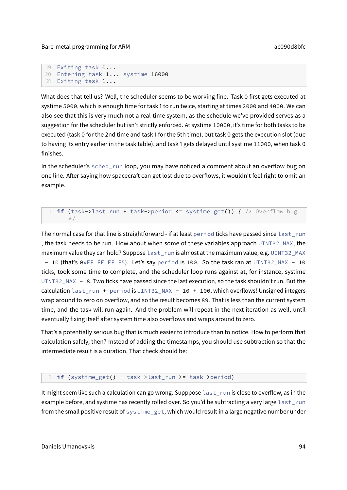```
19 Exiting task 0...
20 Entering task 1... systime 16000
21 Exiting task 1...
```
What does that tell us? Well, the scheduler seems to be working fine. Task 0 first gets executed at systime 5000, which is enough time for task 1 to run twice, starting at times 2000 and 4000. We can also see that this is very much not a real-time system, as the schedule we've provided serves as a suggestion for the scheduler but isn't strictly enforced. At systime 10000, it's time for both tasks to be executed (task 0 for the 2nd time and task 1 for the 5th time), but task 0 gets the execution slot (due to having its entry earlier in the task table), and task 1 gets delayed until systime 11000, when task 0 finishes.

In the scheduler's sched\_run loop, you may have noticed a comment about an overflow bug on one line. After saying how spacecraft can get lost due to overflows, it wouldn't feel right to omit an example.

#### **if** (task->last\_run + task->period <= systime\_get())  $\frac{1}{2}$  /\* Overflow bug!  $\star/$

The normal case for that line is straightforward - if at least period ticks have passed since last\_run , the task needs to be run. How about when some of these variables approach UINT32\_MAX, the maximum value they can hold? Suppose last\_run is almost at the maximum value, e.g. UINT32\_MAX - 10 (that's 0xFF FF FF F5). Let's say period is 100. So the task ran at UINT32\_MAX - 10 ticks, took some time to complete, and the scheduler loop runs against at, for instance, systime UINT32\_MAX - 8. Two ticks have passed since the last execution, so the task shouldn't run. But the calculation last\_run + period is UINT32\_MAX - 10 + 100, which overflows! Unsigned integers wrap around to zero on overflow, and so the result becomes 89. That is less than the current system time, and the task will run again. And the problem will repeat in the next iteration as well, until eventually fixing itself after system time also overflows and wraps around to zero.

That's a potentially serious bug that is much easier to introduce than to notice. How to perform that calculation safely, then? Instead of adding the timestamps, you should use subtraction so that the intermediate result is a duration. That check should be:

#### 1 **if** (systime\_get() - task->last\_run >= task->period)

It might seem like such a calculation can go wrong. Supppose last\_run is close to overflow, as in the example before, and systime has recently rolled over. So you'd be subtracting a very large last\_run from the small positive result of systime\_get, which would result in a large negative number under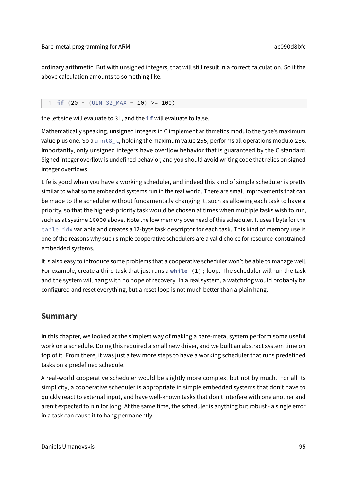ordinary arithmetic. But with unsigned integers, that will still result in a correct calculation. So if the above calculation amounts to something like:

#### 1 **if**  $(20 - (UINT32 MAX - 10) \ge 100)$

the left side will evaluate to 31, and the **if** will evaluate to false.

Mathematically speaking, unsigned integers in C implement arithmetics modulo the type's maximum value plus one. So a uint8\_t, holding the maximum value 255, performs all operations modulo 256. Importantly, only unsigned integers have overflow behavior that is guaranteed by the C standard. Signed integer overflow is undefined behavior, and you should avoid writing code that relies on signed integer overflows.

Life is good when you have a working scheduler, and indeed this kind of simple scheduler is pretty similar to what some embedded systems run in the real world. There are small improvements that can be made to the scheduler without fundamentally changing it, such as allowing each task to have a priority, so that the highest-priority task would be chosen at times when multiple tasks wish to run, such as at systime 10000 above. Note the low memory overhead of this scheduler. It uses 1 byte for the table\_idx variable and creates a 12-byte task descriptor for each task. This kind of memory use is one of the reasons why such simple cooperative schedulers are a valid choice for resource-constrained embedded systems.

It is also easy to introduce some problems that a cooperative scheduler won't be able to manage well. For example, create a third task that just runs a **while** (1); loop. The scheduler will run the task and the system will hang with no hope of recovery. In a real system, a watchdog would probably be configured and reset everything, but a reset loop is not much better than a plain hang.

### **Summary**

In this chapter, we looked at the simplest way of making a bare-metal system perform some useful work on a schedule. Doing this required a small new driver, and we built an abstract system time on top of it. From there, it was just a few more steps to have a working scheduler that runs predefined tasks on a predefined schedule.

A real-world cooperative scheduler would be slightly more complex, but not by much. For all its simplicity, a cooperative scheduler is appropriate in simple embedded systems that don't have to quickly react to external input, and have well-known tasks that don't interfere with one another and aren't expected to run for long. At the same time, the scheduler is anything but robust - a single error in a task can cause it to hang permanently.